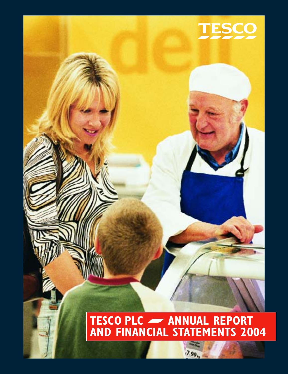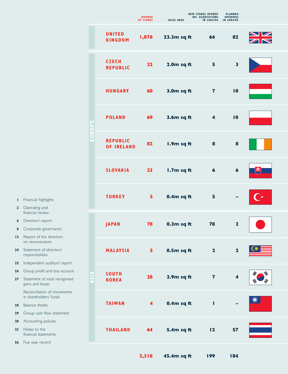NEW STORES OPENED PLANNED<br>INC. ACQUISITIONS OPENINGS<br>OF STORES SALES AREA IN 2003/04 IN 2004/05 **1,878 23.3m sq ft 64 82 22 2.0m sq ft 5 3 60 3.0m sq ft 7 10 69 3.6m sq ft 4 10 82 1.9m sq ft 8 8 23 1.7m sq ft 6 6 5 0.4m sq ft 5 h 78 0.3m sq ft 78 2 5 0.5m sq ft 2 2 28 2.9m sq ft 7 4 4 0.4m sq ft** 1 **n 64 5.4m sq ft 12 57 THAILAND TAIWAN SOUTH KOREA MALAYSIA JAPAN TURKEY SLOVAKIA REPUBLIC OF IRELAND POLAND HUNGARY CZECH REPUBLIC UNITED KINGDOM**

**2,318 45.4m sq ft 199 184**

- **1** Financial highlights
- **2** Operating and financial review
- **6** Directors' report
- **8** Corporate governance
- **13** Report of the directors on remuneration
- 24 Statement of directors' responsibilities
- **25** Independent auditors' report
- 26 Group profit and loss account
- 27 Statement of total recognised gains and losses

Reconciliation of movements in shareholders' funds

- **28** Balance sheets
- **29** Group cash flow statement
- **30** Accounting policies
- **32** Notes to the financial statements
- **56** Five year record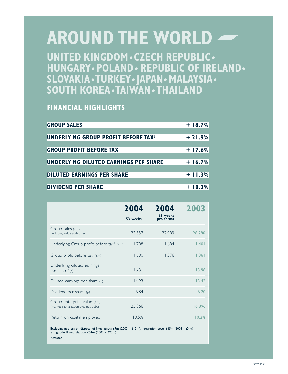# **AROUND THE WORLD**

**UNITED KINGDOM·CZECH REPUBLIC· HUNGARY·POLAND· REPUBLIC OF IRELAND· SLOVAKIA·TURKEY·JAPAN·MALAYSIA· SOUTH KOREA·TAIWAN·THAILAND**

### **FINANCIAL HIGHLIGHTS**

| <b>GROUP SALES</b>                                 | $+ 18.7%$ |
|----------------------------------------------------|-----------|
| UNDERLYING GROUP PROFIT BEFORE TAX <sup>†</sup>    | $+21.9%$  |
| <b>GROUP PROFIT BEFORE TAX</b>                     | $+ 17.6%$ |
| UNDERLYING DILUTED EARNINGS PER SHARE <sup>†</sup> | $+ 16.7%$ |
| <b>DILUTED EARNINGS PER SHARE</b>                  | $+11.3%$  |
| <b>DIVIDEND PER SHARE</b>                          | $+10.3%$  |

|                                                                              | 2004<br>53 weeks | 2004<br>52 weeks<br>pro forma | 2003    |
|------------------------------------------------------------------------------|------------------|-------------------------------|---------|
| Group sales $(f_m)$<br>(including value added tax)                           | 33,557           | 32,989                        | 28,280# |
| Underlying Group profit before tax <sup>†</sup> $(f_m)$                      | 1,708            | 1,684                         | 1,401   |
| Group profit before tax $(f_m)$                                              | 1,600            | 1,576                         | 1,361   |
| Underlying diluted earnings<br>per share <sup><math>\dagger</math></sup> (p) | 16.31            |                               | 13.98   |
| Diluted earnings per share (p)                                               | 14.93            |                               | 13.42   |
| Dividend per share $(p)$                                                     | 6.84             |                               | 6.20    |
| Group enterprise value $(f_m)$<br>(market capitalisation plus net debt)      | 23,866           |                               | 16,896  |
| Return on capital employed                                                   | 10.5%            |                               | 10.2%   |

*Excluding net loss on disposal of fixed assets £9m (2003 – £13m), integration costs £45m (2003 – £4m)* and goodwill amortisation £54m (2003 - £23m). Restated á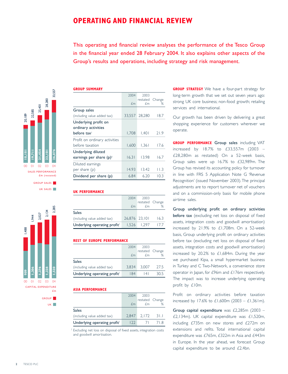### **OPERATING AND FINANCIAL REVIEW**

This operating and financial review analyses the performance of the Tesco Group in the financial year ended 28 February 2004. It also explains other aspects of the Group's results and operations, including strategy and risk management.





| <b>GROUP SUMMARY</b>                  |        |          |        |
|---------------------------------------|--------|----------|--------|
|                                       | 2004   | 2003     |        |
|                                       |        | restated | Change |
|                                       | £m     | f m      | %      |
| Group sales                           |        |          |        |
| (including value added tax)           | 33,557 | 28,280   | 18.7   |
| Underlying profit on                  |        |          |        |
| ordinary activities                   |        |          |        |
| before tax <sup>+</sup>               | 1,708  | 1.401    | 21.9   |
| Profit on ordinary activities         |        |          |        |
| before taxation                       | 1,600  | 1.361    | 17.6   |
| Underlying diluted                    |        |          |        |
| earnings per share $(p)$ <sup>†</sup> | 16.31  | 13.98    | 16.7   |
| Diluted earnings                      |        |          |        |
| per share (p)                         | 14.93  | 13.42    | H.3    |
| Dividend per share (p)                | 6.84   | 6.20     | 10.3   |

**UK PERFORMANCE**

**GROUP SUMMARY**

|                                          | 2004          | 2003                   |      |
|------------------------------------------|---------------|------------------------|------|
|                                          | £m            | restated Change<br>f m | %    |
|                                          |               |                        |      |
| Sales                                    |               |                        |      |
| (including value added tax)              | 26.876 23.101 |                        | 16.3 |
| Underlying operating profit <sup>+</sup> | 1.526         | - 1.297                | 177  |

#### **REST OF EUROPE PERFORMANCE**

|                                          | 2004<br>Em | 2003<br>restated Change<br>f m | %    |
|------------------------------------------|------------|--------------------------------|------|
| Sales                                    |            |                                | 27.5 |
| (including value added tax)              | 3.834      | 3.007                          |      |
| Underlying operating profit <sup>+</sup> | 184        | 141                            | 30.5 |

#### **ASIA PERFORMANCE**

| Underlying operating profit <sup>+</sup> | 122   | - 71 -                  | 71.8  |
|------------------------------------------|-------|-------------------------|-------|
| (including value added tax)              | 2.847 | 2.172                   | -31.I |
| <b>Sales</b>                             |       |                         |       |
|                                          | Em    | f m                     | %     |
|                                          | 2004  | 2003<br>restated Change |       |
|                                          |       |                         |       |

<sup>†</sup> Excluding net loss on disposal of fixed assets, integration costs and goodwill amortisation.

**GROUP STRATEGY** We have a four-part strategy for long-term growth that we set out seven years ago: strong UK core business; non-food growth; retailing services and international.

Our growth has been driven by delivering a great shopping experience for customers wherever we operate.

**GROUP PERFORMANCE** Group sales including VAT increased by 18.7% to £33,557m (2003  $-$ £28,280m as restated) On a 52-week basis, Group sales were up 16.7% to £32,989m. The Group has revised its accounting policy for turnover in line with FRS 5 Application Note G 'Revenue Recognition' (issued November 2003). The principal adjustments are to report turnover net of vouchers and on a commission-only basis for mobile phone airtime sales.

Group underlying profit on ordinary activities before tax (excluding net loss on disposal of fixed assets, integration costs and goodwill amortisation) increased by 21.9% to £1,708m. On a 52-week basis, Group underlying profit on ordinary activities before tax (excluding net loss on disposal of fixed assets, integration costs and goodwill amortisation) increased by 20.2% to £1,684m. During the year we purchased Kipa, a small hypermarket business in Turkey and C Two-Network, a convenience store operator in Japan, for £96m and £176m respectively. The impact was to increase underlying operating profit by £10m.

Profit on ordinary activities before taxation increased by 17.6% to £1,600m (2003 - £1,361m).

Group capital expenditure was  $£2,285m$  (2003  $-$ £2,134m). UK capital expenditure was £1,520m, including £735m on new stores and £272m on extensions and refits. Total international capital expenditure was £765m, £322m in Asia and £443m in Europe. In the year ahead, we forecast Group capital expenditure to be around £2.4bn.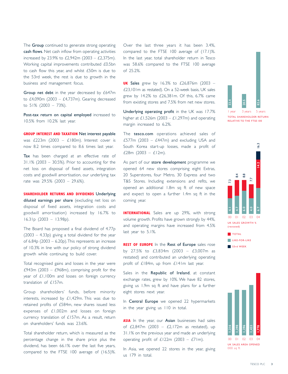The Group continued to generate strong operating cash flows. Net cash inflow from operating activities increased by 23.9% to £2,942m (2003 – £2,375m). Working capital improvements contributed £0.5bn to cash flow this year, and whilst £50m is due to the 53rd week, the rest is due to growth in the business and management focus.

Group net debt in the year decreased by £647m to £4,090m (2003 – £4,737m). Gearing decreased to 51% (2003 – 73%).

Post-tax return on capital employed increased to 10.5% from 10.2% last year.

**GROUP INTEREST AND TAXATION** Net interest payable was £223m (2003 – £180m). Interest cover is now 8.2 times compared to 8.6 times last year.

Tax has been charged at an effective rate of 31.1% (2003 – 30.5%). Prior to accounting for the net loss on disposal of fixed assets, integration costs and goodwill amortisation, our underlying tax rate was 29.5% (2003 – 29.6%).

**SHAREHOLDER RETURNS AND DIVIDENDS** Underlying diluted earnings per share (excluding net loss on disposal of fixed assets, integration costs and goodwill amortisation) increased by 16.7% to 16.31p (2003 – 13.98p).

The Board has proposed a final dividend of 4.77p (2003 – 4.33p) giving a total dividend for the year of 6.84p (2003 – 6.20p).This represents an increase of 10.3% in line with our policy of strong dividend growth while continuing to build cover.

Total recognised gains and losses in the year were £943m (2003 – £968m), comprising profit for the year of £1,100m and losses on foreign currency translation of £157m.

Group shareholders' funds, before minority interests, increased by £1,429m. This was due to retained profits of £584m, new shares issued less expenses of £1,002m and losses on foreign currency translation of £157m. As a result, return on shareholders' funds was 23.6%.

Total shareholder return, which is measured as the percentage change in the share price plus the dividend, has been 66.1% over the last five years, compared to the FTSE 100 average of (16.5)%. Over the last three years it has been 3.4%, compared to the FTSE 100 average of (17.1)%. In the last year, total shareholder return in Tesco was 58.6% compared to the FTSE 100 average of 25.2%.

**UK** Sales grew by 16.3% to £26,876m (2003 – £23,101m as restated). On a 52-week basis, UK sales grew by 14.2% to £26,381m. Of this, 6.7% came from existing stores and 7.5% from net new stores.

Underlying operating profit in the UK was 17.7% higher at £1,526m (2003 – £1,297m) and operating margin increased to 6.2%.

1 year 3 years 5 years TOTAL SHAREHOLDER RETURN RELATIVE TO THE FTSE 100

The **tesco.com** operations achieved sales of £577m (2003 – £447m) and excluding USA and South Korea start-up losses, made a profit of £28m  $(2003 - E12m)$ .

As part of our store development programme we opened 64 new stores comprising eight Extras, 20 Superstores, four Metro, 30 Express and two T&S Stores. Including extensions and refits, we opened an additional 1.8m sq ft of new space and expect to open a further 1.4m sq ft in the coming year.

**INTERNATIONAL** Sales are up 29%, with strong volume growth. Profits have grown strongly by 44%, and operating margins have increased from 4.5% last year to 5.1%.

**REST OF EUROPE** In the Rest of Europe sales rose by 27.5% to £3,834m (2003 – £3,007m as restated) and contributed an underlying operating profit of £184m, up from £141m last year.

Sales in the Republic of Ireland, at constant exchange rates, grew by 10%. We have 82 stores, giving us 1.9m sq ft and have plans for a further eight stores next year.

In Central Europe we opened 22 hypermarkets in the year giving us 110 in total.

ASIA In the year, our Asian businesses had sales of £2,847m (2003 – £2,172m as restated), up 31.1% on the previous year and made an underlying operating profit of  $£122m (2003 – £71m)$ .

In Asia, we opened 22 stores in the year, giving us 179 in total.



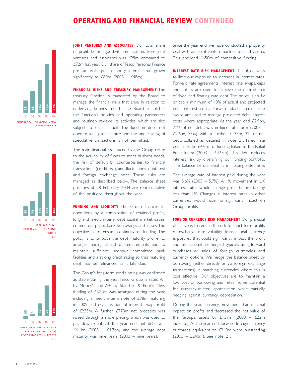### **OPERATING AND FINANCIAL REVIEW CONTINUED**







**JOINT VENTURES AND ASSOCIATES** Our total share of profit, before goodwill amortisation, from joint ventures and associates was £99m compared to £72m last year. Our share of Tesco Personal Finance pre-tax profit, post minority interests has grown significantly to £80m (2003  $-$  £48m).

**FINANCIAL RISKS AND TREASURY MANAGEMENT** The treasury function is mandated by the Board to manage the financial risks that arise in relation to underlying business needs. The Board establishes the function's policies and operating parameters and routinely reviews its activities, which are also subject to regular audit. The function does not operate as a profit centre and the undertaking of speculative transactions is not permitted.

The main financial risks faced by the Group relate to the availability of funds to meet business needs, the risk of default by counterparties to financial transactions (credit risk), and fluctuations in interest and foreign exchange rates. These risks are managed as described below. The balance sheet positions at 28 February 2004 are representative of the positions throughout the year.

**FUNDING AND LIQUIDITY** The Group finances its operations by a combination of retained profits, long and medium-term debt capital market issues, commercial paper, bank borrowings and leases. The objective is to ensure continuity of funding. The policy is to smooth the debt maturity profile, to arrange funding ahead of requirements and to maintain sufficient undrawn committed bank facilities and a strong credit rating so that maturing debt may be refinanced as it falls due.

The Group's long-term credit rating was confirmed as stable during the year. Tesco Group is rated A1 by Moody's and A+ by Standard & Poor's. New funding of £621m was arranged during the year, including a medium-term note of £98m maturing in 2009 and crystallisation of interest swap profit of £235m. A further £773m net proceeds was raised through a share placing, which was used to pay down debt. At the year end, net debt was £4.1bn (2003 - £4.7bn) and the average debt maturity was nine years  $(2003 - nine years)$ .

Since the year end, we have conducted a property deal with our joint venture partner Topland Group. This provided £650m of competitive funding.

**INTEREST RATE RISK MANAGEMENT** The objective is to limit our exposure to increases in interest rates. Forward rate agreements, interest rate swaps, caps and collars are used to achieve the desired mix of fixed and floating rate debt. The policy is to fix or cap a minimum of 40% of actual and projected debt interest costs. Forward start interest rate swaps are used to manage projected debt interest costs where appropriate. At the year end £2.9bn,  $71\%$  of net debt, was in fixed rate form (2003  $-$ £2.6bn, 55%) with a further £135m, 3% of net debt, collared as detailed in note 21. Fixed rate debt includes £441m of funding linked to the Retail Price Index (2003 -  $£427m$ ). This debt reduces interest risk by diversifying our funding portfolio. The balance of our debt is in floating rate form.

The average rate of interest paid during the year was 5.6% (2003 - 5.7%). A 1% movement in UK interest rates would change profit before tax by less than 1%. Changes in interest rates in other currencies would have no significant impact on Group profits.

**FOREIGN CURRENCY RISK MANAGEMENT** Our principal objective is to reduce the risk to short-term profits of exchange rate volatility. Transactional currency exposures that could significantly impact the profit and loss account are hedged, typically using forward purchases or sales of foreign currencies and currency options. We hedge the balance sheet by borrowing (either directly or via foreign exchange transactions) in matching currencies where this is cost effective. Our objectives are to maintain a low cost of borrowing and retain some potential for currency-related appreciation while partially hedging against currency depreciation.

During the year, currency movements had minimal impact on profits and decreased the net value of the Group's assets by  $£157m$  (2003 - £22m increase). At the year end, forward foreign currency purchases equivalent to £240m were outstanding  $(2003 - \text{\textsterling}240m)$ . See note 21.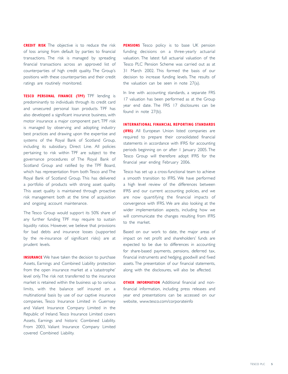**CREDIT RISK** The objective is to reduce the risk of loss arising from default by parties to financial transactions. The risk is managed by spreading financial transactions across an approved list of counterparties of high credit quality. The Group's positions with these counterparties and their credit ratings are routinely monitored.

**TESCO PERSONAL FINANCE (TPF)** TPF lending is predominantly to individuals through its credit card and unsecured personal loan products. TPF has also developed a significant insurance business, with motor insurance a major component part. TPF risk is managed by observing and adopting industry best practices and drawing upon the expertise and systems of the Royal Bank of Scotland Group, including its subsidiary, Direct Line. All policies pertaining to risk within TPF are subject to the governance procedures of The Royal Bank of Scotland Group and ratified by the TPF Board, which has representation from both Tesco and The Royal Bank of Scotland Group. This has delivered a portfolio of products with strong asset quality. This asset quality is maintained through proactive risk management both at the time of acquisition and ongoing account maintenance.

The Tesco Group would support its 50% share of any further funding TPF may require to sustain liquidity ratios. However, we believe that provisions for bad debts and insurance losses (supported by the re-insurance of significant risks) are at prudent levels.

**INSURANCE** We have taken the decision to purchase Assets, Earnings and Combined Liability protection from the open insurance market at a 'catastrophe' level only. The risk not transferred to the insurance market is retained within the business up to various limits, with the balance self insured on a multinational basis by use of our captive insurance companies, Tesco Insurance Limited in Guernsey and Valiant Insurance Company Limited in the Republic of Ireland. Tesco Insurance Limited covers Assets, Earnings and historic Combined Liability. From 2003, Valiant Insurance Company Limited covered Combined Liability.

**PENSIONS** Tesco policy is to base UK pension funding decisions on a three-yearly actuarial valuation. The latest full actuarial valuation of the Tesco PLC Pension Scheme was carried out as at 31 March 2002. This formed the basis of our decision to increase funding levels. The results of the valuation can be seen in note 27(a).

In line with accounting standards, a separate FRS 17 valuation has been performed as at the Group year end date. The FRS 17 disclosures can be found in note 27(b).

#### **INTERNATIONAL FINANCIAL REPORTING STANDARDS**

**(IFRS)** All European Union listed companies are required to prepare their consolidated financial statements in accordance with IFRS for accounting periods beginning on or after 1 January 2005. The Tesco Group will therefore adopt IFRS for the financial year ending February 2006.

Tesco has set up a cross-functional team to achieve a smooth transition to IFRS. We have performed a high level review of the differences between IFRS and our current accounting policies, and we are now quantifying the financial impacts of convergence with IFRS. We are also looking at the wider implementation aspects, including how we will communicate the changes resulting from IFRS to the market.

Based on our work to date, the major areas of impact on net profit and shareholders' funds are expected to be due to differences in accounting for share-based payments, pensions, deferred tax, financial instruments and hedging, goodwill and fixed assets. The presentation of our financial statements, along with the disclosures, will also be affected.

**OTHER INFORMATION** Additional financial and nonfinancial information, including press releases and year end presentations can be accessed on our website, www.tesco.com/corporateinfo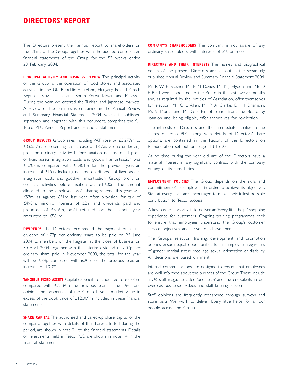### **DIRECTORS' REPORT**

The Directors present their annual report to shareholders on the affairs of the Group, together with the audited consolidated financial statements of the Group for the 53 weeks ended 28 February 2004.

**PRINCIPAL ACTIVITY AND BUSINESS REVIEW** The principal activity of the Group is the operation of food stores and associated activities in the UK, Republic of Ireland, Hungary, Poland, Czech Republic, Slovakia, Thailand, South Korea, Taiwan and Malaysia. During the year, we entered the Turkish and Japanese markets. A review of the business is contained in the Annual Review and Summary Financial Statement 2004 which is published separately and, together with this document, comprises the full Tesco PLC Annual Report and Financial Statements.

**GROUP RESULTS** Group sales including VAT rose by £5,277m to £33,557m, representing an increase of 18.7%. Group underlying profit on ordinary activities before taxation, net loss on disposal of fixed assets, integration costs and goodwill amortisation was £1,708m, compared with £1,401m for the previous year, an increase of 21.9%. Including net loss on disposal of fixed assets, integration costs and goodwill amortisation, Group profit on ordinary activities before taxation was £1,600m. The amount allocated to the employee profit-sharing scheme this year was £57m as against £51m last year. After provision for tax of £498m, minority interests of £2m and dividends, paid and proposed, of £516m, profit retained for the financial year amounted to £584m.

**DIVIDENDS** The Directors recommend the payment of a final dividend of 4.77p per ordinary share to be paid on 25 June 2004 to members on the Register at the close of business on 30 April 2004. Together with the interim dividend of 2.07p per ordinary share paid in November 2003, the total for the year will be 6.84p compared with 6.20p for the previous year, an increase of 10.3%.

**TANGIBLE FIXED ASSETS** Capital expenditure amounted to £2,285m compared with £2,134m the previous year. In the Directors' opinion, the properties of the Group have a market value in excess of the book value of £12,009m included in these financial statements.

**SHARE CAPITAL** The authorised and called-up share capital of the company, together with details of the shares allotted during the period, are shown in note 24 to the financial statements. Details of investments held in Tesco PLC are shown in note 14 in the financial statements.

**COMPANY'S SHAREHOLDERS** The company is not aware of any ordinary shareholders with interests of 3% or more.

**DIRECTORS AND THEIR INTERESTS** The names and biographical details of the present Directors are set out in the separately published Annual Review and Summary Financial Statement 2004.

Mr R W P Brasher, Mr E M Davies, Mr K J Hydon and Mr D E Reid were appointed to the Board in the last twelve months and, as required by the Articles of Association, offer themselves for election. Mr C L Allen, Mr P A Clarke, Dr H Einsmann, Ms V Morali and Mr G F Pimlott retire from the Board by rotation and, being eligible, offer themselves for re-election.

The interests of Directors and their immediate families in the shares of Tesco PLC, along with details of Directors' share options, are contained in the Report of the Directors on Remuneration set out on pages 13 to 23.

At no time during the year did any of the Directors have a material interest in any significant contract with the company or any of its subsidiaries.

**EMPLOYMENT POLICIES** The Group depends on the skills and commitment of its employees in order to achieve its objectives. Staff at every level are encouraged to make their fullest possible contribution to Tesco success.

A key business priority is to deliver an 'Every little helps' shopping experience for customers. Ongoing training programmes seek to ensure that employees understand the Group's customer service objectives and strive to achieve them.

The Groupís selection, training, development and promotion policies ensure equal opportunities for all employees regardless of gender, marital status, race, age, sexual orientation or disability. All decisions are based on merit.

Internal communications are designed to ensure that employees are well informed about the business of the Group.These include a UK staff magazine called 'one team' and the equivalents in our overseas businesses, videos and staff briefing sessions.

Staff opinions are frequently researched through surveys and store visits. We work to deliver 'Every little helps' for all our people across the Group.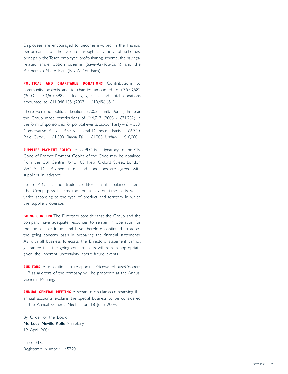Employees are encouraged to become involved in the financial performance of the Group through a variety of schemes, principally the Tesco employee profit-sharing scheme, the savingsrelated share option scheme (Save-As-You-Earn) and the Partnership Share Plan (Buy-As-You-Earn).

**POLITICAL AND CHARITABLE DONATIONS** Contributions to community projects and to charities amounted to £3,953,582 (2003 –  $\angle$ 3,509,398). Including gifts in kind total donations amounted to £11,048,435 (2003 - £10,496,651).

There were no political donations (2003  $-$  nil). During the year the Group made contributions of £44,713 (2003 - £31,282) in the form of sponsorship for political events: Labour Party  $- \mathcal{L}$ 14,368; Conservative Party - £5,502; Liberal Democrat Party - £6,340; Plaid Cymru - £1,300; Fianna Fáil - £1,203; Usdaw - £16,000.

**SUPPLIER PAYMENT POLICY** Tesco PLC is a signatory to the CBI Code of Prompt Payment. Copies of the Code may be obtained from the CBI, Centre Point, 103 New Oxford Street, London WC1A 1DU. Payment terms and conditions are agreed with suppliers in advance.

Tesco PLC has no trade creditors in its balance sheet. The Group pays its creditors on a pay on time basis which varies according to the type of product and territory in which the suppliers operate.

**GOING CONCERN** The Directors consider that the Group and the company have adequate resources to remain in operation for the foreseeable future and have therefore continued to adopt the going concern basis in preparing the financial statements. As with all business forecasts, the Directors' statement cannot guarantee that the going concern basis will remain appropriate given the inherent uncertainty about future events.

**AUDITORS** A resolution to re-appoint PricewaterhouseCoopers LLP as auditors of the company will be proposed at the Annual General Meeting.

**ANNUAL GENERAL MEETING** A separate circular accompanying the annual accounts explains the special business to be considered at the Annual General Meeting on 18 June 2004.

By Order of the Board Ms Lucy Neville-Rolfe Secretary 19 April 2004

Tesco PLC Registered Number: 445790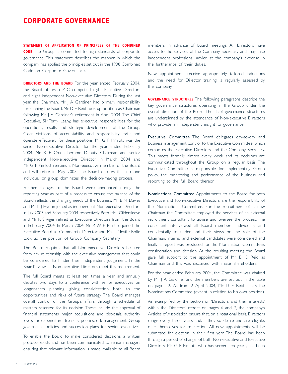### **CORPORATE GOVERNANCE**

**STATEMENT OF APPLICATION OF PRINCIPLES OF THE COMBINED CODE** The Group is committed to high standards of corporate governance. This statement describes the manner in which the company has applied the principles set out in the 1998 Combined Code on Corporate Governance.

**DIRECTORS AND THE BOARD** For the year ended February 2004, the Board of Tesco PLC comprised eight Executive Directors and eight independent Non-executive Directors. During the last year, the Chairman, Mr J A Gardiner, had primary responsibility for running the Board. Mr D E Reid took up position as Chairman following Mr | A Gardiner's retirement in April 2004. The Chief Executive, Sir Terry Leahy, has executive responsibilities for the operations, results and strategic development of the Group. Clear divisions of accountability and responsibility exist and operate effectively for these positions. Mr G F Pimlott was the senior Non-executive Director for the year ended February 2004. Mr R F Chase became Deputy Chairman and senior independent Non-executive Director in March 2004 and Mr G F Pimlott remains a Non-executive member of the Board and will retire in May 2005. The Board ensures that no one individual or group dominates the decision-making process.

Further changes to the Board were announced during the reporting year as part of a process to ensure the balance of the Board reflects the changing needs of the business. Mr E M Davies and Mr K J Hydon joined as independent Non-executive Directors in July 2003 and February 2004 respectively. Both Mr J Gildersleeve and Mr R S Ager retired as Executive Directors from the Board in February 2004. In March 2004, Mr R W P Brasher joined the Executive Board as Commercial Director and Ms L Neville-Rolfe took up the position of Group Company Secretary.

The Board requires that all Non-executive Directors be free from any relationship with the executive management that could be considered to hinder their independent judgement. In the Board's view, all Non-executive Directors meet this requirement.

The full Board meets at least ten times a year and annually devotes two days to a conference with senior executives on longer-term planning, giving consideration both to the opportunities and risks of future strategy. The Board manages overall control of the Group's affairs through a schedule of matters reserved for its decision. These include the approval of financial statements, major acquisitions and disposals, authority levels for expenditure, treasury policies, risk management, Group governance policies and succession plans for senior executives.

To enable the Board to make considered decisions, a written protocol exists and has been communicated to senior managers ensuring that relevant information is made available to all Board

members in advance of Board meetings. All Directors have access to the services of the Company Secretary and may take independent professional advice at the companyís expense in the furtherance of their duties.

New appointments receive appropriately tailored inductions and the need for Director training is regularly assessed by the company.

**GOVERNANCE STRUCTURES** The following paragraphs describe the key governance structures operating in the Group under the overall direction of the Board. The chief governance structures are underpinned by the attendance of Non-executive Directors who provide an independent insight to governance.

Executive Committee The Board delegates day-to-day and business management control to the Executive Committee, which comprises the Executive Directors and the Company Secretary. This meets formally almost every week and its decisions are communicated throughout the Group on a regular basis. The Executive Committee is responsible for implementing Group policy, the monitoring and performance of the business and reporting to the full Board thereon.

Nominations Committee Appointments to the Board for both Executive and Non-executive Directors are the responsibility of the Nominations Committee. For the recruitment of a new Chairman the Committee employed the services of an external recruitment consultant to advise and oversee the process. The consultant interviewed all Board members individually and confidentially to understand their views on the role of the Chairman. Internal and external candidates were considered and finally a report was produced for the Nomination Committee's consideration and decision. At the resulting meeting the Board gave full support to the appointment of Mr D E Reid as Chairman and this was discussed with major shareholders.

For the year ended February 2004, the Committee was chaired by Mr | A Gardiner and the members are set out in the table on page 12. As from 2 April 2004, Mr D E Reid chairs the Nominations Committee (except in relation to his own position).

As exemplified by the section on 'Directors and their interests' within the Directors' report on pages 6 and 7, the company's Articles of Association ensure that, on a rotational basis, Directors resign every three years and, if they so desire and are eligible, offer themselves for re-election. All new appointments will be submitted for election in their first year. The Board has been through a period of change, of both Non-executive and Executive Directors. Mr G F Pimlott, who has served ten years, has been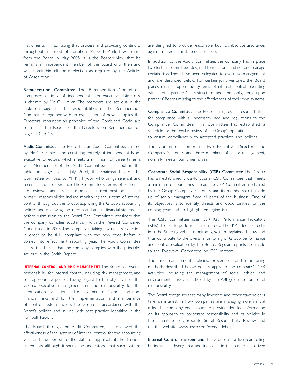instrumental in facilitating that process and providing continuity throughout a period of transition. Mr G F Pimlott will retire from the Board in May 2005. It is the Board's view that he remains an independent member of the Board until then and will submit himself for re-election as required by the Articles of Association.

Remuneration Committee The Remuneration Committee, composed entirely of independent Non-executive Directors, is chaired by Mr C L Allen. The members are set out in the table on page 12. The responsibilities of the Remuneration Committee, together with an explanation of how it applies the Directorsí remuneration principles of the Combined Code, are set out in the Report of the Directors on Remuneration on pages 13 to 23.

Audit Committee The Board has an Audit Committee, chaired by Mr G F Pimlott and consisting entirely of independent Nonexecutive Directors, which meets a minimum of three times a year. Membership of the Audit Committee is set out in the table on page 12. In July 2004, the chairmanship of the Committee will pass to Mr K J Hydon who brings relevant and recent financial experience. The Committee's terms of reference are reviewed annually and represent current best practice. Its primary responsibilities include monitoring the system of internal control throughout the Group, approving the Group's accounting policies and reviewing the interim and annual financial statements before submission to the Board. The Committee considers that the company complies substantially with the Revised Combined Code issued in 2003.The company is taking any necessary action in order to be fully compliant with the new code before it comes into effect next reporting year. The Audit Committee has satisfied itself that the company complies with the principles set out in the Smith Report.

**INTERNAL CONTROL AND RISK MANAGEMENT** The Board has overall responsibility for internal control, including risk management, and sets appropriate policies having regard to the objectives of the Group. Executive management has the responsibility for the identification, evaluation and management of financial and nonfinancial risks and for the implementation and maintenance of control systems across the Group in accordance with the Board's policies and in line with best practice identified in the Turnbull Report.

The Board, through the Audit Committee, has reviewed the effectiveness of the systems of internal control for the accounting year and the period to the date of approval of the financial statements, although it should be understood that such systems are designed to provide reasonable, but not absolute assurance, against material misstatement or loss.

In addition to the Audit Committee, the company has in place two further committees designed to monitor standards and manage certain risks. These have been delegated to executive management and are described below. For certain joint ventures, the Board places reliance upon the systems of internal control operating within our partnersí infrastructure and the obligations upon partnersí Boards relating to the effectiveness of their own systems.

Compliance Committee The Board delegates its responsibilities for compliance with all necessary laws and regulations to the Compliance Committee. This Committee has established a schedule for the regular review of the Group's operational activities to ensure compliance with accepted practices and policies.

The Committee, comprising two Executive Directors, the Company Secretary and three members of senior management, normally meets four times a year.

Corporate Social Responsibility (CSR) Committee The Group has an established cross-functional CSR Committee that meets a minimum of four times a year. The CSR Committee is chaired by the Group Company Secretary, and its membership is made up of senior managers from all parts of the business. One of its objectives is to identify threats and opportunities for the coming year and to highlight emerging issues.

The CSR Committee uses CSR Key Performance Indicators (KPIs) to track performance quarterly. The KPIs feed directly into the Steering Wheel monitoring system explained below and thus contribute to the overall monitoring of Group performance and control evaluation by the Board. Regular reports are made to the Executive Committee on CSR matters.

The risk management policies, procedures and monitoring methods described below equally apply to the company's CSR activities, including the management of social, ethical and environmental risks, as advised by the ABI guidelines on social responsibility.

The Board recognises that many investors and other stakeholders take an interest in how companies are managing non-financial risks. The company endeavours to provide detailed information on its approach to corporate responsibility and its policies in the annual Tesco Corporate Social Responsibility Review, and on the website www.tesco.com/everylittlehelps

Internal Control Environment The Group has a five-year rolling business plan. Every area and individual in the business is driven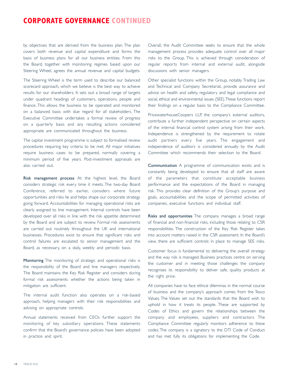### **CORPORATE GOVERNANCE CONTINUED**

by objectives that are derived from the business plan. The plan covers both revenue and capital expenditure and forms the basis of business plans for all our business entities. From this the Board, together with monitoring regimes based upon our Steering Wheel, agrees the annual revenue and capital budgets.

The Steering Wheel is the term used to describe our balanced scorecard approach, which we believe is the best way to achieve results for our shareholders. It sets out a broad range of targets under quadrant headings of customers, operations, people and finance. This allows the business to be operated and monitored on a balanced basis with due regard for all stakeholders. The Executive Committee undertakes a formal review of progress on a quarterly basis and any resulting actions considered appropriate are communicated throughout the business.

The capital investment programme is subject to formalised review procedures requiring key criteria to be met. All major initiatives require business cases to be prepared, normally covering a minimum period of five years. Post-investment appraisals are also carried out.

Risk management process At the highest level, the Board considers strategic risk every time it meets. The two-day Board Conference, referred to earlier, considers where future opportunities and risks lie and helps shape our corporate strategy going forward. Accountabilities for managing operational risks are clearly assigned to line management. Internal controls have been developed over all risks in line with the risk appetite determined by the Board and are subject to review. Formal risk assessments are carried out routinely throughout the UK and international businesses. Procedures exist to ensure that significant risks and control failures are escalated to senior management and the Board, as necessary, on a daily, weekly and periodic basis.

Monitoring The monitoring of strategic and operational risks is the responsibility of the Board and line managers respectively. The Board maintains the Key Risk Register and considers during formal risk assessments whether the actions being taken in mitigation are sufficient.

The internal audit function also operates on a risk-based approach, helping managers with their risk responsibilities and advising on appropriate controls.

Annual statements received from CEOs further support the monitoring of key subsidiary operations. These statements confirm that the Board's governance policies have been adopted in practice and spirit.

Overall, the Audit Committee seeks to ensure that the whole management process provides adequate control over all major risks to the Group. This is achieved through consideration of regular reports from internal and external audit, alongside discussions with senior managers.

Other specialist functions within the Group, notably Trading Law and Technical and Company Secretariat, provide assurance and advice on health and safety, regulatory and legal compliance and social, ethical and environmental issues (SEE).These functions report their findings on a regular basis to the Compliance Committee.

PricewaterhouseCoopers LLP, the company's external auditors, contribute a further independent perspective on certain aspects of the internal financial control system arising from their work. Independence is strengthened by the requirement to rotate audit partners every five years. The engagement and independence of auditors is considered annually by the Audit Committee which recommends their selection to the Board.

Communication A programme of communication exists and is constantly being developed to ensure that all staff are aware of the parameters that constitute acceptable business performance and the expectations of the Board in managing risk. This provides clear definition of the Groupís purpose and goals, accountabilities and the scope of permitted activities of companies, executive functions and individual staff.

Risks and opportunities The company manages a broad range of financial and non-financial risks, including those relating to CSR responsibilities. The construction of the Key Risk Register takes into account matters raised in the CSR assessment. In the Boardís view, there are sufficient controls in place to manage SEE risks.

Customer focus is fundamental to delivering the overall strategy and the way risk is managed. Business practices centre on serving the customer and in meeting those challenges the company recognises its responsibility to deliver safe, quality products at the right price.

All companies have to face ethical dilemmas in the normal course of business and the companyís approach comes from the Tesco Values. The Values set out the standards that the Board wish to uphold in how it treats its people. These are supported by Codes of Ethics and govern the relationships between the company and employees, suppliers and contractors. The Compliance Committee regularly monitors adherence to these codes. The company is a signatory to the DTI Code of Conduct and has met fully its obligations for implementing the Code.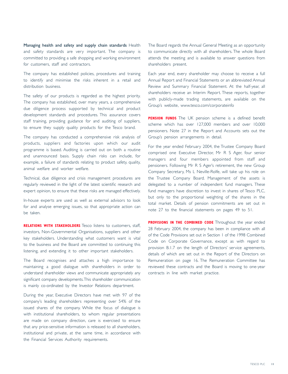Managing health and safety and supply chain standards Health and safety standards are very important. The company is committed to providing a safe shopping and working environment for customers, staff and contractors.

The company has established policies, procedures and training to identify and minimise the risks inherent in a retail and distribution business.

The safety of our products is regarded as the highest priority. The company has established, over many years, a comprehensive due diligence process supported by technical and product development standards and procedures. This assurance covers staff training, providing guidance for and auditing of suppliers, to ensure they supply quality products for the Tesco brand.

The company has conducted a comprehensive risk analysis of products, suppliers and factories upon which our audit programme is based. Auditing is carried out on both a routine and unannounced basis. Supply chain risks can include, for example, a failure of standards relating to product safety, quality, animal welfare and worker welfare.

Technical, due diligence and crisis management procedures are regularly reviewed in the light of the latest scientific research and expert opinion, to ensure that these risks are managed effectively.

In-house experts are used as well as external advisors to look for and analyse emerging issues, so that appropriate action can be taken.

**RELATIONS WITH STAKEHOLDERS** Tesco listens to customers, staff, investors, Non-Governmental Organisations, suppliers and other key stakeholders. Understanding what customers want is vital to the business and the Board are committed to continuing this listening, and extending it to other important stakeholders.

The Board recognises and attaches a high importance to maintaining a good dialogue with shareholders in order to understand shareholder views and communicate appropriately any significant company developments.This shareholder communication is mainly co-ordinated by the Investor Relations department.

During the year, Executive Directors have met with 97 of the companyís leading shareholders representing over 54% of the issued shares of the company. While the focus of dialogue is with institutional shareholders, to whom regular presentations are made on company direction, care is exercised to ensure that any price-sensitive information is released to all shareholders, institutional and private, at the same time, in accordance with the Financial Services Authority requirements.

The Board regards the Annual General Meeting as an opportunity to communicate directly with all shareholders. The whole Board attends the meeting and is available to answer questions from shareholders present.

Each year end, every shareholder may choose to receive a full Annual Report and Financial Statements or an abbreviated Annual Review and Summary Financial Statement. At the half-year, all shareholders receive an Interim Report. These reports, together with publicly-made trading statements, are available on the Group's website, www.tesco.com/corporateinfo

**PENSION FUNDS** The UK pension scheme is a defined benefit scheme which has over 127,000 members and over 10,000 pensioners. Note 27 in the Report and Accounts sets out the Groupís pension arrangements in detail.

For the year ended February 2004, the Trustee Company Board comprised one Executive Director, Mr R S Ager, four senior managers and four members appointed from staff and pensioners. Following Mr R S Agerís retirement, the new Group Company Secretary, Ms L Neville-Rolfe, will take up his role on the Trustee Company Board. Management of the assets is delegated to a number of independent fund managers. These fund managers have discretion to invest in shares of Tesco PLC, but only to the proportional weighting of the shares in the total market. Details of pension commitments are set out in note 27 to the financial statements on pages 49 to 51.

**PROVISIONS IN THE COMBINED CODE** Throughout the year ended 28 February 2004, the company has been in compliance with all of the Code Provisions set out in Section 1 of the 1998 Combined Code on Corporate Governance, except as with regard to provision B.1.7 on the length of Directors' service agreements, details of which are set out in the Report of the Directors on Remuneration on page 16. The Remuneration Committee has reviewed these contracts and the Board is moving to one-year contracts in line with market practice.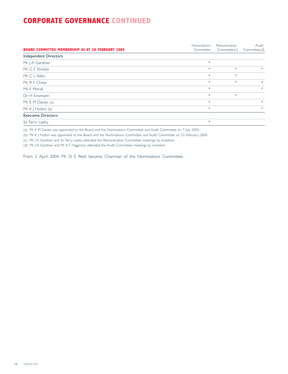### **CORPORATE GOVERNANCE CONTINUED**

| <b>BOARD COMMITTEE MEMBERSHIP AS AT 28 FEBRUARY 2004</b> | <b>Nominations</b><br>Committee | Remuneration<br>Committee (c) | Audit<br>Committee (d) |
|----------------------------------------------------------|---------------------------------|-------------------------------|------------------------|
| <b>Independent Directors</b>                             |                                 |                               |                        |
| Mr   A Gardiner                                          | *                               |                               |                        |
| Mr G F Pimlott                                           | *                               | *                             | *                      |
| Mr C L Allen                                             | *                               | *                             |                        |
| Mr R F Chase                                             | *                               | *                             | *                      |
| Ms V Morali                                              | *                               |                               | *                      |
| Dr H Einsmann                                            | *                               | *                             |                        |
| Mr E M Davies (a)                                        | *                               |                               | *                      |
| Mr K   Hydon (b)                                         | *                               |                               | *                      |
| <b>Executive Directors</b>                               |                                 |                               |                        |
| Sir Terry Leahy                                          | *                               |                               |                        |

(a) Mr E M Davies was appointed to the Board and the Nominations Committee and Audit Committee on 7 July 2003.

(b) Mr K J Hydon was appointed to the Board and the Nominations Committee and Audit Committee on 23 February 2004.

(c) Mr J A Gardiner and Sir Terry Leahy attended the Remuneration Committee meetings by invitation.

(d) Mr J A Gardiner and Mr A T Higginson attended the Audit Committee meetings by invitation.

From 2 April 2004, Mr D E Reid became Chairman of the Nominations Committee.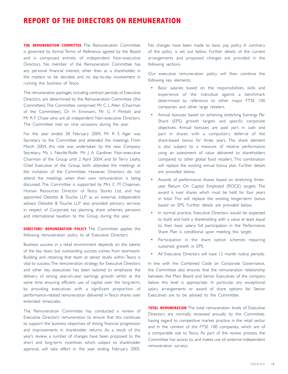### **REPORT OF THE DIRECTORS ON REMUNERATION**

**THE REMUNERATION COMMITTEE** The Remuneration Committee is governed by formal Terms of Reference agreed by the Board and is composed entirely of independent Non-executive Directors. No member of the Remuneration Committee has any personal financial interest, other than as a shareholder, in the matters to be decided, and no day-to-day involvement in running the business of Tesco.

The remuneration packages, including contract periods, of Executive Directors, are determined by the Remuneration Committee (the Committee).The Committee comprised Mr C L Allen (Chairman of the Committee), Dr H Einsmann, Mr G F Pimlott and Mr R F Chase who are all independent Non-executive Directors. The Committee met on nine occasions during the year.

For the year ended 28 February 2004, Mr R S Ager was Secretary to the Committee and attended the meetings. From March 2004, this role was undertaken by the new Company Secretary, Ms L Neville-Rolfe. Mr J A Gardiner, Non-executive Chairman of the Group until 2 April 2004, and Sir Terry Leahy, Chief Executive of the Group, both attended the meetings at the invitation of the Committee. However, Directors do not attend the meetings when their own remuneration is being discussed. The Committee is supported by Mrs C M Chapman, Human Resources Director of Tesco Stores Ltd, and has appointed Deloitte & Touche LLP as an external, independent advisor. Deloitte & Touche LLP also provided advisory services in respect of Corporate tax planning, share schemes, pensions and international taxation to the Group during the year.

**DIRECTORS' REMUNERATION POLICY** The Committee applies the following remuneration policy to all Executive Directors.

Business success in a retail environment depends on the talents of the key team, but outstanding success comes from teamwork. Building and retaining that team at senior levels within Tesco is vital to success.The remuneration strategy for Executive Directors and other key executives has been tailored to emphasise the delivery of strong year-on-year earnings growth whilst at the same time ensuring efficient use of capital over the long-term, by providing executives with a significant proportion of performance-related remuneration delivered in Tesco shares over extended timescales.

The Remuneration Committee has conducted a review of Executive Directors' remuneration to ensure that this continues to support the business objectives of strong financial progression and improvements in shareholder returns. As a result of this yearís review, a number of changes have been proposed to the short and long-term incentives which, subject to shareholder approval, will take effect in the year ending February 2005. No changes have been made to basic pay policy. A summary of the policy is set out below. Further details of the current arrangements and proposed changes are provided in the following sections.

Our executive remuneration policy will then combine the following key elements:

- Basic salaries based on the responsibilities, skills and experience of the individual against a benchmark determined by reference to other major FTSE 100 companies and other large retailers.
- Annual bonuses based on achieving stretching Earnings Per Share (EPS) growth targets and specific corporate objectives. Annual bonuses are paid part in cash and part in shares with a compulsory deferral of the share-based bonus for three years. The share element is also subject to a measure of relative performance using an assessment of value delivered to shareholders compared to other global food retailers. This combination will replace the existing annual bonus plan. Further details are provided below.
- Awards of performance shares based on stretching threeyear Return On Capital Employed (ROCE) targets. The award is over shares which must be held for four years in total. This will replace the existing longer-term bonus based on EPS. Further details are provided below.
- In normal practice, Executive Directors would be expected to build and hold a shareholding with a value at least equal to their basic salary; full participation in the Performance Share Plan is conditional upon meeting this target.
- Participation in the share option schemes requiring sustained growth in EPS.
- All Executive Directors will have 12 month notice periods.

In line with the Combined Code on Corporate Governance, the Committee also ensures that the remuneration relationship between the Main Board and Senior Executives of the company below this level is appropriate. In particular, any exceptional salary arrangements or award of share options for Senior Executives are to be advised to the Committee.

**TOTAL REMUNERATION** The total remuneration levels of Executive Directors are normally reviewed annually by the Committee, having regard to competitive market practice in the retail sector and in the context of the FTSE 100 companies, which are of a comparable size to Tesco. As part of the review process, the Committee has access to, and makes use of, external independent remuneration surveys.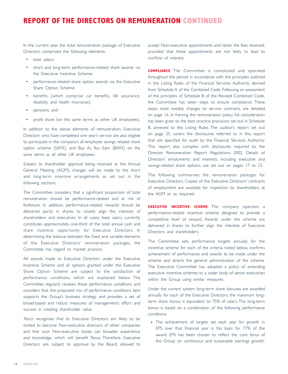### **REPORT OF THE DIRECTORS ON REMUNERATION CONTINUED**

In the current year, the total remuneration package of Executive Directors comprised the following elements:

- base salary;
- short and long-term performance-related share awards via the Executive Incentive Scheme;
- performance-related share option awards via the Executive Share Option Scheme;
- benefits (which comprise car benefits, life assurance, disability and health insurance);
- pensions; and
- profit share (on the same terms as other UK employees).

In addition to the above elements of remuneration, Executive Directors who have completed one year's service are also eligible to participate in the company's all-employee savings related share option scheme (SAYE), and Buy As You Earn (BAYE) on the same terms as all other UK employees.

Subject to shareholder approval being received at the Annual General Meeting (AGM), changes will be made to the short and long-term incentive arrangements as set out in the following sections.

The Committee considers that a significant proportion of total remuneration should be performance-related and at risk of forfeiture. In addition, performance-related rewards should be delivered partly in shares to closely align the interests of shareholders and executives. In all cases, base salary currently constitutes approximately one-third of the total annual cash and share incentive opportunity for Executive Directors. In determining the balance between the fixed and variable elements of the Executive Directorsí remuneration packages, the Committee has regard to market practice.

All awards made to Executive Directors under the Executive Incentive Scheme and all options granted under the Executive Share Option Scheme are subject to the satisfaction of performance conditions, which are explained below. The Committee regularly reviews these performance conditions and considers that the proposed mix of performance conditions best supports the Group's business strategy and provides a set of broad-based and robust measures of management's effort and success in creating shareholder value.

Tesco recognises that its Executive Directors are likely to be invited to become Non-executive directors of other companies and that such Non-executive duties can broaden experience and knowledge, which will benefit Tesco. Therefore, Executive Directors are, subject to approval by the Board, allowed to

accept Non-executive appointments and retain the fees received, provided that these appointments are not likely to lead to conflicts of interest.

**COMPLIANCE** The Committee is constituted and operated throughout the period in accordance with the principles outlined in the Listing Rules of the Financial Services Authority derived from Schedule A of the Combined Code. Following an assessment of the principles of Schedule B of the Revised Combined Code, the Committee has taken steps to ensure compliance. These steps, most notably changes to service contracts, are detailed on page 16. In framing the remuneration policy, full consideration has been given to the best practice provisions set out in Schedule B, annexed to the Listing Rules. The auditor's report set out on page 25, covers the disclosures referred to in this report that are specified for audit by the Financial Services Authority. This report also complies with disclosures required by the Director Remuneration Report Regulations 2002. Details of Directorsí emoluments and interests, including executive and savings-related share options, are set out on pages 17 to 23.

The following summarises the remuneration packages for Executive Directors. Copies of the Executive Directors' contracts of employment are available for inspection by shareholders at the AGM or as required.

**EXECUTIVE INCENTIVE SCHEME** The company operates a performance-related incentive scheme designed to provide a competitive level of reward. Awards under the scheme are delivered in shares to further align the interests of Executive Directors and shareholders.

The Committee sets performance targets annually for the incentive scheme for each of the criteria noted below, confirms achievement of performance and awards to be made under the scheme and directs the general administration of the scheme. The Executive Committee has adopted a policy of extending executive incentive schemes to a wider body of senior executives within the Group using similar measures.

Under the current system, long-term share bonuses are awarded annually for each of the Executive Directors, the maximum longterm share bonus is equivalent to 75% of salary. The long-term bonus is based on a combination of the following performance conditions:

**1** The achievement of targets set each year for growth in EPS over that financial year is the basis for 77% of the award. EPS has been chosen to reflect the core focus of the Group on continuous and sustainable earnings growth.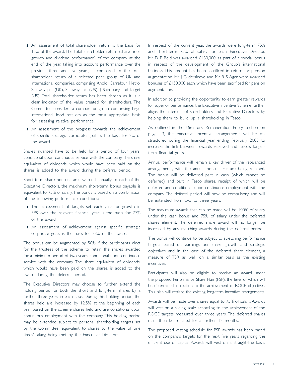- **2** An assessment of total shareholder return is the basis for 15% of the award. The total shareholder return (share price growth and dividend performance) of the company at the end of the year, taking into account performance over the previous three and five years, is compared to the total shareholder return of a selected peer group of UK and International companies, comprising Ahold, Carrefour, Metro, Safeway plc (UK), Safeway Inc. (US), J Sainsbury and Target (US). Total shareholder return has been chosen as it is a clear indicator of the value created for shareholders. The Committee considers a comparator group comprising large international food retailers as the most appropriate basis for assessing relative performance.
- **3** An assessment of the progress towards the achievement of specific strategic corporate goals is the basis for 8% of the award.

Shares awarded have to be held for a period of four years, conditional upon continuous service with the company.The share equivalent of dividends, which would have been paid on the shares, is added to the award during the deferral period.

Short-term share bonuses are awarded annually to each of the Executive Directors, the maximum short-term bonus payable is equivalent to 75% of salary.The bonus is based on a combination of the following performance conditions:

- **1** The achievement of targets set each year for growth in EPS over the relevant financial year is the basis for 77% of the award.
- **2** An assessment of achievement against specific strategic corporate goals is the basis for 23% of the award.

The bonus can be augmented by 50% if the participants elect for the trustees of the scheme to retain the shares awarded for a minimum period of two years, conditional upon continuous service with the company. The share equivalent of dividends, which would have been paid on the shares, is added to the award during the deferral period.

The Executive Directors may choose to further extend the holding period for both the short and long-term shares by a further three years in each case. During this holding period, the shares held are increased by 12.5% at the beginning of each year, based on the scheme shares held and are conditional upon continuous employment with the company. This holding period may be extended subject to personal shareholding targets set by the Committee, equivalent to shares to the value of one times' salary, being met by the Executive Directors.

In respect of the current year, the awards were long-term 75% and short-term 75% of salary for each Executive Director. Mr D E Reid was awarded £430,000, as part of a special bonus in respect of the development of the Group's international business. This amount has been sacrificed in return for pension augmentation. Mr J Gildersleeve and Mr R S Ager were awarded bonuses of £150,000 each, which have been sacrificed for pension augmentation.

In addition to providing the opportunity to earn greater rewards for superior performance, the Executive Incentive Scheme further aligns the interests of shareholders and Executive Directors by helping them to build up a shareholding in Tesco.

As outlined in the Directors' Remuneration Policy section on page 13, the executive incentive arrangements will be restructured during the financial year ending February 2005 to increase the link between rewards received and Tesco's longerterm financial goals.

Annual performance will remain a key driver of the rebalanced arrangements, with the annual bonus structure being retained. The bonus will be delivered part in cash (which cannot be deferred) and part in Tesco shares, receipt of which will be deferred and conditional upon continuous employment with the company. The deferral period will now be compulsory and will be extended from two to three years.

The maximum awards that can be made will be 100% of salary under the cash bonus and 75% of salary under the deferred shares element. The deferred share award will no longer be increased by any matching awards during the deferral period.

The bonus will continue to be subject to stretching performance targets based on earnings per share growth and strategic objectives and in the case of the deferred share element, a measure of TSR as well, on a similar basis as the existing incentives.

Participants will also be eligible to receive an award under the proposed Performance Share Plan (PSP), the level of which will be determined in relation to the achievement of ROCE objectives. This plan will replace the existing long-term incentive arrangements.

Awards will be made over shares equal to 75% of salary. Awards will vest on a sliding scale according to the achievement of the ROCE targets measured over three years. The deferred shares must then be retained for a further 12 months.

The proposed vesting schedule for PSP awards has been based on the companyís targets for the next five years regarding the efficient use of capital. Awards will vest on a straight-line basis;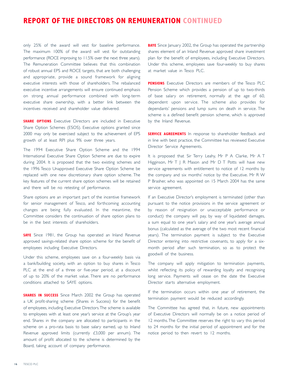### **REPORT OF THE DIRECTORS ON REMUNERATION CONTINUED**

only 25% of the award will vest for baseline performance. The maximum 100% of the award will vest for outstanding performance (ROCE improving to 11.5% over the next three years). The Remuneration Committee believes that this combination of robust annual EPS and ROCE targets, that are both challenging and appropriate, provide a sound framework for aligning executive interests with those of shareholders. The rebalanced executive incentive arrangements will ensure continued emphasis on strong annual performance combined with long-term executive share ownership, with a better link between the incentives received and shareholder value delivered.

**SHARE OPTIONS** Executive Directors are included in Executive Share Option Schemes (ESOS). Executive options granted since 2000 may only be exercised subject to the achievement of EPS growth of at least RPI plus 9% over three years.

The 1994 Executive Share Option Scheme and the 1994 International Executive Share Option Scheme are due to expire during 2004. It is proposed that the two existing schemes and the 1996 Tesco Unapproved Executive Share Option Scheme be replaced with one new discretionary share option scheme. The key features of the current share option schemes will be retained and there will be no retesting of performance.

Share options are an important part of the incentive framework for senior management of Tesco, and forthcoming accounting changes are being fully evaluated. In the meantime, the Committee considers the continuation of share option plans to be in the best interests of shareholders.

**SAYE** Since 1981, the Group has operated an Inland Revenue approved savings-related share option scheme for the benefit of employees including Executive Directors.

Under this scheme, employees save on a four-weekly basis via a bank/building society, with an option to buy shares in Tesco PLC at the end of a three or five-year period, at a discount of up to 20% of the market value. There are no performance conditions attached to SAYE options.

**SHARES IN SUCCESS** Since March 2002 the Group has operated a UK profit-sharing scheme (Shares in Success) for the benefit of employees, including Executive Directors.The scheme is available to employees with at least one year's service at the Group's year end. Shares in the company are allocated to participants in the scheme on a pro-rata basis to base salary earned, up to Inland Revenue approved limits (currently £3,000 per annum). The amount of profit allocated to the scheme is determined by the Board, taking account of company performance.

**BAYE** Since January 2002, the Group has operated the partnership shares element of an Inland Revenue approved share investment plan for the benefit of employees, including Executive Directors. Under this scheme, employees save four-weekly to buy shares at market value in Tesco PLC.

**PENSIONS** Executive Directors are members of the Tesco PLC Pension Scheme which provides a pension of up to two-thirds of base salary on retirement, normally at the age of 60, dependent upon service. The scheme also provides for dependantsí pensions and lump sums on death in service. The scheme is a defined benefit pension scheme, which is approved by the Inland Revenue.

**SERVICE AGREEMENTS** In response to shareholder feedback and in line with best practice, the Committee has reviewed Executive Director Service Agreements.

It is proposed that Sir Terry Leahy, Mr P A Clarke, Mr A T Higginson, Mr T J R Mason and Mr D T Potts will have new service agreements with entitlement to notice of 12 months by the company and six months' notice by the Executive. Mr R W P Brasher, who was appointed on 15 March 2004 has the same service agreement.

If an Executive Director's employment is terminated (other than pursuant to the notice provisions in the service agreement or by reason of resignation or unacceptable performance or conduct) the company will pay, by way of liquidated damages, a sum equal to one year's salary and one year's average annual bonus (calculated as the average of the two most recent financial years). The termination payment is subject to the Executive Director entering into restrictive covenants, to apply for a sixmonth period after such termination, so as to protect the goodwill of the business.

The company will apply mitigation to termination payments, whilst reflecting its policy of rewarding loyalty and recognising long service. Payments will cease on the date the Executive Director starts alternative employment.

If the termination occurs within one year of retirement, the termination payment would be reduced accordingly.

The Committee has agreed that, in future, new appointments of Executive Directors will normally be on a notice period of 12 months.The Committee reserves the right to vary this period to 24 months for the initial period of appointment and for the notice period to then revert to 12 months.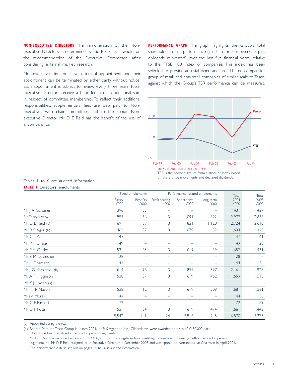**NON-EXECUTIVE DIRECTORS** The remuneration of the Nonexecutive Directors is determined by the Board as a whole, on the recommendation of the Executive Committee, after considering external market research.

Non-executive Directors have letters of appointment, and their appointment can be terminated by either party without notice. Each appointment is subject to review every three years. Nonexecutive Directors receive a basic fee plus an additional sum in respect of committee membership. To reflect their additional responsibilities, supplementary fees are also paid to Nonexecutives who chair committees and to the senior Nonexecutive Director. Mr D E Reid has the benefit of the use of a company car.

**PERFORMANCE GRAPH** The graph highlights the Group's total shareholder return performance (i.e. share price movements plus dividends reinvested) over the last five financial years, relative to the FTSE 100 index of companies. This index has been selected to provide an established and broad-based comparator group of retail and non-retail companies of similar scale to Tesco, against which the Group's TSR performance can be measured.



TSR is the notional return from a stock or index based on share price movements and declared dividends

Tables 1 to 6 are audited information. **TABLE 1** Directors' emoluments

|                       |                | Fixed emoluments         |                          | Performance-related emoluments |                          |                       | Total          |
|-----------------------|----------------|--------------------------|--------------------------|--------------------------------|--------------------------|-----------------------|----------------|
|                       | Salary<br>£000 | Benefits<br>£000         | Profit-sharing<br>£000   | Short-term<br>£000             | Long-term<br>£000        | Total<br>2004<br>£000 | 2003<br>£000   |
| Mr   A Gardiner       | 396            | 35                       | -                        |                                |                          | 431                   | 427            |
| Sir Terry Leahy       | 955            | 36                       | 3                        | 1,091                          | 892                      | 2,977                 | 2,838          |
| Mr $D \in$ Reid (c)   | 691            | 89                       | 3                        | 821                            | 1,120                    | 2,724                 | 2,610          |
| Mr R S Ager (b)       | 463            | 37                       | 3                        | 679                            | 452                      | 1,634                 | 1,425          |
| Mr C L Allen          | 47             |                          |                          |                                |                          | 47                    | 4 <sub>1</sub> |
| Mr R F Chase          | 49             |                          |                          |                                |                          | 49                    | 28             |
| Mr P A Clarke         | 531            | 65                       | 3                        | 619                            | 439                      | 1,657                 | 1,431          |
| Mr E M Davies (a)     | 28             |                          | $\overline{\phantom{0}}$ | $\overline{\phantom{a}}$       | $\overline{\phantom{0}}$ | 28                    |                |
| Dr H Einsmann         | 44             |                          | -                        |                                | $\overline{\phantom{0}}$ | 44                    | 36             |
| Mr   Gildersleeve (b) | 614            | 96                       | 3                        | 851                            | 597                      | 2,161                 | 1,928          |
| Mr AT Higginson       | 538            | 37                       | 3                        | 619                            | 462                      | 1,659                 | 1,513          |
| Mr K   Hydon (a)      |                | $\overline{\phantom{0}}$ | $\overline{\phantom{0}}$ |                                |                          |                       |                |
| MrT   R Mason         | 538            | $ 2\rangle$              | 3                        | 619                            | 509                      | 1,681                 | 1,561          |
| Mrs V Morali          | 44             |                          |                          |                                |                          | 44                    | 36             |
| Mr G F Pimlott        | 72             |                          |                          |                                | $\overline{\phantom{0}}$ | 72                    | 59             |
| Mr DT Potts           | 531            | 34                       | 3                        | 619                            | 474                      | 1,661                 | 1,442          |
|                       | 5,542          | 441                      | 24                       | 5,918                          | 4,945                    | 16,870                | 15,375         |

(a) Appointed during the year.

(b) Retired from the Tesco Group in March 2004. Mr R S Ager and Mr J Gildersleeve were awarded bonuses of £150,000 each, which have been sacrificed in return for pension augmentation.

(c) Mr D E Reid has sacrificed an amount of £430,000 from his long-term bonus relating to overseas business growth in return for pension augmentation. Mr D E Reid resigned as an Executive Director in December 2003 and was appointed Non-executive Chairman in April 2004. The performance criteria set out on pages 14 to 16 is audited information.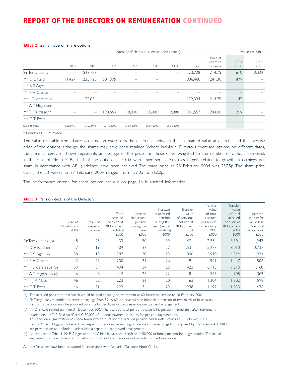### **REPORT OF THE DIRECTORS ON REMUNERATION CONTINUED**

|                   | Number of shares at exercise price (pence) |           |            |            |            |            |         |                                 |              | Value realisable |
|-------------------|--------------------------------------------|-----------|------------|------------|------------|------------|---------|---------------------------------|--------------|------------------|
|                   | 70.0                                       | 98.3      | 151.7      | 176.7      | 178.0      | 205.0      | Total   | Price at<br>exercise<br>(pence) | 2004<br>£000 | 2003<br>£000     |
| Sir Terry Leahy   | -                                          | 523,728   |            |            |            | -          | 523,728 | 214.75                          | 610          | 2,422            |
| Mr D E Reid       | 11,427                                     | 223,728   | 601,305    |            |            |            | 836,460 | 241.30                          | 879          |                  |
| Mr R S Ager       |                                            |           |            |            |            |            |         |                                 |              |                  |
| Mr P A Clarke     |                                            |           |            |            |            |            |         |                                 |              |                  |
| Mr   Gildersleeve | -                                          | 122.034   | -          |            | -          | -          | 122.034 | 214.75                          | $ 42\rangle$ |                  |
| Mr AT Higginson   |                                            |           |            |            |            |            |         |                                 |              |                  |
| MrT   R Mason*    |                                            | -         | 198,669    | 18,000     | 15,000     | 9,888      | 241,557 | 244.00                          | 209          |                  |
| Mr DT Potts       |                                            |           |            |            |            |            |         |                                 |              |                  |
| Date of grant     | 10.06.1997                                 | 3.07.1999 | 07.10.2000 | 21.05.2001 | 28.01.2002 | 26.06.2003 |         |                                 |              |                  |

#### **TABLE 2** Gains made on share options

\* Includes Mrs F M Mason

The value realisable from shares acquired on exercise is the difference between the fair market value at exercise and the exercise price of the options, although the shares may have been retained. Where individual Directors exercised options on different dates, the price at exercise shown represents an average of the prices on these dates weighted to the number of options exercised. In the case of Mr D E Reid, all of the options at 70.0p were exercised at 59.7p as targets related to growth in earnings per share in accordance with ABI guidelines, have been achieved. The share price at 28 February 2004 was 257.5p. The share price during the 53 weeks to 28 February 2004 ranged from 159.0p to 262.0p.

The performance criteria for share options set out on page 16 is audited information.

|                       |             |          |             |            | Increase     | Transfer    | Transfer<br>value | <b>Transfer</b><br>value |               |
|-----------------------|-------------|----------|-------------|------------|--------------|-------------|-------------------|--------------------------|---------------|
|                       |             |          | Total       | Increase   | in accrued   | value       | of total          | of total                 | Increase      |
|                       |             |          | accrued     | in accrued | pension      | of previous | accrued           | accrued                  | in transfer   |
|                       | Age at      | Years of | pension at  | pension    | during the   | column at   | pension at        | pension at               | value less    |
|                       | 28 February | company  | 28 February | during the | year (net of | 28 February | 22 February       | 28 February              | Directors'    |
|                       | 2004        | service  | 2004(a)     | year       | inflation)   | 2004        | 2003              | 2004                     | contributions |
|                       |             |          | £000        | £000       | £000         | £000        | £000              | £000                     | £000          |
| Sir Terry Leahy (b)   | 48          | 25       | 433         | 50         | 39           | 471         | 2,554             | 3,801                    | 1,247         |
| Mr D E Reid (c)       | 57          | 19       | 409         | 38         | 27           | 1,531       | 5,273             | 8,010                    | 2,737         |
| Mr R S Ager (e)       | 58          | 18       | 287         | 30         | 23           | 390         | 3,910             | 4,844                    | 934           |
| Mr P A Clarke         | 43          | 29       | 200         | 31         | 26           | 9           | 941               | 1,447                    | 506           |
| Mr   Gildersleeve (e) | 59          | 39       | 404         | 34         | 23           | 423         | 6, 113            | 7,273                    | 1,160         |
| Mr AT Higginson (d)   | 46          | 6        | 112         | 25         | 22           | 8           | 545               | 908                      | 363           |
| MrT   R Mason         | 46          | 22       | 223         | 26         | 20           | 163         | 1,204             | 1,802                    | 598           |
| Mr DT Potts           | 46          | 31       | 222         | 34         | 29           | 238         | 1.197             | .833                     | 636           |

#### **TABLE 3** Pension details of the Directors

(a) The accrued pension is that which would be paid annually on retirement at 60, based on service to 28 February 2004.

(b) Sir Terry Leahy is entitled to retire at any age from 57 to 60 inclusive, with an immediate pension of two-thirds of base salary.

Part of his pension may be provided on an unfunded basis within a separate unapproved arrangement.

(c) Mr D E Reid retired early on 31 December 2003.The accrued total pension shown is his pension immediately after retirement. In addition, Mr D E Reid sacrificed £430,000 of a bonus payment in return for pension augmentation. This pension augmentation has been taken into account for the accrued pension and transfer values at 28 February 2004.

(d) Part of Mr A T Higginson's benefits, in respect of pensionable earnings in excess of the earnings limit imposed by the Finance Act 1989, are provided on an unfunded basis within a separate unapproved arrangement.

(e) As disclosed in Table 1, Mr R S Ager and Mr J Gildersleeve each sacrificed £150,000 of bonus for pension augmentation.The actual augmentations took place after 28 February 2004 and are therefore not included in the table above.

All transfer values have been calculated in accordance with Actuarial Guidance Note GN11.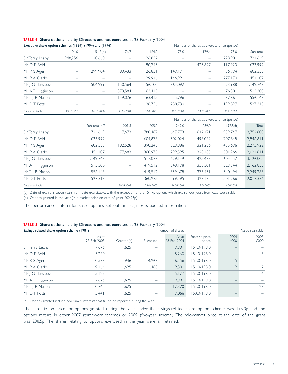| Executive share option schemes (1984), (1994) and (1996) |            |            | Number of shares at exercise price (pence) |            |            |            |            |           |
|----------------------------------------------------------|------------|------------|--------------------------------------------|------------|------------|------------|------------|-----------|
|                                                          | 104.0      | 151.7(a)   | 176.7                                      | 164.0      | 178.0      | 179.4      | 173.0      | Sub-total |
| Sir Terry Leahy                                          | 248.256    | 120,660    |                                            | 126,832    |            |            | 228.901    | 724,649   |
| Mr D E Reid                                              |            |            |                                            | 90.245     |            | 425.827    | 117.920    | 633,992   |
| Mr R S Ager                                              |            | 299.904    | 89.433                                     | 26,831     | 149.171    |            | 36.994     | 602,333   |
| Mr P A Clarke                                            |            |            |                                            | 29.946     | 146.991    |            | 277.170    | 454.107   |
| Mr   Gildersleeve                                        |            | 504.999    | 150.564                                    | 56.100     | 364.092    |            | 73.988     | 1,149,743 |
| Mr AT Higginson                                          |            |            | 373.584                                    | 63,415     |            |            | 76.301     | 513,300   |
| MrT   R Mason                                            |            |            | 149.076                                    | 63.415     | 255.796    |            | 87.861     | 556,148   |
| Mr DT Potts                                              |            |            |                                            | 38.756     | 288.730    |            | 199.827    | 527,313   |
| Date exercisable                                         | 13.10.1998 | 07.10.2000 | 21.05.2001                                 | 30.09.2001 | 28.01.2002 | 24.05.2002 | 30.11.2002 |           |

#### **TABLE 4** Share options held by Directors and not exercised at 28 February 2004

|                   |               | Number of shares at exercise price (pence) |            |            |            |            |           |  |  |
|-------------------|---------------|--------------------------------------------|------------|------------|------------|------------|-----------|--|--|
|                   | Sub-total b/f | 209.5                                      | 205.0      | 247.0      | 259.0      | 197.5(b)   | Total     |  |  |
| Sir Terry Leahy   | 724.649       | 17.673                                     | 780.487    | 647.773    | 642.471    | 939.747    | 3,752,800 |  |  |
| Mr D E Reid       | 633.992       | $\overline{\phantom{0}}$                   | 604.878    | 502.024    | 498.069    | 707.848    | 2,946,811 |  |  |
| Mr R S Ager       | 602.333       | 182.528                                    | 390.243    | 323.886    | 321.236    | 455.696    | 2,275,922 |  |  |
| Mr P A Clarke     | 454.107       | 77.683                                     | 360.975    | 299.595    | 328.185    | 501.266    | 2,021,811 |  |  |
| Mr   Gildersleeve | 1.149.743     |                                            | 517.073    | 429.149    | 425.483    | 604.557    | 3,126,005 |  |  |
| Mr AT Higginson   | 513.300       |                                            | 419.512    | 348.178    | 358.301    | 523.544    | 2,162,835 |  |  |
| Mr T   R Mason    | 556.148       |                                            | 419.512    | 359.678    | 373.451    | 540.494    | 2,249,283 |  |  |
| Mr DT Potts       | 527.313       | -                                          | 360.975    | 299.595    | 328.185    | 501.266    | 2,017,334 |  |  |
| Date exercisable  |               | 20.04.2003                                 | 26.06.2003 | 26.04.2004 | 15.04.2005 | 14.04.2006 |           |  |  |

(a) Date of expiry is seven years from date exercisable, with the exception of the 151.7p options which expire four years from date exercisable.

(b) Options granted in the year (Mid-market price on date of grant 202.75p).

The performance criteria for share options set out on page 16 is audited information.

#### **TABLE 5** Share options held by Directors and not exercised at 28 February 2004

| Savings-related share option scheme (1981) |                      | Number of shares | Value realisable |                      |                         |              |                |
|--------------------------------------------|----------------------|------------------|------------------|----------------------|-------------------------|--------------|----------------|
|                                            | As at<br>23 Feb 2003 | Granted(a)       | Exercised        | As at<br>28 Feb 2004 | Exercise price<br>pence | 2004<br>£000 | 2003<br>£000   |
| Sir Terry Leahy                            | 7,676                | 1,625            |                  | 9,301                | $151.0 - 198.0$         |              |                |
| Mr D E Reid                                | 5,260                |                  |                  | 5.260                | 151.0-198.0             |              | 3              |
| Mr R S Ager                                | 10,573               | 946              | 4,963            | 6,556                | 151.0-198.0             |              |                |
| Mr P A Clarke                              | 9,164                | 1,625            | 1,488            | 9.301                | $151.0 - 198.0$         |              | $\mathcal{L}$  |
| Mr   Gildersleeve                          | 5,127                |                  |                  | 5.127                | 151.0-198.0             |              | $\overline{4}$ |
| Mr AT Higginson                            | 7,676                | 1,625            |                  | 9.301                | 151.0-198.0             |              |                |
| MrT   R Mason                              | 10,745               | 1,625            |                  | 12,370               | 151.0-198.0             |              | 23             |
| Mr DT Potts                                | 5,441                | 1,625            |                  | 7.066                | 159.0-198.0             |              |                |

(a) Options granted include new family interests that fall to be reported during the year.

The subscription price for options granted during the year under the savings-related share option scheme was 195.0p and the options mature in either 2007 (three-year scheme) or 2009 (five-year scheme). The mid-market price at the date of the grant was 238.5p. The shares relating to options exercised in the year were all retained.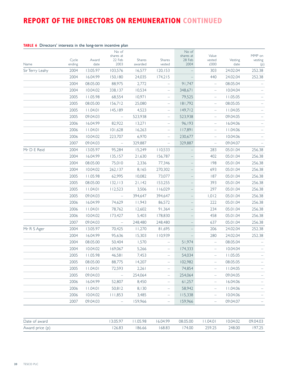# **REPORT OF THE DIRECTORS ON REMUNERATION CONTINUED**

#### **TABLE 6** Directors' interests in the long-term incentive plan

| Name            | Cycle<br>ending | Award<br>date | No of<br>shares at<br>22 Feb<br>2003 | Shares<br>awarded | Shares<br>vested         | No of<br>shares at<br>28 Feb<br>2004 | Value<br>vested<br>£000  | Vesting<br>date | MMP on<br>vesting<br>(p) |
|-----------------|-----------------|---------------|--------------------------------------|-------------------|--------------------------|--------------------------------------|--------------------------|-----------------|--------------------------|
| Sir Terry Leahy | 2004            | 13.05.97      | 103,576                              | 16,577            | 120, 153                 | $\equiv$                             | 303                      | 24.02.04        | 252.38                   |
|                 | 2004            | 16.04.99      | 150,180                              | 24,035            | 174,215                  | $\equiv$                             | 440                      | 24.02.04        | 252.38                   |
|                 | 2004            | 08.05.00      | 88,975                               | 2,772             | $\overline{\phantom{0}}$ | 91,747                               | $\overline{a}$           | 08.05.04        |                          |
|                 | 2004            | 10.04.02      | 338,137                              | 10,534            | $\qquad \qquad -$        | 348,671                              | $\qquad \qquad -$        | 10.04.04        |                          |
|                 | 2005            | 11.05.98      | 68,554                               | 10,971            | $\equiv$                 | 79,525                               | $\equiv$                 | 11.05.05        | $\overline{\phantom{0}}$ |
|                 | 2005            | 08.05.00      | 156,712                              | 25,080            | $\overline{\phantom{0}}$ | 181,792                              | $\overline{a}$           | 08.05.05        | $\overline{\phantom{0}}$ |
|                 | 2005            | 1.04.01       | 145, 189                             | 4,523             | $\overline{a}$           | 149,712                              |                          | 11.04.05        |                          |
|                 | 2005            | 09.04.03      |                                      | 523,938           |                          | 523,938                              |                          | 09.04.05        |                          |
|                 | 2006            | 16.04.99      | 82,922                               | 13,271            | $\overline{\phantom{0}}$ | 96,193                               | $\overline{\phantom{0}}$ | 16.04.06        |                          |
|                 | 2006            | 1.04.01       | 101,628                              | 16,263            | $\overline{\phantom{0}}$ | 117,891                              | $\overline{\phantom{0}}$ | 11.04.06        | $\overline{\phantom{0}}$ |
|                 | 2006            | 10.04.02      | 223,707                              | 6,970             | $\overline{\phantom{0}}$ | 230,677                              | $\overline{\phantom{0}}$ | 10.04.06        | $\overline{\phantom{0}}$ |
|                 | 2007            | 09.04.03      |                                      | 329,887           | $\overline{\phantom{a}}$ | 329,887                              | $\overline{a}$           | 09.04.07        |                          |
| Mr D E Reid     | 2004            | 13.05.97      | 95,284                               | 15,249            | 110,533                  | $\overline{\phantom{a}}$             | 283                      | 05.01.04        | 256.38                   |
|                 | 2004            | 16.04.99      | 135, 157                             | 21,630            | 156,787                  | $\overline{\phantom{0}}$             | 402                      | 05.01.04        | 256.38                   |
|                 | 2004            | 08.05.00      | 75,010                               | 2,336             | 77,346                   | $\qquad \qquad -$                    | 198                      | 05.01.04        | 256.38                   |
|                 | 2004            | 10.04.02      | 262,137                              | 8,165             | 270,302                  | $\qquad \qquad -$                    | 693                      | 05.01.04        | 256.38                   |
|                 | 2005            | 11.05.98      | 62,995                               | 10,082            | 73,077                   | $\qquad \qquad -$                    | 187                      | 05.01.04        | 256.38                   |
|                 | 2005            | 08.05.00      | 132, 113                             | 21,142            | 153,255                  | $\overline{\phantom{a}}$             | 393                      | 05.01.04        | 256.38                   |
|                 | 2005            | 1.04.01       | 112,523                              | 3,506             | 116,029                  | $\qquad \qquad -$                    | 297                      | 05.01.04        | 256.38                   |
|                 | 2005            | 09.04.03      | $\overline{\phantom{a}}$             | 394,647           | 394,647                  | $\qquad \qquad -$                    | 1,012                    | 05.01.04        | 256.38                   |
|                 | 2006            | 16.04.99      | 74,629                               | 11,943            | 86,572                   | $\qquad \qquad -$                    | 222                      | 05.01.04        | 256.38                   |
|                 | 2006            | 1.04.01       | 78,762                               | 12,602            | 91,364                   | $\qquad \qquad -$                    | 234                      | 05.01.04        | 256.38                   |
|                 | 2006            | 10.04.02      | 173,427                              | 5,403             | 178,830                  | $\overline{\phantom{0}}$             | 458                      | 05.01.04        | 256.38                   |
|                 | 2007            | 09.04.03      | $\overline{\phantom{a}}$             | 248,480           | 248,480                  | $\overline{\phantom{0}}$             | 637                      | 05.01.04        | 256.38                   |
| Mr R S Ager     | 2004            | 13.05.97      | 70,425                               | 11,270            | 81,695                   |                                      | 206                      | 24.02.04        | 252.38                   |
|                 | 2004            | 16.04.99      | 95,636                               | 15,303            | 110,939                  |                                      | 280                      | 24.02.04        | 252.38                   |
|                 | 2004            | 08.05.00      | 50,404                               | 1,570             | $\overline{\phantom{0}}$ | 51,974                               | $\equiv$                 | 08.05.04        |                          |
|                 | 2004            | 10.04.02      | 169,067                              | 5,266             | $\overline{\phantom{0}}$ | 174,333                              | $\overline{\phantom{0}}$ | 10.04.04        | $\overline{\phantom{0}}$ |
|                 | 2005            | 11.05.98      | 46,581                               | 7,453             | $\qquad \qquad -$        | 54,034                               | $\qquad \qquad -$        | 11.05.05        | $\overline{\phantom{0}}$ |
|                 | 2005            | 08.05.00      | 88,775                               | 14,207            | $\overline{\phantom{m}}$ | 102,982                              | $\overline{\phantom{0}}$ | 08.05.05        | $\overline{\phantom{0}}$ |
|                 | 2005            | 11.04.01      | 72,593                               | 2,261             | $\qquad \qquad -$        | 74,854                               | $\overline{\phantom{0}}$ | 11.04.05        | -                        |
|                 | 2005            | 09.04.03      | $\overline{\phantom{0}}$             | 254,064           | $\overline{a}$           | 254,064                              | $\overline{a}$           | 09.04.05        | $\overline{\phantom{0}}$ |
|                 | 2006            | 16.04.99      | 52,807                               | 8,450             | $\equiv$                 | 61,257                               | $\equiv$                 | 16.04.06        | $\overline{\phantom{0}}$ |
|                 | 2006            | 1.04.01       | 50,812                               | 8,130             | $\overline{\phantom{0}}$ | 58,942                               | $\overline{a}$           | 11.04.06        |                          |
|                 | 2006            | 10.04.02      | 111,853                              | 3,485             |                          | 115,338                              |                          | 10.04.06        |                          |
|                 | 2007            | 09.04.03      |                                      | 159,966           | $\overline{\phantom{0}}$ | 159,966                              | $\overline{\phantom{0}}$ | 09.04.07        |                          |

| Date of award   | 3.05.97 | 1.05.98 | 16.04.99 | 08.05.00 | 04.01 ، ا | 0.04.02 | 09.04.03 |
|-----------------|---------|---------|----------|----------|-----------|---------|----------|
| Award price (p) | 26.83   | 186.66  | 68.83    | 74.00    | 259.25    | 248.00  | 197.25   |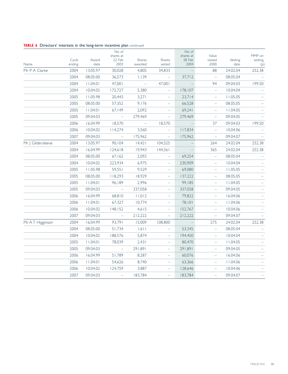#### **TABLE 6** Directors' interests in the long-term incentive plan continued

| Name              | Cycle<br>ending | Award<br>date | No of<br>shares at<br>22 Feb<br>2003 | Shares<br>awarded        | Shares<br>vested         | No of<br>shares at<br>28 Feb<br>2004 | Value<br>vested<br>£000  | Vesting<br>date | MMP on<br>vesting<br>(p) |
|-------------------|-----------------|---------------|--------------------------------------|--------------------------|--------------------------|--------------------------------------|--------------------------|-----------------|--------------------------|
| Mr P A Clarke     | 2004            | 13.05.97      | 30,028                               | 4,805                    | 34,833                   | $\qquad \qquad -$                    | 88                       | 24.02.04        | 252.38                   |
|                   | 2004            | 08.05.00      | 36,573                               | 1,139                    | $\qquad \qquad -$        | 37,712                               | $\overline{\phantom{a}}$ | 08.05.04        |                          |
|                   | 2004            | 11.04.01      | 47,001                               | $\overline{\phantom{a}}$ | 47,001                   | $\equiv$                             | 94                       | 09.04.03        | 199.50                   |
|                   | 2004            | 10.04.02      | 172,727                              | 5,380                    |                          | 178,107                              | $\overline{\phantom{0}}$ | 10.04.04        |                          |
|                   | 2005            | 11.05.98      | 20,443                               | 3,271                    | $\overline{\phantom{0}}$ | 23,714                               | $\overline{\phantom{0}}$ | 11.05.05        |                          |
|                   | 2005            | 08.05.00      | 57,352                               | 9,176                    | $\overline{\phantom{0}}$ | 66,528                               | $\overline{\phantom{0}}$ | 08.05.05        |                          |
|                   | 2005            | 11.04.01      | 67,149                               | 2,092                    | $\overline{\phantom{0}}$ | 69,241                               | $\equiv$                 | 11.04.05        |                          |
|                   | 2005            | 09.04.03      | $\overline{\phantom{a}}$             | 279,469                  | $\qquad \qquad -$        | 279,469                              | $\overline{\phantom{0}}$ | 09.04.05        |                          |
|                   | 2006            | 16.04.99      | 18,570                               | $\sim$ $-$               | 18,570                   | $\overline{\phantom{a}}$             | 37                       | 09.04.03        | 199.50                   |
|                   | 2006            | 10.04.02      | 114,274                              | 3,560                    | $\overline{\phantom{0}}$ | 117,834                              | $\qquad \qquad -$        | 10.04.06        |                          |
|                   | 2007            | 09.04.03      | $\overline{\phantom{a}}$             | 175,962                  | $\equiv$                 | 175,962                              | $\overline{\phantom{a}}$ | 09.04.07        |                          |
| Mr   Gildersleeve | 2004            | 13.05.97      | 90.104                               | 14,421                   | 104,525                  |                                      | 264                      | 24.02.04        | 252.38                   |
|                   | 2004            | 16.04.99      | 124,618                              | 19,943                   | 144,561                  |                                      | 365                      | 24.02.04        | 252.38                   |
|                   | 2004            | 08.05.00      | 67,162                               | 2,092                    | $\overline{\phantom{0}}$ | 69,254                               | $\overline{\phantom{a}}$ | 08.05.04        |                          |
|                   | 2004            | 10.04.02      | 223,934                              | 6,975                    | $\overline{\phantom{0}}$ | 230,909                              | $\overline{\phantom{0}}$ | 10.04.04        |                          |
|                   | 2005            | 11.05.98      | 59,551                               | 9,529                    | $\qquad \qquad -$        | 69,080                               | $\qquad \qquad -$        | 11.05.05        |                          |
|                   | 2005            | 08.05.00      | 118,293                              | 18,929                   | $\overline{\phantom{0}}$ | 137,222                              | $\qquad \qquad -$        | 08.05.05        |                          |
|                   | 2005            | 11.04.01      | 96,189                               | 2,996                    | $\overline{\phantom{0}}$ | 99,185                               | $\overline{\phantom{0}}$ | 11.04.05        |                          |
|                   | 2005            | 09.04.03      | $\overline{\phantom{a}}$             | 337,058                  | $\overline{\phantom{0}}$ | 337,058                              | $\overline{\phantom{0}}$ | 09.04.05        |                          |
|                   | 2006            | 16.04.99      | 68,810                               | 11,012                   | $\qquad \qquad -$        | 79,822                               | $\overline{\phantom{0}}$ | 16.04.06        | $\qquad \qquad -$        |
|                   | 2006            | 11.04.01      | 67,327                               | 10,774                   | $\qquad \qquad -$        | 78,101                               | $\overline{\phantom{0}}$ | 11.04.06        |                          |
|                   | 2006            | 10.04.02      | 148, 152                             | 4,615                    | $\overline{\phantom{0}}$ | 152,767                              | $\equiv$                 | 10.04.06        |                          |
|                   | 2007            | 09.04.03      | $\overline{\phantom{a}}$             | 212,222                  | $\qquad \qquad -$        | 212,222                              | $\qquad \qquad -$        | 09.04.07        |                          |
| Mr AT Higginson   | 2004            | 16.04.99      | 93,791                               | 15,009                   | 108,800                  | $\equiv$                             | 275                      | 24.02.04        | 252.38                   |
|                   | 2004            | 08.05.00      | 51,734                               | 1,611                    | $\overline{\phantom{0}}$ | 53,345                               | $\overline{\phantom{0}}$ | 08.05.04        |                          |
|                   | 2004            | 10.04.02      | 188,576                              | 5,874                    | $\overline{\phantom{0}}$ | 194,450                              | $\overline{\phantom{0}}$ | 10.04.04        |                          |
|                   | 2005            | 11.04.01      | 78,039                               | 2,431                    | $\overline{\phantom{0}}$ | 80,470                               | $\overline{\phantom{0}}$ | 11.04.05        |                          |
|                   | 2005            | 09.04.03      |                                      | 291,891                  | $\overline{\phantom{0}}$ | 291,891                              | $\overline{\phantom{0}}$ | 09.04.05        |                          |
|                   | 2006            | 16.04.99      | 51,789                               | 8,287                    | $\overline{\phantom{0}}$ | 60,076                               | $\overline{\phantom{0}}$ | 16.04.06        |                          |
|                   | 2006            | 1.04.01       | 54,626                               | 8,740                    | $\qquad \qquad -$        | 63,366                               | -                        | 11.04.06        |                          |
|                   | 2006            | 10.04.02      | 124,759                              | 3,887                    | $\qquad \qquad -$        | 128,646                              | $\qquad \qquad -$        | 10.04.06        |                          |
|                   | 2007            | 09.04.03      | $\overline{\phantom{m}}$             | 183,784                  | $\overline{\phantom{0}}$ | 183,784                              | $\overline{\phantom{0}}$ | 09.04.07        | $\overline{\phantom{0}}$ |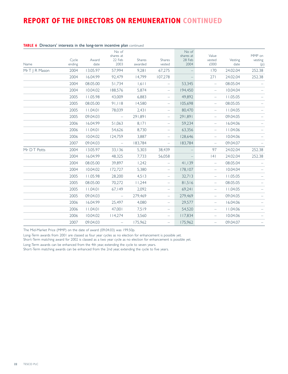# **REPORT OF THE DIRECTORS ON REMUNERATION CONTINUED**

| Name          | Cycle<br>ending | Award<br>date | No of<br>shares at<br>22 Feb<br>2003 | Shares<br>awarded | Shares<br>vested         | No of<br>shares at<br>28 Feb<br>2004 | Value<br>vested<br>£000  | Vesting<br>date | MMP on<br>vesting<br>(p) |
|---------------|-----------------|---------------|--------------------------------------|-------------------|--------------------------|--------------------------------------|--------------------------|-----------------|--------------------------|
| MrT J R Mason | 2004            | 13.05.97      | 57,994                               | 9,281             | 67,275                   |                                      | 170                      | 24.02.04        | 252.38                   |
|               | 2004            | 16.04.99      | 92,479                               | 14,799            | 107,278                  |                                      | 271                      | 24.02.04        | 252.38                   |
|               | 2004            | 08.05.00      | 51,734                               | 1,611             | $\qquad \qquad -$        | 53,345                               | $\qquad \qquad -$        | 08.05.04        |                          |
|               | 2004            | 10.04.02      | 188,576                              | 5,874             | $\qquad \qquad -$        | 194,450                              | $\overline{\phantom{0}}$ | 10.04.04        |                          |
|               | 2005            | 11.05.98      | 43,009                               | 6,883             | $\overline{\phantom{0}}$ | 49,892                               | $\overline{\phantom{0}}$ | 11.05.05        |                          |
|               | 2005            | 08.05.00      | 91,118                               | 14,580            | $\overline{\phantom{0}}$ | 105,698                              | $\overline{\phantom{0}}$ | 08.05.05        |                          |
|               | 2005            | 11.04.01      | 78,039                               | 2,431             | $\qquad \qquad -$        | 80,470                               | $\overline{\phantom{0}}$ | 11.04.05        |                          |
|               | 2005            | 09.04.03      | $\overline{\phantom{0}}$             | 291,891           | $\overline{\phantom{0}}$ | 291,891                              | $\overline{\phantom{0}}$ | 09.04.05        |                          |
|               | 2006            | 16.04.99      | 51,063                               | 8,171             | $\overline{\phantom{0}}$ | 59,234                               | $\overline{\phantom{0}}$ | 16.04.06        |                          |
|               | 2006            | 11.04.01      | 54,626                               | 8,730             | $\overline{\phantom{0}}$ | 63,356                               | $\overline{\phantom{0}}$ | 11.04.06        |                          |
|               | 2006            | 10.04.02      | 124,759                              | 3,887             | $\overline{\phantom{0}}$ | 128,646                              | $\overline{\phantom{0}}$ | 10.04.06        |                          |
|               | 2007            | 09.04.03      | $\overline{\phantom{m}}$             | 183,784           | $\overline{\phantom{m}}$ | 183,784                              | $\overline{\phantom{0}}$ | 09.04.07        |                          |
| Mr DT Potts   | 2004            | 13.05.97      | 33,136                               | 5,303             | 38,439                   |                                      | 97                       | 24.02.04        | 252.38                   |
|               | 2004            | 16.04.99      | 48,325                               | 7,733             | 56,058                   |                                      | 4                        | 24.02.04        | 252.38                   |
|               | 2004            | 08.05.00      | 39,897                               | 1,242             | $\overline{\phantom{0}}$ | 41,139                               | $\overline{\phantom{0}}$ | 08.05.04        |                          |
|               | 2004            | 10.04.02      | 172,727                              | 5,380             | $\qquad \qquad -$        | 178,107                              | $\qquad \qquad -$        | 10.04.04        |                          |
|               | 2005            | 11.05.98      | 28,200                               | 4,513             | $\overline{\phantom{0}}$ | 32,713                               | $\overline{\phantom{0}}$ | 11.05.05        |                          |
|               | 2005            | 08.05.00      | 70,272                               | 11,244            | $\overline{\phantom{0}}$ | 81,516                               | $\overline{\phantom{0}}$ | 08.05.05        |                          |
|               | 2005            | 11.04.01      | 67,149                               | 2,092             | $\overline{\phantom{m}}$ | 69,241                               | $\overline{\phantom{0}}$ | 11.04.05        |                          |
|               | 2005            | 09.04.03      | $\overline{\phantom{a}}$             | 279,469           | $\overline{\phantom{0}}$ | 279,469                              | $\overline{\phantom{0}}$ | 09.04.05        |                          |
|               | 2006            | 16.04.99      | 25,497                               | 4,080             | $\overline{\phantom{m}}$ | 29,577                               | $\overline{\phantom{0}}$ | 16.04.06        |                          |
|               | 2006            | 11.04.01      | 47,001                               | 7,519             | $\overline{\phantom{0}}$ | 54,520                               | $\overline{\phantom{0}}$ | 11.04.06        |                          |
|               | 2006            | 10.04.02      | 114,274                              | 3,560             | $\overline{\phantom{0}}$ | 117,834                              | $\overline{\phantom{0}}$ | 10.04.06        |                          |
|               | 2007            | 09.04.03      | $\qquad \qquad -$                    | 175,962           | $\overline{\phantom{0}}$ | 175,962                              | $\overline{\phantom{0}}$ | 09.04.07        |                          |
|               |                 |               |                                      |                   |                          |                                      |                          |                 |                          |

#### **TABLE 6** Directors' interests in the long-term incentive plan continued

The Mid-Market Price (MMP) on the date of award (09.04.03) was 199.50p.

Long-Term awards from 2001 are classed as four year cycles as no election for enhancement is possible yet.

Short-Term matching award for 2002 is classed as a two year cycle as no election for enhancement is possible yet.

Long-Term awards can be enhanced from the 4th year, extending the cycle to seven years.

Short-Term matching awards can be enhanced from the 2nd year, extending the cycle to five years.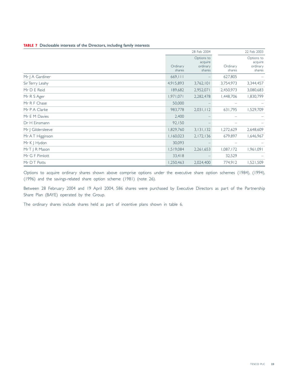#### **TABLE 7** Disclosable interests of the Directors, including family interests

|                   |                    | 28 Feb 2004                                 |                    | 22 Feb 2003                                 |
|-------------------|--------------------|---------------------------------------------|--------------------|---------------------------------------------|
|                   | Ordinary<br>shares | Options to<br>acquire<br>ordinary<br>shares | Ordinary<br>shares | Options to<br>acquire<br>ordinary<br>shares |
| Mr   A Gardiner   | 669, 111           |                                             | 627,805            |                                             |
| Sir Terry Leahy   | 4,915,893          | 3,762,101                                   | 3,754,973          | 3,344,457                                   |
| Mr D E Reid       | 189,682            | 2,952,071                                   | 2,450,973          | 3,080,683                                   |
| Mr R S Ager       | 1,971,071          | 2,282,478                                   | 1,448,706          | 1,830,799                                   |
| Mr R F Chase      | 50,000             |                                             |                    |                                             |
| Mr P A Clarke     | 983,778            | 2,031,112                                   | 631,795            | 1,529,709                                   |
| Mr E M Davies     | 2,400              |                                             |                    |                                             |
| Dr H Einsmann     | 92,150             |                                             |                    |                                             |
| Mr   Gildersleeve | 1,829,760          | 3,131,132                                   | 1,272,629          | 2,648,609                                   |
| Mr AT Higginson   | 1,160,023          | 2,172,136                                   | 679,897            | 1,646,967                                   |
| Mr K   Hydon      | 30,093             |                                             |                    |                                             |
| Mr T   R Mason    | 1,519,084          | 2,261,653                                   | 1,087,172          | 1,961,091                                   |
| Mr G F Pimlott    | 33,418             |                                             | 32,529             |                                             |
| Mr DT Potts       | 1,250,463          | 2,024,400                                   | 774,912            | 1,521,509                                   |

Options to acquire ordinary shares shown above comprise options under the executive share option schemes (1984), (1994), (1996) and the savings-related share option scheme (1981) (note 26).

Between 28 February 2004 and 19 April 2004, 586 shares were purchased by Executive Directors as part of the Partnership Share Plan (BAYE) operated by the Group.

The ordinary shares include shares held as part of incentive plans shown in table 6.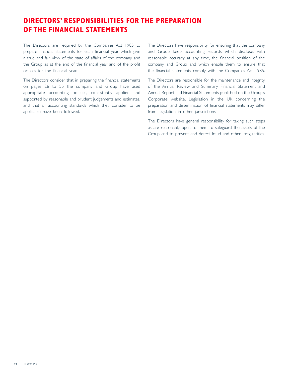### **DIRECTORS' RESPONSIBILITIES FOR THE PREPARATION OF THE FINANCIAL STATEMENTS**

The Directors are required by the Companies Act 1985 to prepare financial statements for each financial year which give a true and fair view of the state of affairs of the company and the Group as at the end of the financial year and of the profit or loss for the financial year.

The Directors consider that in preparing the financial statements on pages 26 to 55 the company and Group have used appropriate accounting policies, consistently applied and supported by reasonable and prudent judgements and estimates, and that all accounting standards which they consider to be applicable have been followed.

The Directors have responsibility for ensuring that the company and Group keep accounting records which disclose, with reasonable accuracy at any time, the financial position of the company and Group and which enable them to ensure that the financial statements comply with the Companies Act 1985.

The Directors are responsible for the maintenance and integrity of the Annual Review and Summary Financial Statement and Annual Report and Financial Statements published on the Groupís Corporate website. Legislation in the UK concerning the preparation and dissemination of financial statements may differ from legislation in other jurisdictions.

The Directors have general responsibility for taking such steps as are reasonably open to them to safeguard the assets of the Group and to prevent and detect fraud and other irregularities.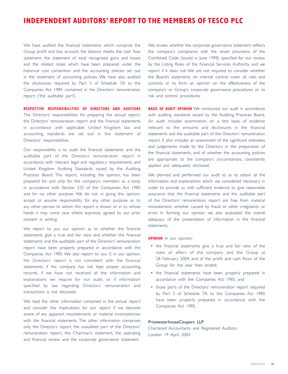### **INDEPENDENT AUDITORS' REPORT TO THE MEMBERS OF TESCO PLC**

We have audited the financial statements which comprise the Group profit and loss account, the balance sheets, the cash flow statement, the statement of total recognised gains and losses and the related notes which have been prepared under the historical cost convention and the accounting policies set out in the statement of accounting policies. We have also audited the disclosures required by Part 3 of Schedule 7A to the Companies Act 1985 contained in the Directors' remuneration report ('the auditable part').

#### **RESPECTIVE RESPONSIBILITIES OF DIRECTORS AND AUDITORS**

The Directors' responsibilities for preparing the annual report, the Directors' remuneration report and the financial statements in accordance with applicable United Kingdom law and accounting standards are set out in the statement of Directors' responsibilities.

Our responsibility is to audit the financial statements and the auditable part of the Directors' remuneration report in accordance with relevant legal and regulatory requirements and United Kingdom Auditing Standards issued by the Auditing Practices Board. This report, including the opinion, has been prepared for and only for the company's members as a body in accordance with Section 235 of the Companies Act 1985 and for no other purpose. We do not, in giving this opinion, accept or assume responsibility for any other purpose or to any other person to whom this report is shown or in to whose hands it may come save where expressly agreed by our prior consent in writing.

We report to you our opinion as to whether the financial statements give a true and fair view and whether the financial statements and the auditable part of the Directors' remuneration report have been properly prepared in accordance with the Companies Act 1985. We also report to you if, in our opinion, the Directorsí report is not consistent with the financial statements, if the company has not kept proper accounting records, if we have not received all the information and explanations we require for our audit, or if information specified by law regarding Directors' remuneration and transactions is not disclosed.

We read the other information contained in the annual report and consider the implications for our report if we become aware of any apparent misstatements or material inconsistencies with the financial statements. The other information comprises only the Directors' report, the unaudited part of the Directors' remuneration report, the Chairmanís statement, the operating and financial review and the corporate governance statement.

We review whether the corporate governance statement reflects the companyís compliance with the seven provisions of the Combined Code (issued in June 1998) specified for our review by the Listing Rules of the Financial Services Authority, and we report if it does not. We are not required to consider whether the Board's statements on internal control cover all risks and controls, or to form an opinion on the effectiveness of the companyís or Groupís corporate governance procedures or its risk and control procedures.

**BASIS OF AUDIT OPINION** We conducted our audit in accordance with auditing standards issued by the Auditing Practices Board. An audit includes examination, on a test basis, of evidence relevant to the amounts and disclosures in the financial statements and the auditable part of the Directors' remuneration report. It also includes an assessment of the significant estimates and judgements made by the Directors in the preparation of the financial statements, and of whether the accounting policies are appropriate to the company's circumstances, consistently applied and adequately disclosed.

We planned and performed our audit so as to obtain all the information and explanations which we considered necessary in order to provide us with sufficient evidence to give reasonable assurance that the financial statements and the auditable part of the Directors' remuneration report are free from material misstatement, whether caused by fraud or other irregularity or error. In forming our opinion we also evaluated the overall adequacy of the presentation of information in the financial statements.

#### **OPINION** In our opinion:

- the financial statements give a true and fair view of the state of affairs of the company and the Group at 28 February 2004 and of the profit and cash flows of the Group for the year then ended;
- the financial statements have been properly prepared in accordance with the Companies Act 1985; and
- those parts of the Directors' remuneration report required by Part 3 of Schedule 7A to the Companies Act 1985 have been properly prepared in accordance with the Companies Act 1985.

#### PricewaterhouseCoopers LLP

Chartered Accountants and Registered Auditors London 19 April 2004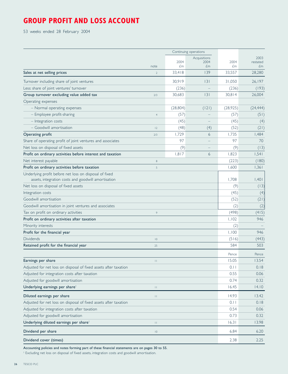### **GROUP PROFIT AND LOSS ACCOUNT**

53 weeks ended 28 February 2004

|                                                                  | Continuing operations      |            |                            |            |                        |
|------------------------------------------------------------------|----------------------------|------------|----------------------------|------------|------------------------|
|                                                                  | note                       | 2004<br>£m | Acquisitions<br>2004<br>£m | 2004<br>£m | 2003<br>restated<br>£m |
| Sales at net selling prices                                      | $\mathbf{2}$               | 33,418     | 139                        | 33,557     | 28,280                 |
| Turnover including share of joint ventures                       |                            | 30,919     | 3                          | 31,050     | 26,197                 |
| Less: share of joint ventures' turnover                          |                            | (236)      |                            | (236)      | (193)                  |
| Group turnover excluding value added tax                         | 2/3                        | 30,683     | 3                          | 30,814     | 26,004                 |
| Operating expenses                                               |                            |            |                            |            |                        |
| - Normal operating expenses                                      |                            | (28, 804)  | (121)                      | (28, 925)  | (24, 444)              |
| - Employee profit-sharing                                        | $\overline{4}$             | (57)       | $\overline{\phantom{0}}$   | (57)       | (51)                   |
| - Integration costs                                              |                            | (45)       |                            | (45)       | (4)                    |
| - Goodwill amortisation                                          | 12                         | (48)       | (4)                        | (52)       | (21)                   |
| Operating profit                                                 | 2/3                        | 1,729      | 6                          | 1,735      | 1,484                  |
| Share of operating profit of joint ventures and associates       |                            | 97         |                            | 97         | 70                     |
| Net loss on disposal of fixed assets                             |                            | (9)        |                            | (9)        | (13)                   |
| Profit on ordinary activities before interest and taxation       |                            | 1,817      | 6                          | 1,823      | 1,541                  |
| Net interest payable                                             | $\,$ 8 $\,$                |            |                            | (223)      | (180)                  |
| Profit on ordinary activities before taxation                    | 5                          |            |                            | 1,600      | 1,361                  |
| Underlying profit before net loss on disposal of fixed           |                            |            |                            |            |                        |
| assets, integration costs and goodwill amortisation              |                            |            |                            | 1,708      | 1,401                  |
| Net loss on disposal of fixed assets                             |                            |            |                            | (9)        | (13)                   |
| Integration costs                                                |                            |            |                            | (45)       | (4)                    |
| Goodwill amortisation                                            |                            |            |                            | (52)       | (21)                   |
| Goodwill amortisation in joint ventures and associates           |                            |            |                            | (2)        | (2)                    |
| Tax on profit on ordinary activities                             | 9                          |            |                            | (498)      | (415)                  |
| Profit on ordinary activities after taxation                     |                            |            |                            | 1,102      | 946                    |
| Minority interests                                               |                            |            |                            | (2)        |                        |
| Profit for the financial year                                    |                            |            |                            | 1,100      | 946                    |
| Dividends                                                        | 10                         |            |                            | (516)      | (443)                  |
| Retained profit for the financial year                           | 25                         |            |                            | 584        | 503                    |
|                                                                  |                            |            |                            | Pence      | Pence                  |
| Earnings per share                                               | $\left\vert \ \right\vert$ |            |                            | 15.05      | 13.54                  |
| Adjusted for net loss on disposal of fixed assets after taxation |                            |            |                            | 0.11       | 0.18                   |
| Adjusted for integration costs after taxation                    |                            |            |                            | 0.55       | 0.06                   |
| Adjusted for goodwill amortisation                               |                            |            |                            | 0.74       | 0.32                   |
| Underlying earnings per share <sup>+</sup>                       | $\vert \ \vert$            |            |                            | 16.45      | 14.10                  |
| Diluted earnings per share                                       | $\left\vert \ \right\vert$ |            |                            | 14.93      | 13.42                  |
| Adjusted for net loss on disposal of fixed assets after taxation |                            |            |                            | 0.11       | 0.18                   |
| Adjusted for integration costs after taxation                    |                            |            |                            | 0.54       | 0.06                   |
| Adjusted for goodwill amortisation                               |                            |            |                            | 0.73       | 0.32                   |
| Underlying diluted earnings per share <sup>†</sup>               | $\mid \; \; \mid$          |            |                            | 16.31      | 13.98                  |
| Dividend per share                                               | 10                         |            |                            | 6.84       | 6.20                   |
| Dividend cover (times)                                           |                            |            |                            | 2.38       | 2.25                   |

Accounting policies and notes forming part of these financial statements are on pages 30 to 55.

<sup>+</sup> Excluding net loss on disposal of fixed assets, integration costs and goodwill amortisation.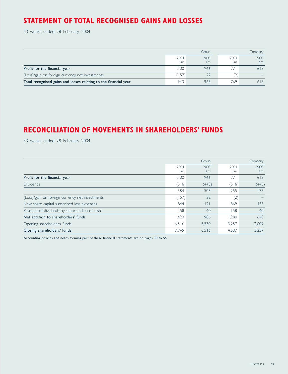# **STATEMENT OF TOTAL RECOGNISED GAINS AND LOSSES**

53 weeks ended 28 February 2004

|                                                                  |            | Group      |            | Company                 |
|------------------------------------------------------------------|------------|------------|------------|-------------------------|
|                                                                  | 2004<br>£m | 2003<br>km | 2004<br>£m | 2003<br>$\mathcal{L}$ m |
| Profit for the financial year                                    | I.IOO      | 946        |            | 618                     |
| (Loss)/gain on foreign currency net investments                  | 157        |            |            |                         |
| Total recognised gains and losses relating to the financial year | 943        | 968        | 769        | 618                     |

### **RECONCILIATION OF MOVEMENTS IN SHAREHOLDERS' FUNDS**

53 weeks ended 28 February 2004

|                                                 |            | Group                   |            | Company                 |
|-------------------------------------------------|------------|-------------------------|------------|-------------------------|
|                                                 | 2004<br>£m | 2003<br>$\mathcal{L}$ m | 2004<br>£m | 2003<br>$\mathcal{L}$ m |
| Profit for the financial year                   | 1.100      | 946                     | 771        | 618                     |
| <b>Dividends</b>                                | (516)      | (443)                   | (516)      | (443)                   |
|                                                 | 584        | 503                     | 255        | 175                     |
| (Loss)/gain on foreign currency net investments | (157)      | 22                      | (2)        |                         |
| New share capital subscribed less expenses      | 844        | 421                     | 869        | 433                     |
| Payment of dividends by shares in lieu of cash  | 158        | 40                      | 158        | 40                      |
| Net addition to shareholders' funds             | l,429      | 986                     | .280       | 648                     |
| Opening shareholders' funds                     | 6,516      | 5,530                   | 3.257      | 2,609                   |
| Closing shareholders' funds                     | 7,945      | 6,516                   | 4,537      | 3.257                   |

Accounting policies and notes forming part of these financial statements are on pages 30 to 55.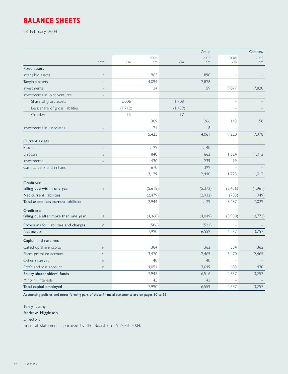# **BALANCE SHEETS**

28 February 2004

|                                        |      |         |          | Group    |          | Company        |             |
|----------------------------------------|------|---------|----------|----------|----------|----------------|-------------|
|                                        |      |         | 2004     |          | 2003     | 2004           | 2003        |
|                                        | note | £m      | £m       | £m       | Em       | £m             | $\pounds$ m |
| <b>Fixed assets</b>                    |      |         |          |          |          |                |             |
| Intangible assets                      | 12   |         | 965      |          | 890      | $\overline{a}$ |             |
| Tangible assets                        | 13   |         | 14,094   |          | 12,828   |                |             |
| Investments                            | 4    |         | 34       |          | 59       | 9,077          | 7,820       |
| Investments in joint ventures          | 4    |         |          |          |          |                |             |
| Share of gross assets                  |      | 2,006   |          | 1,708    |          |                |             |
| Less: share of gross liabilities       |      | (1,712) |          | (1, 459) |          |                |             |
| Goodwill                               |      | 15      |          | 17       |          |                |             |
|                                        |      |         | 309      |          | 266      | 43             | 158         |
| Investments in associates              | 4    |         | 21       |          | 18       |                |             |
|                                        |      |         | 15,423   |          | 14,061   | 9,220          | 7,978       |
| <b>Current assets</b>                  |      |         |          |          |          |                |             |
| <b>Stocks</b>                          | 15   |         | 1,199    |          | 1,140    |                |             |
| Debtors                                | 16   |         | 840      |          | 662      | 1,624          | 1,012       |
| Investments                            | 17   |         | 430      |          | 239      | 99             |             |
| Cash at bank and in hand               |      |         | 670      |          | 399      |                |             |
|                                        |      |         | 3,139    |          | 2,440    | 1,723          | 1,012       |
| Creditors:                             |      |         |          |          |          |                |             |
| falling due within one year            | 8    |         | (5,618)  |          | (5, 372) | (2, 456)       | (1,961)     |
| Net current liabilities                |      |         | (2, 479) |          | (2,932)  | (733)          | (949)       |
| Total assets less current liabilities  |      |         | 12,944   |          | 11,129   | 8,487          | 7,029       |
| Creditors:                             |      |         |          |          |          |                |             |
| falling due after more than one year   | 9    |         | (4,368)  |          | (4,049)  | (3,950)        | (3,772)     |
| Provisions for liabilities and charges | 22   |         | (586)    |          | (521)    |                |             |
| Net assets                             |      |         | 7,990    |          | 6,559    | 4,537          | 3.257       |
| Capital and reserves                   |      |         |          |          |          |                |             |
| Called up share capital                | 24   |         | 384      |          | 362      | 384            | 362         |
| Share premium account                  | 25   |         | 3,470    |          | 2,465    | 3,470          | 2,465       |
| Other reserves                         | 25   |         | 40       |          | 40       |                |             |
| Profit and loss account                | 25   |         | 4,051    |          | 3,649    | 683            | 430         |
| Equity shareholders' funds             |      |         | 7,945    |          | 6,516    | 4,537          | 3,257       |
| Minority interests                     |      |         | 45       |          | 43       |                |             |
| Total capital employed                 |      |         | 7,990    |          | 6,559    | 4,537          | 3,257       |

Accounting policies and notes forming part of these financial statements are on pages 30 to 55.

#### Terry Leahy

#### Andrew Higginson

#### Directors

Financial statements approved by the Board on 19 April 2004.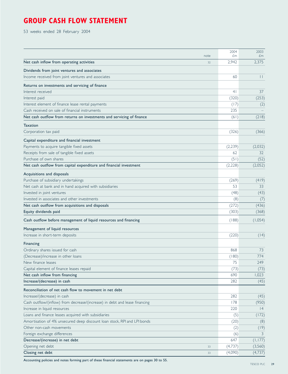# **GROUP CASH FLOW STATEMENT**

53 weeks ended 28 February 2004

|                                                                            | 2004           | 2003        |
|----------------------------------------------------------------------------|----------------|-------------|
| note<br>Net cash inflow from operating activities<br>32                    | £m<br>2,942    | £m<br>2,375 |
|                                                                            |                |             |
| Dividends from joint ventures and associates                               |                |             |
| Income received from joint ventures and associates                         | 60             | $\perp$     |
| Returns on investments and servicing of finance                            |                |             |
| Interest received                                                          | 4 <sub>1</sub> | 37          |
| Interest paid                                                              | (320)          | (253)       |
| Interest element of finance lease rental payments                          | (17)           | (2)         |
| Cash received on sale of financial instruments                             | 235            |             |
| Net cash outflow from returns on investments and servicing of finance      | (61)           | (218)       |
| <b>Taxation</b>                                                            |                |             |
| Corporation tax paid                                                       | (326)          | (366)       |
| Capital expenditure and financial investment                               |                |             |
| Payments to acquire tangible fixed assets                                  | (2, 239)       | (2,032)     |
| Receipts from sale of tangible fixed assets                                | 62             | 32          |
| Purchase of own shares                                                     | (51)           | (52)        |
| Net cash outflow from capital expenditure and financial investment         | (2,228)        | (2,052)     |
| Acquisitions and disposals                                                 |                |             |
| Purchase of subsidiary undertakings                                        | (269)          | (419)       |
| Net cash at bank and in hand acquired with subsidiaries                    | 53             | 33          |
| Invested in joint ventures                                                 | (48)           | (43)        |
| Invested in associates and other investments                               | (8)            | (7)         |
| Net cash outflow from acquisitions and disposals                           | (272)          | (436)       |
| Equity dividends paid                                                      | (303)          | (368)       |
| Cash outflow before management of liquid resources and financing           | (188)          | (1,054)     |
| Management of liquid resources                                             |                |             |
| Increase in short-term deposits                                            | (220)          | (14)        |
| Financing                                                                  |                |             |
| Ordinary shares issued for cash                                            | 868            | 73          |
| (Decrease)/increase in other loans                                         | (180)          | 774         |
| New finance leases                                                         | 75             | 249         |
| Capital element of finance leases repaid                                   | (73)           | (73)        |
| Net cash inflow from financing                                             | 690            | 1,023       |
| Increase/(decrease) in cash                                                | 282            | (45)        |
| Reconciliation of net cash flow to movement in net debt                    |                |             |
| Increase/(decrease) in cash                                                | 282            | (45)        |
| Cash outflow/(inflow) from decrease/(increase) in debt and lease financing | 178            | (950)       |
| Increase in liquid resources                                               | 220            | 4           |
| Loans and finance leases acquired with subsidiaries                        | (5)            | (172)       |
| Amortisation of 4% unsecured deep discount loan stock, RPI and LPI bonds   | (20)           | (8)         |
| Other non-cash movements                                                   | (2)            | (19)        |
| Foreign exchange differences                                               | (6)            | 3           |
| Decrease/(increase) in net debt                                            | 647            | (1, 177)    |
| Opening net debt<br>33                                                     | (4,737)        | (3,560)     |
| Closing net debt<br>33                                                     | (4,090)        | (4,737)     |

Accounting policies and notes forming part of these financial statements are on pages 30 to 55.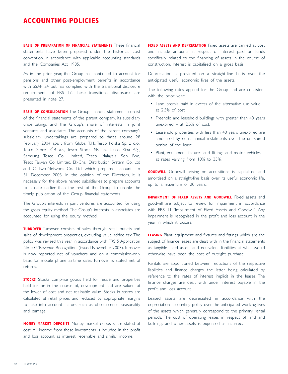### **ACCOUNTING POLICIES**

**BASIS OF PREPARATION OF FINANCIAL STATEMENTS** These financial statements have been prepared under the historical cost convention, in accordance with applicable accounting standards and the Companies Act 1985.

As in the prior year, the Group has continued to account for pensions and other post-employment benefits in accordance with SSAP 24 but has complied with the transitional disclosure requirements of FRS 17. These transitional disclosures are presented in note 27.

**BASIS OF CONSOLIDATION** The Group financial statements consist of the financial statements of the parent company, its subsidiary undertakings and the Groupís share of interests in joint ventures and associates. The accounts of the parent companyís subsidiary undertakings are prepared to dates around 28 February 2004 apart from Global T.H., Tesco Polska Sp. z o.o., Tesco Stores ČR a.s., Tesco Stores SR a.s., Tesco Kipa A.S., Samsung Tesco Co. Limited, Tesco Malaysia Sdn Bhd, Tesco Taiwan Co. Limited, Ek-Chai Distribution System Co. Ltd and C Two-Network Co. Ltd which prepared accounts to 31 December 2003. In the opinion of the Directors, it is necessary for the above named subsidiaries to prepare accounts to a date earlier than the rest of the Group to enable the timely publication of the Group financial statements.

The Group's interests in joint ventures are accounted for using the gross equity method. The Group's interests in associates are accounted for using the equity method.

**TURNOVER** Turnover consists of sales through retail outlets and sales of development properties, excluding value added tax. The policy was revised this year in accordance with FRS 5 Application Note G 'Revenue Recognition' (issued November 2003). Turnover is now reported net of vouchers and on a commission-only basis for mobile phone airtime sales. Turnover is stated net of returns.

**STOCKS** Stocks comprise goods held for resale and properties held for, or in the course of, development and are valued at the lower of cost and net realisable value. Stocks in stores are calculated at retail prices and reduced by appropriate margins to take into account factors such as obsolescence, seasonality and damage.

**MONEY MARKET DEPOSITS** Money market deposits are stated at cost. All income from these investments is included in the profit and loss account as interest receivable and similar income.

**FIXED ASSETS AND DEPRECIATION** Fixed assets are carried at cost and include amounts in respect of interest paid on funds specifically related to the financing of assets in the course of construction. Interest is capitalised on a gross basis.

Depreciation is provided on a straight-line basis over the anticipated useful economic lives of the assets.

The following rates applied for the Group and are consistent with the prior year:

- $\cdot$  Land premia paid in excess of the alternative use value  $\overline{\phantom{a}}$ at 2.5% of cost.
- Freehold and leasehold buildings with greater than 40 years unexpired  $-$  at 2.5% of cost.
- Leasehold properties with less than 40 years unexpired are amortised by equal annual instalments over the unexpired period of the lease.
- Plant, equipment, fixtures and fittings and motor vehicles at rates varying from 10% to 33%.

**GOODWILL** Goodwill arising on acquisitions is capitalised and amortised on a straight-line basis over its useful economic life, up to a maximum of 20 years.

**IMPAIRMENT OF FIXED ASSETS AND GOODWILL** Fixed assets and goodwill are subject to review for impairment in accordance with FRS 11, 'Impairment of Fixed Assets and Goodwill'. Any impairment is recognised in the profit and loss account in the year in which it occurs.

**LEASING** Plant, equipment and fixtures and fittings which are the subject of finance leases are dealt with in the financial statements as tangible fixed assets and equivalent liabilities at what would otherwise have been the cost of outright purchase.

Rentals are apportioned between reductions of the respective liabilities and finance charges, the latter being calculated by reference to the rates of interest implicit in the leases. The finance charges are dealt with under interest payable in the profit and loss account.

Leased assets are depreciated in accordance with the depreciation accounting policy over the anticipated working lives of the assets which generally correspond to the primary rental periods. The cost of operating leases in respect of land and buildings and other assets is expensed as incurred.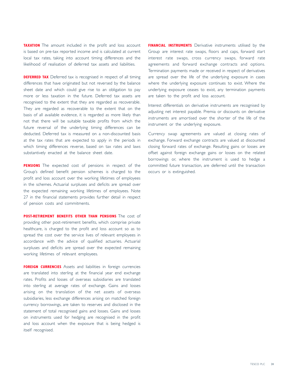**TAXATION** The amount included in the profit and loss account is based on pre-tax reported income and is calculated at current local tax rates, taking into account timing differences and the likelihood of realisation of deferred tax assets and liabilities.

**DEFERRED TAX** Deferred tax is recognised in respect of all timing differences that have originated but not reversed by the balance sheet date and which could give rise to an obligation to pay more or less taxation in the future. Deferred tax assets are recognised to the extent that they are regarded as recoverable. They are regarded as recoverable to the extent that on the basis of all available evidence, it is regarded as more likely than not that there will be suitable taxable profits from which the future reversal of the underlying timing differences can be deducted. Deferred tax is measured on a non-discounted basis at the tax rates that are expected to apply in the periods in which timing differences reverse, based on tax rates and laws substantively enacted at the balance sheet date.

**PENSIONS** The expected cost of pensions in respect of the Groupís defined benefit pension schemes is charged to the profit and loss account over the working lifetimes of employees in the schemes. Actuarial surpluses and deficits are spread over the expected remaining working lifetimes of employees. Note 27 in the financial statements provides further detail in respect of pension costs and commitments.

**POST-RETIREMENT BENEFITS OTHER THAN PENSIONS** The cost of providing other post-retirement benefits, which comprise private healthcare, is charged to the profit and loss account so as to spread the cost over the service lives of relevant employees in accordance with the advice of qualified actuaries. Actuarial surpluses and deficits are spread over the expected remaining working lifetimes of relevant employees.

**FOREIGN CURRENCIES** Assets and liabilities in foreign currencies are translated into sterling at the financial year end exchange rates. Profits and losses of overseas subsidiaries are translated into sterling at average rates of exchange. Gains and losses arising on the translation of the net assets of overseas subsidiaries, less exchange differences arising on matched foreign currency borrowings, are taken to reserves and disclosed in the statement of total recognised gains and losses. Gains and losses on instruments used for hedging are recognised in the profit and loss account when the exposure that is being hedged is itself recognised.

**FINANCIAL INSTRUMENTS** Derivative instruments utilised by the Group are interest rate swaps, floors and caps, forward start interest rate swaps, cross currency swaps, forward rate agreements and forward exchange contracts and options. Termination payments made or received in respect of derivatives are spread over the life of the underlying exposure in cases where the underlying exposure continues to exist. Where the underlying exposure ceases to exist, any termination payments are taken to the profit and loss account.

Interest differentials on derivative instruments are recognised by adjusting net interest payable. Premia or discounts on derivative instruments are amortised over the shorter of the life of the instrument or the underlying exposure.

Currency swap agreements are valued at closing rates of exchange. Forward exchange contracts are valued at discounted closing forward rates of exchange. Resulting gains or losses are offset against foreign exchange gains or losses on the related borrowings or, where the instrument is used to hedge a committed future transaction, are deferred until the transaction occurs or is extinguished.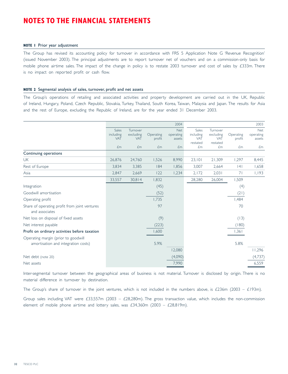# **NOTES TO THE FINANCIAL STATEMENTS**

#### **NOTE 1** Prior year adjustment

The Group has revised its accounting policy for turnover in accordance with FRS 5 Application Note G 'Revenue Recognition' (issued November 2003). The principal adjustments are to report turnover net of vouchers and on a commission-only basis for mobile phone airtime sales. The impact of the change in policy is to restate 2003 turnover and cost of sales by £333m. There is no impact on reported profit or cash flow.

#### **NOTE 2** Segmental analysis of sales, turnover, profit and net assets

The Groupís operations of retailing and associated activities and property development are carried out in the UK, Republic of Ireland, Hungary, Poland, Czech Republic, Slovakia, Turkey, Thailand, South Korea, Taiwan, Malaysia and Japan. The results for Asia and the rest of Europe, excluding the Republic of Ireland, are for the year ended 31 December 2003.

|                                                                            |                                  |                                     |                     | 2004                              |                                                     |                                                 |                     | 2003                              |
|----------------------------------------------------------------------------|----------------------------------|-------------------------------------|---------------------|-----------------------------------|-----------------------------------------------------|-------------------------------------------------|---------------------|-----------------------------------|
|                                                                            | Sales<br>including<br><b>VAT</b> | Turnover<br>excluding<br><b>VAT</b> | Operating<br>profit | <b>Net</b><br>operating<br>assets | <b>Sales</b><br>including<br><b>VAT</b><br>restated | Turnover<br>excluding<br><b>VAT</b><br>restated | Operating<br>profit | <b>Net</b><br>operating<br>assets |
|                                                                            | Em                               | Em                                  | Em                  | £m                                | £m                                                  | £m                                              | £m                  | £m                                |
| Continuing operations                                                      |                                  |                                     |                     |                                   |                                                     |                                                 |                     |                                   |
| <b>UK</b>                                                                  | 26,876                           | 24,760                              | 1,526               | 8,990                             | 23,101                                              | 21,309                                          | 1,297               | 8,445                             |
| Rest of Europe                                                             | 3,834                            | 3,385                               | 184                 | 1,856                             | 3,007                                               | 2,664                                           | 4                   | 1,658                             |
| Asia                                                                       | 2,847                            | 2,669                               | 122                 | 1,234                             | 2,172                                               | 2,031                                           | 71                  | 1,193                             |
|                                                                            | 33,557                           | 30,814                              | 1,832               |                                   | 28,280                                              | 26,004                                          | 1,509               |                                   |
| Integration                                                                |                                  |                                     | (45)                |                                   |                                                     |                                                 | (4)                 |                                   |
| Goodwill amortisation                                                      |                                  |                                     | (52)                |                                   |                                                     |                                                 | (21)                |                                   |
| Operating profit                                                           |                                  |                                     | 1,735               |                                   |                                                     |                                                 | 1,484               |                                   |
| Share of operating profit from joint ventures<br>and associates            |                                  |                                     | 97                  |                                   |                                                     |                                                 | 70                  |                                   |
| Net loss on disposal of fixed assets                                       |                                  |                                     | (9)                 |                                   |                                                     |                                                 | (13)                |                                   |
| Net interest payable                                                       |                                  |                                     | (223)               |                                   |                                                     |                                                 | (180)               |                                   |
| Profit on ordinary activities before taxation                              |                                  |                                     | 1,600               |                                   |                                                     |                                                 | 1,361               |                                   |
| Operating margin (prior to goodwill<br>amortisation and integration costs) |                                  |                                     | 5.9%                |                                   |                                                     |                                                 | 5.8%                |                                   |
|                                                                            |                                  |                                     |                     | 12,080                            |                                                     |                                                 |                     | 11,296                            |
| Net debt (note 20)                                                         |                                  |                                     |                     | (4,090)                           |                                                     |                                                 |                     | (4,737)                           |
| Net assets                                                                 |                                  |                                     |                     | 7,990                             |                                                     |                                                 |                     | 6,559                             |
|                                                                            |                                  |                                     |                     |                                   |                                                     |                                                 |                     |                                   |

Inter-segmental turnover between the geographical areas of business is not material. Turnover is disclosed by origin. There is no material difference in turnover by destination.

The Group's share of turnover in the joint ventures, which is not included in the numbers above, is £236m (2003 - £193m).

Group sales including VAT were £33,557m (2003 - £28,280m). The gross transaction value, which includes the non-commission element of mobile phone airtime and lottery sales, was £34,360m (2003 - £28,819m).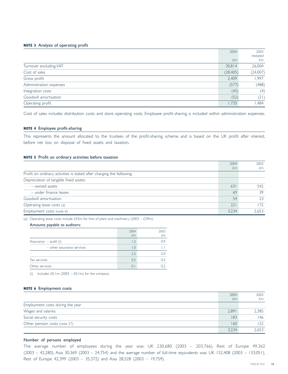#### **NOTE 3** Analysis of operating profit

|                         | 2004      | 2003     |
|-------------------------|-----------|----------|
|                         |           | restated |
|                         | £m        | £m       |
| Turnover excluding VAT  | 30,814    | 26,004   |
| Cost of sales           | (28, 405) | (24,007) |
| Gross profit            | 2,409     | 1.997    |
| Administration expenses | (577      | (488)    |
| Integration costs       | (45)      | (4)      |
| Goodwill amortisation   | (52)      | (21)     |
| Operating profit        | 1,735     | .484     |

Cost of sales includes distribution costs and store operating costs. Employee profit-sharing is included within administration expenses.

#### **NOTE 4** Employee profit-sharing

This represents the amount allocated to the trustees of the profit-sharing scheme and is based on the UK profit after interest, before net loss on disposal of fixed assets and taxation.

#### **NOTE 5** Profit on ordinary activities before taxation

|                                                                       | 2004  | 2003  |
|-----------------------------------------------------------------------|-------|-------|
|                                                                       | Em    | £m    |
| Profit on ordinary activities is stated after charging the following: |       |       |
| Depreciation of tangible fixed assets:                                |       |       |
| - owned assets                                                        | 631   | 542   |
| - under finance leases                                                | 69    | 39    |
| Goodwill amortisation                                                 | 54    | 23    |
| Operating lease costs (a)                                             | 221   | 172   |
| Employment costs (note 6)                                             | 3.234 | 2.653 |

(a) Operating lease costs include £55m for hire of plant and machinery (2003  $-$  £39m).

#### Amounts payable to auditors:

|                            | 2004<br>Em       | 2003<br>£m |
|----------------------------|------------------|------------|
| Assurance – audit (i)      | 1.2              | 09         |
| - other assurance services | $\overline{1.0}$ |            |
|                            | 2.2              | 2.0        |
| Tax services               | 0.5              | 0.5        |
| Other services             | 0.1              |            |

(i) Includes  $£0.1m (2003 – £0.1m)$  for the company.

#### **NOTE 6** Employment costs

|                                  | 2004           | 2003    |
|----------------------------------|----------------|---------|
|                                  | f <sub>m</sub> | £m      |
| Employment costs during the year |                |         |
| Wages and salaries               | 2.891          | 2,385   |
| Social security costs            | 183            | 146     |
| Other pension costs (note 27)    | 160            | $122 -$ |
|                                  | 3234           | 2.653   |

#### Number of persons employed

The average number of employees during the year was: UK  $230,680$  (2003 - 203,766), Rest of Europe 49,362  $(2003 - 42,280)$ , Asia 30,369  $(2003 - 24,754)$  and the average number of full-time equivalents was: UK 152,408  $(2003 - 133,051)$ , Rest of Europe 42,399 (2003 - 35,372) and Asia 28,528 (2003 - 19,759).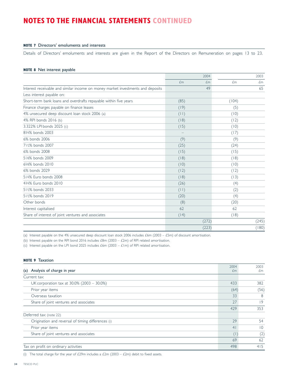### **NOTES TO THE FINANCIAL STATEMENTS CONTINUED**

#### **NOTE 7** Directors' emoluments and interests

Details of Directorsí emoluments and interests are given in the Report of the Directors on Remuneration on pages 13 to 23.

#### **NOTE 8** Net interest payable

|                                                                                 | 2004 |       | 2003            |       |
|---------------------------------------------------------------------------------|------|-------|-----------------|-------|
|                                                                                 | Em   | Em    | $\mathcal{L}$ m | £m    |
| Interest receivable and similar income on money market investments and deposits |      | 49    |                 | 65    |
| Less interest payable on:                                                       |      |       |                 |       |
| Short-term bank loans and overdrafts repayable within five years                | (85) |       | (104)           |       |
| Finance charges payable on finance leases                                       | (19) |       | (5)             |       |
| 4% unsecured deep discount loan stock 2006 (a)                                  | (11) |       | (10)            |       |
| 4% RPI bonds 2016 (b)                                                           | (18) |       | (12)            |       |
| 3.322% LPI bonds 2025 (c)                                                       | (15) |       | (10)            |       |
| 834% bonds 2003                                                                 |      |       | (17)            |       |
| 6% bonds 2006                                                                   | (9)  |       | (9)             |       |
| 71/2% bonds 2007                                                                | (25) |       | (24)            |       |
| 6% bonds 2008                                                                   | (15) |       | (15)            |       |
| 51/8% bonds 2009                                                                | (18) |       | (18)            |       |
| 65/8% bonds 2010                                                                | (10) |       | (10)            |       |
| 6% bonds 2029                                                                   | (12) |       | (12)            |       |
| 51/4% Euro bonds 2008                                                           | (18) |       | (13)            |       |
| 434% Euro bonds 2010                                                            | (26) |       | (4)             |       |
| 51/2% bonds 2033                                                                | (11) |       | (2)             |       |
| 51/2% bonds 2019                                                                | (20) |       | (4)             |       |
| Other bonds                                                                     | (8)  |       | (20)            |       |
| Interest capitalised                                                            | 62   |       | 62              |       |
| Share of interest of joint ventures and associates                              | (14) |       | (18)            |       |
|                                                                                 |      | (272) |                 | (245) |
|                                                                                 |      | (223) |                 | (180) |

(a) Interest payable on the 4% unsecured deep discount loan stock 2006 includes  $£6m (2003 – £5m)$  of discount amortisation.

(b) Interest payable on the RPI bond 2016 includes  $£8m (2003 – £2m)$  of RPI related amortisation.

(c) Interest payable on the LPI bond 2025 includes  $£6m (2003 – £1m)$  of RPI related amortisation.

#### **NOTE 9** Taxation

| (a) Analysis of charge in year                     | 2004<br>$\mathcal{L}$ m | 2003<br>$\epsilon$ m |
|----------------------------------------------------|-------------------------|----------------------|
| Current tax:                                       |                         |                      |
| UK corporation tax at 30.0% (2003 - 30.0%)         | 433                     | 382                  |
| Prior year items                                   | (64)                    | (56)                 |
| Overseas taxation                                  | 33                      | 8                    |
| Share of joint ventures and associates             | 27                      | 9                    |
|                                                    | 429                     | 353                  |
| Deferred tax: (note 22)                            |                         |                      |
| Origination and reversal of timing differences (i) | 29                      | 54                   |
| Prior year items                                   | 4 <sup>1</sup>          | $\overline{10}$      |
| Share of joint ventures and associates             | $(\top)$                | (2)                  |
|                                                    | 69                      | 62                   |
| Tax on profit on ordinary activities               | 498                     | 415                  |

(i) The total charge for the year of £29m includes a £2m (2003 – £2m) debit to fixed assets.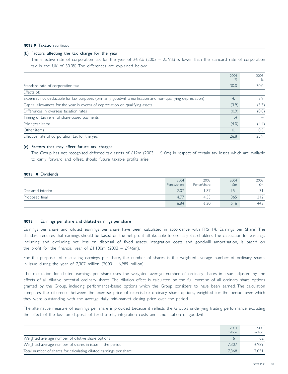#### **NOTE 9** Taxation continued

#### (b) Factors affecting the tax charge for the year

The effective rate of corporation tax for the year of  $26.8\%$  (2003 – 25.9%) is lower than the standard rate of corporation tax in the UK of 30.0%. The differences are explained below:

|                                                                                                            | 2004            | 2003  |
|------------------------------------------------------------------------------------------------------------|-----------------|-------|
|                                                                                                            | %               | %     |
| Standard rate of corporation tax                                                                           | 30.0            | 30.0  |
| Effects of:                                                                                                |                 |       |
| Expenses not deductible for tax purposes (primarily goodwill amortisation and non-qualifying depreciation) | 4.1             | 3.9   |
| Capital allowances for the year in excess of depreciation on qualifying assets                             | (3.9)           | (3.3) |
| Differences in overseas taxation rates                                                                     | (0.9)           | (0.8) |
| Timing of tax relief of share-based payments                                                               | $\mathsf{I}$ .4 |       |
| Prior year items                                                                                           | (4.0)           | (4.4) |
| Other items                                                                                                | $\Omega$ .      | 0.5   |
| Effective rate of corporation tax for the year                                                             | 26.8            | 259   |

#### (c) Factors that may affect future tax charges

The Group has not recognised deferred tax assets of  $£12m (2003 – £16m)$  in respect of certain tax losses which are available to carry forward and offset, should future taxable profits arise.

#### **NOTE 10** Dividends

|                  | 2004<br>Pence/share | 2003<br>Pence/share | 2004<br>£m | 2003<br>£m |
|------------------|---------------------|---------------------|------------|------------|
| Declared interim | 2.07                | .87                 | C          | 31         |
| Proposed final   | 4.77                | 4.33                | 365        | 312        |
|                  | 6.84                | 6.20                | 516        | 443        |

#### **NOTE 11** Earnings per share and diluted earnings per share

Earnings per share and diluted earnings per share have been calculated in accordance with FRS 14, Earnings per Share'. The standard requires that earnings should be based on the net profit attributable to ordinary shareholders. The calculation for earnings, including and excluding net loss on disposal of fixed assets, integration costs and goodwill amortisation, is based on the profit for the financial year of £1,100m (2003 - £946m).

For the purposes of calculating earnings per share, the number of shares is the weighted average number of ordinary shares in issue during the year of  $7,307$  million (2003 – 6,989 million).

The calculation for diluted earnings per share uses the weighted average number of ordinary shares in issue adjusted by the effects of all dilutive potential ordinary shares. The dilution effect is calculated on the full exercise of all ordinary share options granted by the Group, including performance-based options which the Group considers to have been earned. The calculation compares the difference between the exercise price of exercisable ordinary share options, weighted for the period over which they were outstanding, with the average daily mid-market closing price over the period.

The alternative measure of earnings per share is provided because it reflects the Group's underlying trading performance excluding the effect of the loss on disposal of fixed assets, integration costs and amortisation of goodwill.

|                                                                   | 2004<br>million | 2003<br>million |
|-------------------------------------------------------------------|-----------------|-----------------|
| Weighted average number of dilutive share options                 | 6.              |                 |
| Weighted average number of shares in issue in the period          | 7.307           | 6.989           |
| Total number of shares for calculating diluted earnings per share | 7.368           | 7.051           |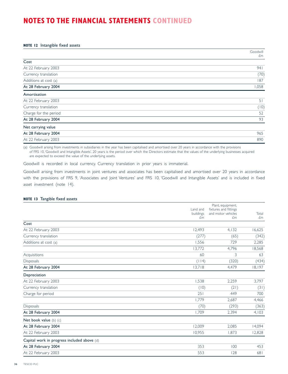### **NOTES TO THE FINANCIAL STATEMENTS CONTINUED**

#### **NOTE 12** Intangible fixed assets

|                       | Goodwill |
|-----------------------|----------|
| Cost                  | £m       |
|                       |          |
| At 22 February 2003   | 941      |
| Currency translation  | (70)     |
| Additions at cost (a) | 187      |
| At 28 February 2004   | 1,058    |
| Amortisation          |          |
| At 22 February 2003   | 51       |
| Currency translation  | (10)     |
| Charge for the period | 52       |
| At 28 February 2004   | 93       |
| Net carrying value    |          |
| At 28 February 2004   | 965      |
| At 22 February 2003   | 890      |

(a) Goodwill arising from investments in subsidiaries in the year has been capitalised and amortised over 20 years in accordance with the provisions of FRS 10, ëGoodwill and Intangible Assetsí. 20 years is the period over which the Directors estimate that the values of the underlying businesses acquired are expected to exceed the value of the underlying assets.

Goodwill is recorded in local currency. Currency translation in prior years is immaterial.

Goodwill arising from investments in joint ventures and associates has been capitalised and amortised over 20 years in accordance with the provisions of FRS 9, 'Associates and Joint Ventures' and FRS 10, 'Goodwill and Intangible Assets' and is included in fixed asset investment (note 14).

#### **NOTE 13** Tangible fixed assets

|                                             | Land and<br>buildings<br>£m | Plant, equipment,<br>fixtures and fittings<br>and motor vehicles<br>£m | Total<br>$\pounds$ m |
|---------------------------------------------|-----------------------------|------------------------------------------------------------------------|----------------------|
| Cost                                        |                             |                                                                        |                      |
| At 22 February 2003                         | 12,493                      | 4,132                                                                  | 16,625               |
| Currency translation                        | (277)                       | (65)                                                                   | (342)                |
| Additions at cost (a)                       | 1,556                       | 729                                                                    | 2,285                |
|                                             | 13,772                      | 4,796                                                                  | 18,568               |
| Acquisitions                                | 60                          | 3                                                                      | 63                   |
| <b>Disposals</b>                            | (114)                       | (320)                                                                  | (434)                |
| At 28 February 2004                         | 13,718                      | 4,479                                                                  | 18,197               |
| Depreciation                                |                             |                                                                        |                      |
| At 22 February 2003                         | 1,538                       | 2,259                                                                  | 3,797                |
| Currency translation                        | (10)                        | (21)                                                                   | (31)                 |
| Charge for period                           | 251                         | 449                                                                    | 700                  |
|                                             | 1,779                       | 2,687                                                                  | 4,466                |
| <b>Disposals</b>                            | (70)                        | (293)                                                                  | (363)                |
| At 28 February 2004                         | 1,709                       | 2,394                                                                  | 4,103                |
| Net book value (b) (c)                      |                             |                                                                        |                      |
| At 28 February 2004                         | 12,009                      | 2,085                                                                  | 14,094               |
| At 22 February 2003                         | 10,955                      | 1,873                                                                  | 12,828               |
| Capital work in progress included above (d) |                             |                                                                        |                      |
| At 28 February 2004                         | 353                         | 100                                                                    | 453                  |
| At 22 February 2003                         | 553                         | 128                                                                    | 681                  |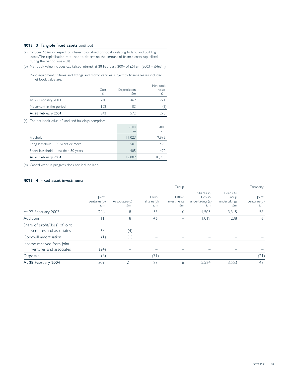#### **NOTE 13** Tangible fixed assets continued

(a) Includes £62m in respect of interest capitalised principally relating to land and building assets.The capitalisation rate used to determine the amount of finance costs capitalised during the period was 6.0%.

(b) Net book value includes capitalised interest at 28 February 2004 of £518m (2003 - £463m).

Plant, equipment, fixtures and fittings and motor vehicles subject to finance leases included in net book value are:

|                                                     | Cost<br>£m | Depreciation<br>£m | Net book<br>value<br>£m |
|-----------------------------------------------------|------------|--------------------|-------------------------|
| At 22 February 2003                                 | 740        | 469                | 27 I                    |
| Movement in the period                              | 102        | 103                | (I)                     |
| At 28 February 2004                                 | 842        | 572                | 270.                    |
| - 下に アーティー にっぽん こうしょう こうじょう オーティング ポーツ はいこう こうこうきょう |            |                    |                         |

(c) The net book value of land and buildings comprises:

| At 28 February 2004                                 | 12.009     | 10.955     |  |
|-----------------------------------------------------|------------|------------|--|
| Short leasehold - less than 50 years                | 485        | 470        |  |
| Long leasehold $-50$ years or more                  | 501        | 493        |  |
| Freehold                                            | 11.023     | 9.992      |  |
|                                                     | 2004<br>Em | 2003<br>£m |  |
| THE HEL DOOR VAIDE OF RITG AND DUITGINGS COMPLISES. |            |            |  |

(d) Capital work in progress does not include land.

#### **NOTE 14** Fixed asset investments

|                                                            | Group                      |                     |                         |                            |                                             | Company                                 |                                    |
|------------------------------------------------------------|----------------------------|---------------------|-------------------------|----------------------------|---------------------------------------------|-----------------------------------------|------------------------------------|
|                                                            | loint<br>ventures(b)<br>£m | Associates(c)<br>£m | Own<br>shares (d)<br>£m | Other<br>investments<br>£m | Shares in<br>Group<br>undertakings(a)<br>£m | Loans to<br>Group<br>undertakings<br>£m | <b>loint</b><br>ventures (b)<br>£m |
| At 22 February 2003                                        | 266                        | 8                   | 53                      | 6                          | 4,505                                       | 3.315                                   | 158                                |
| <b>Additions</b>                                           | Ш                          | 8                   | 46                      |                            | 1,019                                       | 238                                     | 6                                  |
| Share of profit/(loss) of joint<br>ventures and associates | 63                         | (4)                 |                         |                            |                                             |                                         |                                    |
| Goodwill amortisation                                      | $(\top)$                   | (1)                 |                         |                            |                                             |                                         |                                    |
| Income received from joint<br>ventures and associates      | (24)                       |                     |                         |                            |                                             |                                         |                                    |
| <b>Disposals</b>                                           | (6)                        |                     | (71)                    |                            |                                             |                                         | (21)                               |
| At 28 February 2004                                        | 309                        | 21                  | 28                      | 6                          | 5,524                                       | 3,553                                   | 143                                |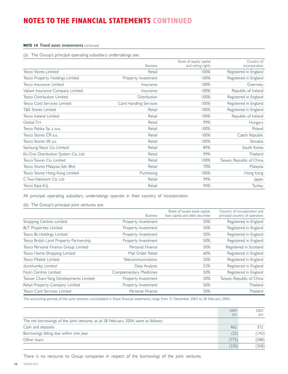# **NOTES TO THE FINANCIAL STATEMENTS CONTINUED**

#### **NOTE 14** Fixed asset investments continued

(a) The Group's principal operating subsidiary undertakings are:

|                                     | <b>Business</b>        | Share of equity capital<br>and voting rights | Country of<br>incorporation |
|-------------------------------------|------------------------|----------------------------------------------|-----------------------------|
| <b>Tesco Stores Limited</b>         | Retail                 | 100%                                         | Registered in England       |
| Tesco Property Holdings Limited     | Property Investment    | 100%                                         | Registered in England       |
| Tesco Insurance Limited             | Insurance              | 100%                                         | Guernsey                    |
| Valiant Insurance Company Limited   | Insurance              | 100%                                         | Republic of Ireland         |
| <b>Tesco Distribution Limited</b>   | Distribution           | 100%                                         | Registered in England       |
| Tesco Card Services Limited         | Card Handling Services | 100%                                         | Registered in England       |
| T&S Stores Limited                  | Retail                 | 100%                                         | Registered in England       |
| Tesco Ireland Limited               | Retail                 | 100%                                         | Republic of Ireland         |
| Global T.H.                         | Retail                 | 99%                                          | Hungary                     |
| Tesco Polska Sp. z o.o.             | Retail                 | 100%                                         | Poland                      |
| Tesco Stores ČR a.s.                | Retail                 | 100%                                         | Czech Republic              |
| Tesco Stores SR a.s.                | Retail                 | 100%                                         | Slovakia                    |
| Samsung Tesco Co. Limited           | Retail                 | 89%                                          | South Korea                 |
| Ek-Chai Distribution System Co. Ltd | Retail                 | 99%                                          | Thailand                    |
| Tesco Taiwan, Co. Limited           | Retail                 | 100%                                         | Taiwan, Republic of China   |
| Tesco Stores Malaysia Sdn Bhd       | Retail                 | 70%                                          | Malaysia                    |
| Tesco Stores Hong Kong Limited      | Purchasing             | 100%                                         | Hong Kong                   |
| C Two-Network Co. Ltd               | Retail                 | 99%                                          | Japan                       |
| Tesco Kipa A.Ş.                     | Retail                 | 90%                                          | Turkey                      |

All principal operating subsidiary undertakings operate in their country of incorporation.

#### (b) The Group's principal joint ventures are:

|                                         | <b>Business</b>         | Share of issued share capital,<br>loan capital and debt securities | Country of incorporation and<br>principal country of operation |
|-----------------------------------------|-------------------------|--------------------------------------------------------------------|----------------------------------------------------------------|
| Shopping Centres Limited                | Property Investment     | 50%                                                                | Registered in England                                          |
| <b>BLT</b> Properties Limited           | Property Investment     | 50%                                                                | Registered in England                                          |
| Tesco BL Holdings Limited               | Property Investment     | 50%                                                                | Registered in England                                          |
| Tesco British Land Property Partnership | Property Investment     | 50%                                                                | Registered in England                                          |
| Tesco Personal Finance Group Limited    | Personal Finance        | 50%                                                                | Registered in Scotland                                         |
| Tesco Home Shopping Limited             | Mail Order Retail       | 60%                                                                | Registered in England                                          |
| Tesco Mobile Limited                    | Telecommunications      | 50%                                                                | Registered in England                                          |
| dunnhumby Limited                       | Data Analysts           | 53%                                                                | Registered in England                                          |
| Nutri Centres Limited                   | Complementary Medicines | 50%                                                                | Registered in England                                          |
| Taiwan Charn Yang Developments Limited  | Property Investment     | 50%                                                                | Taiwan, Republic of China                                      |
| Retail Property Company Limited         | Property Investment     | 50%                                                                | Thailand                                                       |
| Tesco Card Services Limited             | Personal Finance        | 50%                                                                | Thailand                                                       |

The accounting periods of the joint ventures consolidated in these financial statements, range from 31 December 2003 to 28 February 2004.

|                                                                                    | 2004<br>Em | 2003<br>£m |
|------------------------------------------------------------------------------------|------------|------------|
| The net borrowings of the joint ventures, as at 28 February 2004, were as follows: |            |            |
| Cash and deposits                                                                  | 462        | 372        |
| Borrowings falling due within one year                                             | (22)       | (142)      |
| Other loans                                                                        | (775)      | (588)      |
|                                                                                    | (335)      | (358)      |

There is no recourse to Group companies in respect of the borrowings of the joint ventures.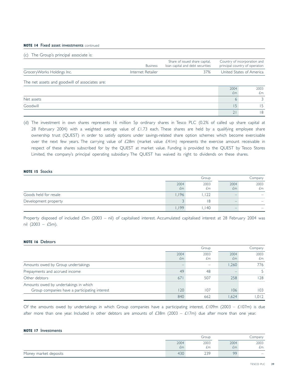#### **NOTE 14** Fixed asset investments continued

(c) The Groupís principal associate is:

|                                                | <b>Business</b>   | Share of issued share capital,<br>loan capital and debt securities |      | Country of incorporation and<br>principal country of operation |
|------------------------------------------------|-------------------|--------------------------------------------------------------------|------|----------------------------------------------------------------|
| GroceryWorks Holdings Inc.                     | Internet Retailer | 37%                                                                |      | United States of America                                       |
| The net assets and goodwill of associates are: |                   |                                                                    |      |                                                                |
|                                                |                   |                                                                    | 2004 | 2003                                                           |
|                                                |                   |                                                                    | Em   | £m                                                             |
| Net assets                                     |                   |                                                                    |      |                                                                |
| Goodwill                                       |                   |                                                                    | -5   |                                                                |

(d) The investment in own shares represents 16 million 5p ordinary shares in Tesco PLC (0.2% of called up share capital at 28 February 2004) with a weighted average value of £1.73 each. These shares are held by a qualifying employee share ownership trust (QUEST) in order to satisfy options under savings-related share option schemes which become exercisable over the next few years. The carrying value of £28m (market value £41m) represents the exercise amount receivable in respect of these shares subscribed for by the QUEST at market value. Funding is provided to the QUEST by Tesco Stores Limited, the companyís principal operating subsidiary. The QUEST has waived its right to dividends on these shares.

#### **NOTE 15** Stocks

|                       |            | Group      |            | Company    |
|-----------------------|------------|------------|------------|------------|
|                       | 2004<br>£m | 2003<br>£m | 2004<br>£m | 2003<br>£m |
| Goods held for resale | 1.196      | .122       |            |            |
| Development property  |            | 18         |            |            |
|                       | .199       | .140       |            |            |

Property disposed of included £5m (2003 - nil) of capitalised interest. Accumulated capitalised interest at 28 February 2004 was nil  $(2003 - £5m)$ .

#### **NOTE 16** Debtors

|                                               | Group      |            |            | Company    |
|-----------------------------------------------|------------|------------|------------|------------|
|                                               | 2004<br>Em | 2003<br>£m | 2004<br>Em | 2003<br>£m |
| Amounts owed by Group undertakings            |            |            | 1.260      | 776        |
| Prepayments and accrued income                | 49         | 48         |            |            |
| Other debtors                                 | 671        | 507        | 258        | 128        |
| Amounts owed by undertakings in which         |            |            |            |            |
| Group companies have a participating interest | 120        | 107        | 106        | 103        |
|                                               | 840        | 662        | .624       | .012       |

Of the amounts owed by undertakings in which Group companies have a participating interest,  $£109m$  (2003 -  $£107m$ ) is due after more than one year. Included in other debtors are amounts of  $£38m$  (2003 -  $£17m$ ) due after more than one year.

#### **NOTE 17** Investments

|                       |            | Group      | Company    |                          |  |
|-----------------------|------------|------------|------------|--------------------------|--|
|                       | 2004<br>£m | 2003<br>£m | 2004<br>£m | 2003<br>£m               |  |
| Money market deposits | 430        | 239        | 99         | $\overline{\phantom{0}}$ |  |

21 18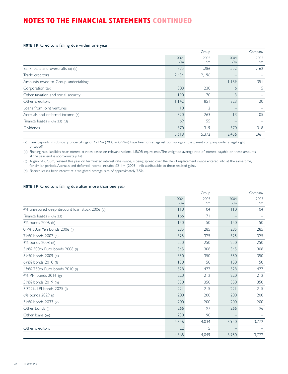# **NOTES TO THE FINANCIAL STATEMENTS CONTINUED**

#### **NOTE 18** Creditors falling due within one year

|                                    |            | Group         | Company                 |            |
|------------------------------------|------------|---------------|-------------------------|------------|
|                                    | 2004<br>£m | 2003<br>£m    | 2004<br>$\mathcal{L}$ m | 2003<br>£m |
| Bank loans and overdrafts (a) (b)  | 775        | 1,286         | 552                     | 1.162      |
| Trade creditors                    | 2,434      | 2,196         |                         |            |
| Amounts owed to Group undertakings |            |               | 1,189                   | 351        |
| Corporation tax                    | 308        | 230           | 6                       | 5          |
| Other taxation and social security | 190        | 170           | 3                       |            |
| Other creditors                    | 1,142      | 851           | 323                     | 20         |
| Loans from joint ventures          | 10         | $\mathcal{D}$ |                         |            |
| Accruals and deferred income (c)   | 320        | 263           | 3                       | 105        |
| Finance leases (note 23) (d)       | 69         | 55            |                         |            |
| <b>Dividends</b>                   | 370        | 319           | 370                     | 318        |
|                                    | 5,618      | 5,372         | 2,456                   | .961       |

(a) Bank deposits in subsidiary undertakings of £217m (2003 - £299m) have been offset against borrowings in the parent company under a legal right of set-off.

(b) Floating rate liabilities bear interest at rates based on relevant national LIBOR equivalents.The weighted average rate of interest payable on these amounts at the year end is approximately 4%.

(c) A gain of £235m, realised this year on terminated interest rate swaps, is being spread over the life of replacement swaps entered into at the same time, for similar periods. Accruals and deferred income includes  $£211m (2003 - nil)$  attributable to these realised gains.

(d) Finance leases bear interest at a weighted average rate of approximately 7.5%.

#### **NOTE 19** Creditors falling due after more than one year

|                                                |       | Group | Company |       |
|------------------------------------------------|-------|-------|---------|-------|
|                                                | 2004  | 2003  | 2004    | 2003  |
|                                                | Em    | Em    | Em      | Em    |
| 4% unsecured deep discount loan stock 2006 (a) | 110   | 104   | 110     | 104   |
| Finance leases (note 23)                       | 166   | 7     |         |       |
| 6% bonds 2006 (b)                              | 150   | 150   | 150     | 150   |
| 0.7% 50bn Yen bonds 2006 (I)                   | 285   | 285   | 285     | 285   |
| 71/2% bonds 2007 (c)                           | 325   | 325   | 325     | 325   |
| 6% bonds 2008 (d)                              | 250   | 250   | 250     | 250   |
| 51/4% 500m Euro bonds 2008 (I)                 | 345   | 308   | 345     | 308   |
| 5/8% bonds 2009 (e)                            | 350   | 350   | 350     | 350   |
| 65/8% bonds 2010 (f)                           | 150   | 150   | 150     | 150   |
| 434% 750m Euro bonds 2010 (I)                  | 528   | 477   | 528     | 477   |
| 4% RPI bonds 2016 (g)                          | 220   | 212   | 220     | 212   |
| 51/2% bonds 2019 (h)                           | 350   | 350   | 350     | 350   |
| 3.322% LPI bonds 2025 (i)                      | 221   | 215   | 221     | 215   |
| 6% bonds 2029 (j)                              | 200   | 200   | 200     | 200   |
| 51/2% bonds 2033 (k)                           | 200   | 200   | 200     | 200   |
| Other bonds (I)                                | 266   | 197   | 266     | 196   |
| Other loans (m)                                | 230   | 90    |         |       |
|                                                | 4,346 | 4,034 | 3,950   | 3,772 |
| Other creditors                                | 22    | 15    |         |       |
|                                                | 4,368 | 4,049 | 3,950   | 3,772 |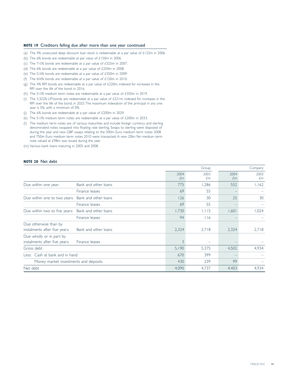#### **NOTE 19** Creditors falling due after more than one year continued

- (a) The 4% unsecured deep discount loan stock is redeemable at a par value of £125m in 2006.
- (b) The 6% bonds are redeemable at par value of £150m in 2006.
- (c) The 71⁄2% bonds are redeemable at a par value of £325m in 2007.
- (d) The 6% bonds are redeemable at a par value of £250m in 2008.
- (e) The 51⁄8% bonds are redeemable at a par value of £350m in 2009.
- (f) The 65⁄8% bonds are redeemable at a par value of £150m in 2010.
- (g) The 4% RPI bonds are redeemable at a par value of £220m, indexed for increases in the RPI over the life of the bond, in 2016.
- (h) The  $5\frac{1}{2}\%$  medium term notes are redeemable at a par value of £350m in 2019.
- (i) The 3.322% LPI bonds are redeemable at a par value of £221m, indexed for increases in the RPI over the life of the bond, in 2025. The maximum indexation of the principal in any one year is 5%, with a minimum of 0%.
- (j) The 6% bonds are redeemable at a par value of £200m in 2029.
- (k) The  $5\frac{1}{2}\%$  medium term notes are redeemable at a par value of £200m in 2033.
- (l) The medium term notes are of various maturities and include foreign currency and sterling denominated notes swapped into floating rate sterling. Swaps to sterling were disposed of during the year and new GBP swaps relating to the 500m Euro medium term notes 2008 and 750m Euro medium term notes 2010 were transacted. A new 20bn Yen medium term note valued at £98m was issued during the year.
- (m) Various bank loans maturing in 2005 and 2008.

#### **NOTE 20** Net debt

|                                       |                      |            | Group      | Company    |            |
|---------------------------------------|----------------------|------------|------------|------------|------------|
|                                       |                      | 2004<br>Em | 2003<br>£m | 2004<br>£m | 2003<br>£m |
| Due within one year:                  | Bank and other loans | 775        | 1,286      | 552        | 1,162      |
|                                       | Finance leases       | 69         | 55         |            |            |
| Due within one to two years:          | Bank and other loans | 126        | 30         | 25         | 30         |
|                                       | Finance leases       | 69         | 55         |            |            |
| Due within two to five years:         | Bank and other loans | 1,730      | 1,115      | 1,601      | 0.024      |
|                                       | Finance leases       | 94         | 116        |            |            |
| Due otherwise than by                 |                      |            |            |            |            |
| instalments after five years:         | Bank and other loans | 2,324      | 2,718      | 2,324      | 2,718      |
| Due wholly or in part by              |                      |            |            |            |            |
| instalments after five years:         | Finance leases       | 3          |            |            |            |
| Gross debt                            |                      | 5,190      | 5,375      | 4,502      | 4,934      |
| Less: Cash at bank and in hand        |                      | 670        | 399        |            |            |
| Money market investments and deposits |                      | 430        | 239        | 99         |            |
| Net debt                              |                      | 4.090      | 4.737      | 4,403      | 4,934      |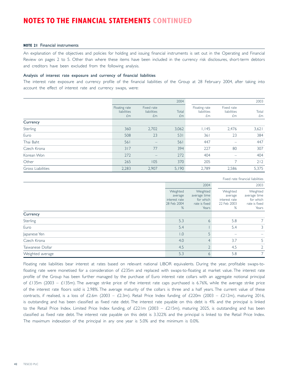# **NOTES TO THE FINANCIAL STATEMENTS CONTINUED**

#### **NOTE 21** Financial instruments

An explanation of the objectives and policies for holding and issuing financial instruments is set out in the Operating and Financial Review on pages 2 to 5. Other than where these items have been included in the currency risk disclosures, short-term debtors and creditors have been excluded from the following analysis.

#### Analysis of interest rate exposure and currency of financial liabilities

The interest rate exposure and currency profile of the financial liabilities of the Group at 28 February 2004, after taking into account the effect of interest rate and currency swaps, were:

|                   |                                    |                                 | 2004        |                                    |                                 | 2003        |
|-------------------|------------------------------------|---------------------------------|-------------|------------------------------------|---------------------------------|-------------|
|                   | Floating rate<br>liabilities<br>£m | Fixed rate<br>liabilities<br>£m | Total<br>£m | Floating rate<br>liabilities<br>£m | Fixed rate<br>liabilities<br>£m | Total<br>£m |
| Currency          |                                    |                                 |             |                                    |                                 |             |
| Sterling          | 360                                | 2,702                           | 3,062       | 1,145                              | 2,476                           | 3,621       |
| Euro              | 508                                | 23                              | 531         | 361                                | 23                              | 384         |
| Thai Baht         | 561                                |                                 | 561         | 447                                |                                 | 447         |
| Czech Krona       | 317                                | 77                              | 394         | 227                                | 80                              | 307         |
| Korean Won        | 272                                |                                 | 272         | 404                                |                                 | 404         |
| Other             | 265                                | 105                             | 370         | 205                                | $\overline{7}$                  | 212         |
| Gross Liabilities | 2,283                              | 2.907                           | 5,190       | 2.789                              | 2,586                           | 5,375       |

|                  | Fixed rate financial liabilities                         |                                                                 |                                                          |                                                                 |  |
|------------------|----------------------------------------------------------|-----------------------------------------------------------------|----------------------------------------------------------|-----------------------------------------------------------------|--|
|                  |                                                          | 2004                                                            |                                                          | 2003                                                            |  |
|                  | Weighted<br>average<br>interest rate<br>28 Feb 2004<br>% | Weighted<br>average time<br>for which<br>rate is fixed<br>Years | Weighted<br>average<br>interest rate<br>22 Feb 2003<br>% | Weighted<br>average time<br>for which<br>rate is fixed<br>Years |  |
| Currency         |                                                          |                                                                 |                                                          |                                                                 |  |
| Sterling         | 5.3                                                      | 6                                                               | 5.8                                                      | 7.                                                              |  |
| Euro             | 5.4                                                      |                                                                 | 5.4                                                      | 3                                                               |  |
| Japanese Yen     | 1.0                                                      | 5                                                               |                                                          |                                                                 |  |
| Czech Krona      | 4.0                                                      | $\overline{4}$                                                  | 3.7                                                      | 5.                                                              |  |
| Taiwanese Dollar | 4.5                                                      | $\bigcap$                                                       | 4.5                                                      | $\overline{2}$                                                  |  |
| Weighted average | 5.3                                                      | 6                                                               | 5.8                                                      | 7                                                               |  |

Floating rate liabilities bear interest at rates based on relevant national LIBOR equivalents. During the year, profitable swaps-tofloating rate were monetised for a consideration of £235m and replaced with swaps-to-floating at market value. The interest rate profile of the Group has been further managed by the purchase of Euro interest rate collars with an aggregate notional principal of £135m (2003 - £135m). The average strike price of the interest rate caps purchased is 6.76%, while the average strike price of the interest rate floors sold is 2.98%. The average maturity of the collars is three and a half years. The current value of these contracts, if realised, is a loss of £2.6m (2003 - £2.3m). Retail Price Index funding of £220m (2003 - £212m), maturing 2016, is outstanding and has been classified as fixed rate debt. The interest rate payable on this debt is 4% and the principal is linked to the Retail Price Index. Limited Price Index funding, of  $£221m$  (2003 -  $£215m$ ), maturing 2025, is outstanding and has been classified as fixed rate debt. The interest rate payable on this debt is 3.322% and the principal is linked to the Retail Price Index. The maximum indexation of the principal in any one year is 5.0% and the minimum is 0.0%.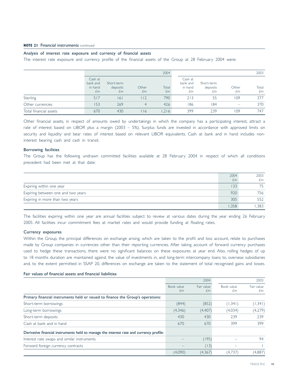#### **NOTE 21** Financial instruments continued

#### Analysis of interest rate exposure and currency of financial assets

The interest rate exposure and currency profile of the financial assets of the Group at 28 February 2004 were:

|                        |                                      |                              |                          | 2004        |                                      |                              |             | 2003        |
|------------------------|--------------------------------------|------------------------------|--------------------------|-------------|--------------------------------------|------------------------------|-------------|-------------|
|                        | Cash at<br>bank and<br>in hand<br>£m | Short-term<br>deposits<br>£m | Other<br>$\mathcal{L}$ m | Total<br>£m | Cash at<br>bank and<br>in hand<br>£m | Short-term<br>deposits<br>£m | Other<br>£m | Total<br>£m |
| Sterling               | 517                                  | 161                          | 112                      | 790         | 213                                  | 55                           | 109         | 377         |
| Other currencies       | 153                                  | 269                          | 4                        | 426         | 186                                  | 184                          |             | 370         |
| Total financial assets | 670                                  | 430                          | l 16                     | 1,216       | 399                                  | 239                          | 109         | 747         |

Other financial assets, in respect of amounts owed by undertakings in which the company has a participating interest, attract a rate of interest based on LIBOR plus a margin (2003 - 5%). Surplus funds are invested in accordance with approved limits on security and liquidity and bear rates of interest based on relevant LIBOR equivalents. Cash at bank and in hand includes noninterest bearing cash and cash in transit.

#### Borrowing facilities

The Group has the following undrawn committed facilities available at 28 February 2004 in respect of which all conditions precedent had been met at that date:

|                                    | 2004<br>£m | 2003<br>£m |
|------------------------------------|------------|------------|
| Expiring within one year           |            | 75         |
| Expiring between one and two years | 920        | 756-       |
| Expiring in more than two years    | 305        |            |
|                                    | 358        | .383       |

The facilities expiring within one year are annual facilities subject to review at various dates during the year ending 26 February 2005. All facilities incur commitment fees at market rates and would provide funding at floating rates.

#### Currency exposures

Within the Group, the principal differences on exchange arising, which are taken to the profit and loss account, relate to purchases made by Group companies in currencies other than their reporting currencies. After taking account of forward currency purchases used to hedge these transactions, there were no significant balances on these exposures at year end. Also, rolling hedges of up to 18 months duration are maintained against the value of investments in, and long-term intercompany loans to, overseas subsidiaries and, to the extent permitted in SSAP 20, differences on exchange are taken to the statement of total recognised gains and losses.

#### Fair values of financial assets and financial liabilities

|                                                                                         | 2004             |                  |                   | 2003             |  |
|-----------------------------------------------------------------------------------------|------------------|------------------|-------------------|------------------|--|
|                                                                                         | Book value<br>£m | Fair value<br>£m | Book value<br>f m | Fair value<br>£m |  |
| Primary financial instruments held or issued to finance the Group's operations:         |                  |                  |                   |                  |  |
| Short-term borrowings                                                                   | (844)            | (852)            | (1, 341)          | (1, 341)         |  |
| Long-term borrowings                                                                    | (4,346)          | (4,407)          | (4,034)           | (4,279)          |  |
| Short-term deposits                                                                     | 430              | 430              | 239               | 239              |  |
| Cash at bank and in hand                                                                | 670              | 670              | 399               | 399              |  |
| Derivative financial instruments held to manage the interest rate and currency profile: |                  |                  |                   |                  |  |
| Interest rate swaps and similar instruments                                             |                  | (195)            |                   | 94               |  |
| Forward foreign currency contracts                                                      |                  | (13)             |                   |                  |  |
|                                                                                         | (4,090)          | (4,367)          | (4,737)           | (4,887)          |  |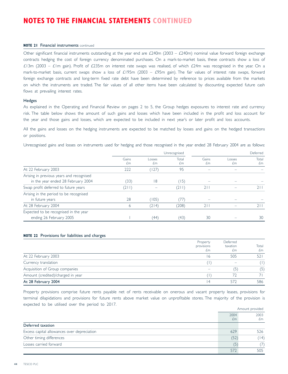# **NOTES TO THE FINANCIAL STATEMENTS CONTINUED**

#### **NOTE 21** Financial instruments continued

Other significant financial instruments outstanding at the year end are £240m (2003 – £240m) nominal value forward foreign exchange contracts hedging the cost of foreign currency denominated purchases. On a mark-to-market basis, these contracts show a loss of £13m (2003 - £1m gain). Profit of £235m on interest rate swaps was realised, of which £24m was recognised in the year. On a mark-to-market basis, current swaps show a loss of £195m (2003 - £95m gain). The fair values of interest rate swaps, forward foreign exchange contracts and long-term fixed rate debt have been determined by reference to prices available from the markets on which the instruments are traded. The fair values of all other items have been calculated by discounting expected future cash flows at prevailing interest rates.

#### Hedges

As explained in the Operating and Financial Review on pages 2 to 5, the Group hedges exposures to interest rate and currency risk. The table below shows the amount of such gains and losses which have been included in the profit and loss account for the year and those gains and losses, which are expected to be included in next year's or later profit and loss accounts.

All the gains and losses on the hedging instruments are expected to be matched by losses and gains on the hedged transactions or positions.

Unrecognised gains and losses on instruments used for hedging and those recognised in the year ended 28 February 2004 are as follows:

|                                          | Unrecognised |                           |                         |             |              | Deferred    |
|------------------------------------------|--------------|---------------------------|-------------------------|-------------|--------------|-------------|
|                                          | Gains<br>£m  | Losses<br>$\mathcal{L}$ m | Total<br>f <sub>m</sub> | Gains<br>£m | Losses<br>£m | Total<br>£m |
| At 22 February 2003                      | 222          | (127)                     | 95                      |             |              |             |
| Arising in previous years and recognised |              |                           |                         |             |              |             |
| in the year ended 28 February 2004       | (33)         | 18                        | (15)                    |             |              |             |
| Swap profit deferred to future years     | (211)        |                           | (211)                   | 211         |              | 211         |
| Arising in the period to be recognised   |              |                           |                         |             |              |             |
| in future years                          | 28           | (105)                     | $\frac{1}{2}$           |             |              |             |
| At 28 February 2004                      | 6            | (214)                     | (208)                   | 211         |              | 211         |
| Expected to be recognised in the year    |              |                           |                         |             |              |             |
| ending 26 February 2005                  |              | (44)                      | (43)                    | 30          |              | 30          |

#### **NOTE 22** Provisions for liabilities and charges

|                                   | Property<br>provisions<br>km | Deferred<br>taxation<br>£m | Total<br>£m |
|-----------------------------------|------------------------------|----------------------------|-------------|
| At 22 February 2003               | 16                           | 505                        |             |
| Currency translation              |                              |                            | (1)         |
| Acquisition of Group companies    |                              | 5                          | (5)         |
| Amount (credited)/charged in year |                              |                            | 71.         |
| At 28 February 2004               | 14                           |                            | 586         |

Property provisions comprise future rents payable net of rents receivable on onerous and vacant property leases, provisions for terminal dilapidations and provisions for future rents above market value on unprofitable stores. The majority of the provision is expected to be utilised over the period to 2017. Amount provided

|                                             | Amount provided |            |
|---------------------------------------------|-----------------|------------|
|                                             | 2004<br>Em      | 2003<br>£m |
| Deferred taxation                           |                 |            |
| Excess capital allowances over depreciation | 629             | 526        |
| Other timing differences                    | (52)            | (14)       |
| Losses carried forward                      | (5)             | (7)        |
|                                             | 572             | 505        |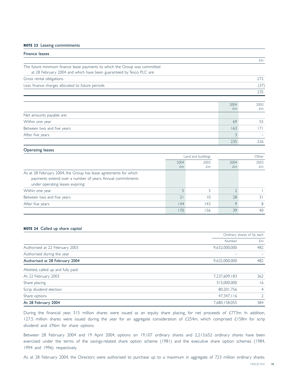#### **NOTE 23** Leasing commitments

| Finance leases                                                             |      |      |
|----------------------------------------------------------------------------|------|------|
|                                                                            |      | £m   |
| The future minimum finance lease payments to which the Group was committed |      |      |
| at 28 February 2004 and which have been guaranteed by Tesco PLC are:       |      |      |
| Gross rental obligations                                                   |      | 272  |
| Less: finance charges allocated to future periods                          |      | (37) |
|                                                                            |      | 235  |
|                                                                            |      |      |
|                                                                            | 2004 | 2003 |
|                                                                            | Em   | £m   |
| Net amounts payable are:                                                   |      |      |
| Within one year                                                            | 69   | 55   |
| Between two and five years                                                 | 163  | 171  |
| After five years                                                           | 3    |      |
|                                                                            | 235  | 226  |

#### Operating leases

|                                                                                                                                                                    |            | Land and buildings |              | Other      |
|--------------------------------------------------------------------------------------------------------------------------------------------------------------------|------------|--------------------|--------------|------------|
|                                                                                                                                                                    | 2004<br>Em | 2003<br>£m         | 2004<br>Em   | 2003<br>£m |
| As at 28 February 2004, the Group has lease agreements for which<br>payments extend over a number of years. Annual commitments<br>under operating leases expiring: |            |                    |              |            |
| Within one year                                                                                                                                                    |            |                    |              |            |
| Between two and five years                                                                                                                                         |            | $\overline{10}$    | 28           | 31         |
| After five years                                                                                                                                                   | 44         | 143                | $\mathsf{Q}$ | 8          |
|                                                                                                                                                                    | 70         | 156                | 39           | 40         |

#### **NOTE 24** Called up share capital

|                                     |               | Ordinary shares of 5p each |
|-------------------------------------|---------------|----------------------------|
|                                     | Number        | £m                         |
| Authorised at 22 February 2003      | 9,632,000,000 | 482                        |
| Authorised during the year          |               |                            |
| Authorised at 28 February 2004      | 9,632,000,000 | 482                        |
| Allotted, called up and fully paid: |               |                            |
| At 22 February 2003                 | 7,237,609,183 | 362                        |
| Share placing                       | 315,000,000   | 16                         |
| Scrip dividend election             | 80.201.756    | $\overline{4}$             |
| Share options                       | 47.347.116    | $\mathcal{L}$              |
| At 28 February 2004                 | 7,680,158,055 | 384                        |

During the financial year, 315 million shares were issued as an equity share placing, for net proceeds of £773m. In addition, 127.5 million shares were issued during the year for an aggregate consideration of £254m, which comprised £158m for scrip dividend and £96m for share options.

Between 28 February 2004 and 19 April 2004, options on 19,107 ordinary shares and 2,213,652 ordinary shares have been exercised under the terms of the savings-related share option scheme (1981) and the executive share option schemes (1984, 1994 and 1996) respectively.

As at 28 February 2004, the Directors were authorised to purchase up to a maximum in aggregate of 723 million ordinary shares.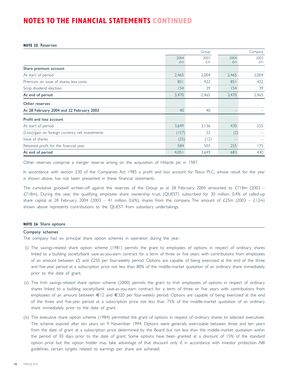### **NOTES TO THE FINANCIAL STATEMENTS CONTINUED**

#### **NOTE 25** Reserves

|                                                 |            | Group      |            | Company    |  |
|-------------------------------------------------|------------|------------|------------|------------|--|
|                                                 | 2004<br>Em | 2003<br>£m | 2004<br>Em | 2003<br>£m |  |
| Share premium account                           |            |            |            |            |  |
| At start of period                              | 2,465      | 2,004      | 2,465      | 2,004      |  |
| Premium on issue of shares less costs           | 851        | 422        | 851        | 422        |  |
| Scrip dividend election                         | 154        | 39         | 154        | 39         |  |
| At end of period                                | 3,470      | 2,465      | 3,470      | 2,465      |  |
| Other reserves                                  |            |            |            |            |  |
| At 28 February 2004 and 22 February 2003        | 40         | 40         |            |            |  |
| Profit and loss account                         |            |            |            |            |  |
| At start of period                              | 3,649      | 3,136      | 430        | 255        |  |
| (Loss)/gain on foreign currency net investments | (157)      | 22         | (2)        |            |  |
| Issue of shares                                 | (25)       | (12)       |            |            |  |
| Retained profit for the financial year          | 584        | 503        | 255        | 175        |  |
| At end of period                                | 4,051      | 3,649      | 683        | 430        |  |

Other reserves comprise a merger reserve arising on the acquisition of Hillards plc in 1987.

In accordance with section 230 of the Companies Act 1985 a profit and loss account for Tesco PLC, whose result for the year is shown above, has not been presented in these financial statements.

The cumulative goodwill written-off against the reserves of the Group as at 28 February 2004 amounted to £718m (2003 -£718m). During the year, the qualifying employee share ownership trust (QUEST) subscribed for 30 million, 0.4% of called-up share capital at 28 February 2004 (2003 – 41 million, 0.6%), shares from the company. The amount of £25m (2003 – £12m) shown above represents contributions to the QUEST from subsidiary undertakings.

#### **NOTE 26** Share options

#### Company schemes

The company had six principal share option schemes in operation during the year:

- (i) The savings-related share option scheme (1981) permits the grant to employees of options in respect of ordinary shares linked to a building society/bank save-as-you-earn contract for a term of three or five years with contributions from employees of an amount between £5 and £250 per four-weekly period. Options are capable of being exercised at the end of the three and five-year period at a subscription price not less than 80% of the middle-market quotation of an ordinary share immediately prior to the date of grant.
- (ii) The Irish savings-related share option scheme (2000) permits the grant to Irish employees of options in respect of ordinary shares linked to a building society/bank save-as-you-earn contract for a term of three or five years with contributions from employees of an amount between €12 and €320 per four-weekly period. Options are capable of being exercised at the end of the three and five-year period at a subscription price not less than 75% of the middle-market quotation of an ordinary share immediately prior to the date of grant.
- (iii) The executive share option scheme (1984) permitted the grant of options in respect of ordinary shares to selected executives. The scheme expired after ten years on 9 November 1994. Options were generally exercisable between three and ten years from the date of grant at a subscription price determined by the Board but not less than the middle-market quotation within the period of 30 days prior to the date of grant. Some options have been granted at a discount of 15% of the standard option price but the option holder may take advantage of that discount only if, in accordance with investor protection ABI guidelines, certain targets related to earnings per share are achieved.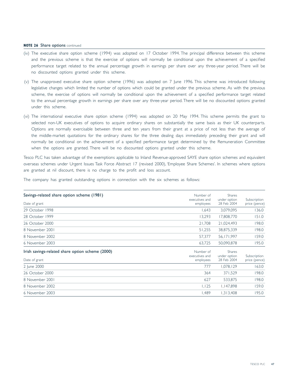#### **NOTE 26** Share options continued

- (iv) The executive share option scheme (1994) was adopted on 17 October 1994. The principal difference between this scheme and the previous scheme is that the exercise of options will normally be conditional upon the achievement of a specified performance target related to the annual percentage growth in earnings per share over any three-year period. There will be no discounted options granted under this scheme.
- (v) The unapproved executive share option scheme (1996) was adopted on 7 June 1996. This scheme was introduced following legislative changes which limited the number of options which could be granted under the previous scheme. As with the previous scheme, the exercise of options will normally be conditional upon the achievement of a specified performance target related to the annual percentage growth in earnings per share over any three-year period. There will be no discounted options granted under this scheme.
- (vi) The international executive share option scheme (1994) was adopted on 20 May 1994. This scheme permits the grant to selected non-UK executives of options to acquire ordinary shares on substantially the same basis as their UK counterparts. Options are normally exercisable between three and ten years from their grant at a price of not less than the average of the middle-market quotations for the ordinary shares for the three dealing days immediately preceding their grant and will normally be conditional on the achievement of a specified performance target determined by the Remuneration Committee when the options are granted. There will be no discounted options granted under this scheme.

Tesco PLC has taken advantage of the exemptions applicable to Inland Revenue-approved SAYE share option schemes and equivalent overseas schemes under Urgent Issues Task Force Abstract 17 (revised 2000), 'Employee Share Schemes'. In schemes where options are granted at nil discount, there is no charge to the profit and loss account.

The company has granted outstanding options in connection with the six schemes as follows:

| Savings-related share option scheme (1981)<br>Date of grant       | Number of<br>executives and<br>employees | Shares<br>under option<br>28 Feb 2004        | Subscription<br>price (pence) |
|-------------------------------------------------------------------|------------------------------------------|----------------------------------------------|-------------------------------|
| 29 October 1998                                                   | 1,643                                    | 3,079,095                                    | 136.0                         |
| 28 October 1999                                                   | 13,293                                   | 17,808,770                                   | 151.0                         |
| 26 October 2000                                                   | 21,708                                   | 21,024,493                                   | 198.0                         |
| 8 November 2001                                                   | 51,255                                   | 38,875,339                                   | 198.0                         |
| 8 November 2002                                                   | 57,377                                   | 56, 171, 997                                 | 159.0                         |
| 6 November 2003                                                   | 63,725                                   | 50,090,878                                   | 195.0                         |
| Irish savings-related share option scheme (2000)<br>Date of grant | Number of<br>executives and<br>employees | <b>Shares</b><br>under option<br>28 Feb 2004 | Subscription<br>price (pence) |
| 2 June 2000                                                       | 777                                      | 1,078,129                                    | 163.0                         |
| 26 October 2000                                                   | 364                                      | 371,529                                      | 198.0                         |
| 8 November 2001                                                   | 627                                      | 533,875                                      | 198.0                         |
| 8 November 2002                                                   | 1,125                                    | 1,147,898                                    | 159.0                         |
| 6 November 2003                                                   | 1.489                                    | 1,313,408                                    | 195.0                         |
|                                                                   |                                          |                                              |                               |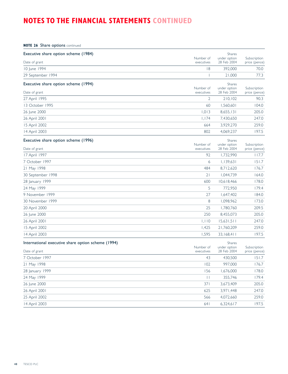# **NOTES TO THE FINANCIAL STATEMENTS CONTINUED**

#### **NOTE 26** Share options continued

| Executive share option scheme (1984)                  |                          | Shares                                |                               |
|-------------------------------------------------------|--------------------------|---------------------------------------|-------------------------------|
| Date of grant                                         | Number of<br>executives  | under option<br>28 Feb 2004           | Subscription<br>price (pence) |
| 10 June 1994                                          | 8                        | 392,000                               | 70.0                          |
| 29 September 1994                                     | $\overline{\phantom{a}}$ | 21,000                                | 77.3                          |
| Executive share option scheme (1994)<br>Date of grant | Number of<br>executives  | Shares<br>under option<br>28 Feb 2004 | Subscription<br>price (pence) |
| 27 April 1995                                         | 2                        | 210,102                               | 90.3                          |
| 13 October 1995                                       | 60                       | 1,560,601                             | 104.0                         |
| 26 June 2000                                          | 1,013                    | 8,655,131                             | 205.0                         |
| 26 April 2001                                         | 1,174                    | 7,430,650                             | 247.0                         |
| 15 April 2002                                         | 664                      | 3,929,270                             | 259.0                         |
| 14 April 2003                                         | 802                      | 4,069,237                             | 197.5                         |
| Executive share option scheme (1996)                  | Number of                | Shares<br>under option                | Subscription                  |
| Date of grant                                         | executives<br>92         | 28 Feb 2004<br>1,732,990              | price (pence)<br>117.7        |
| 17 April 1997<br>7 October 1997                       | 6                        |                                       | 151.7                         |
| 21 May 1998                                           | 484                      | 1,139,631<br>8,712,620                | 176.7                         |
| 30 September 1998                                     | 21                       | 1,044,739                             | 164.0                         |
| 28 January 1999                                       | 600                      | 10,618,466                            | 178.0                         |
| 24 May 1999                                           | 5                        | 772,950                               | 179.4                         |
| 9 November 1999                                       | 27                       | 1,647,402                             | 184.0                         |
| 30 November 1999                                      | 8                        | 1,098,962                             | 173.0                         |
| 20 April 2000                                         | 25                       | 1,780,760                             | 209.5                         |
| 26 June 2000                                          | 250                      | 8,455,073                             | 205.0                         |
| 26 April 2001                                         | 1,110                    | 15,631,511                            | 247.0                         |
| 15 April 2002                                         | 1,425                    | 21,760,209                            | 259.0                         |
| 14 April 2003                                         | 1,595                    | 33,168,411                            | 197.5                         |
| International executive share option scheme (1994)    |                          | Shares                                |                               |
| Date of grant                                         | Number of<br>executives  | under option<br>28 Feb 2004           | Subscription<br>price (pence) |
| 7 October 1997                                        | 43                       | 430,500                               | 151.7                         |
| 21 May 1998                                           | 102                      | 997,000                               | 176.7                         |
| 28 January 1999                                       | 156                      | 1,676,000                             | 178.0                         |
| 24 May 1999                                           | $\perp$                  | 355,746                               | 179.4                         |
| 26 June 2000                                          | 371                      | 3,673,409                             | 205.0                         |
| 26 April 2001                                         | 625                      | 3,971,448                             | 247.0                         |
| 25 April 2002                                         | 566                      | 4,072,660                             | 259.0                         |
| 14 April 2003                                         | 641                      | 6,324,617                             | 197.5                         |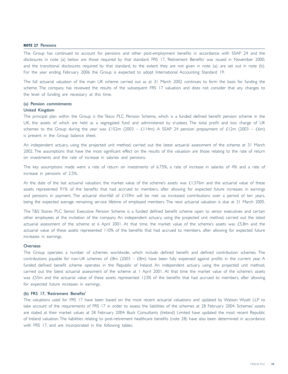#### **NOTE 27** Pensions

The Group has continued to account for pensions and other post-employment benefits in accordance with SSAP 24 and the disclosures in note (a) below are those required by that standard. FRS 17, 'Retirement Benefits' was issued in November 2000, and the transitional disclosures required by that standard, to the extent they are not given in note (a), are set out in note (b). For the year ending February 2006 the Group is expected to adopt International Accounting Standard 19.

The full actuarial valuation of the main UK scheme carried out as at 31 March 2002 continues to form the basis for funding the scheme. The company has reviewed the results of the subsequent FRS 17 valuation and does not consider that any changes to the level of funding are necessary at this time.

#### (a) Pension commitments

#### United Kingdom

The principal plan within the Group is the Tesco PLC Pension Scheme, which is a funded defined benefit pension scheme in the UK, the assets of which are held as a segregated fund and administered by trustees. The total profit and loss charge of UK schemes to the Group during the year was £152m (2003 - £114m). A SSAP 24 pension prepayment of £12m (2003 - £6m) is present in the Group balance sheet.

An independent actuary, using the projected unit method, carried out the latest actuarial assessment of the scheme at 31 March 2002. The assumptions that have the most significant effect on the results of the valuation are those relating to the rate of return on investments and the rate of increase in salaries and pensions.

The key assumptions made were a rate of return on investments of 6.75%, a rate of increase in salaries of 4% and a rate of increase in pensions of 2.5%.

At the date of the last actuarial valuation, the market value of the scheme's assets was £1,576m and the actuarial value of these assets represented 91% of the benefits that had accrued to members, after allowing for expected future increases in earnings and pensions in payment. The actuarial shortfall of £159m will be met via increased contributions over a period of ten years, being the expected average remaining service lifetime of employed members. The next actuarial valuation is due at 31 March 2005.

The T&S Stores PLC Senior Executive Pension Scheme is a funded defined benefit scheme open to senior executives and certain other employees at the invitation of the company. An independent actuary, using the projected unit method, carried out the latest actuarial assessment of the scheme at 6 April 2001. At that time, the market value of the schemeís assets was £5.8m and the actuarial value of these assets represented 110% of the benefits that had accrued to members, after allowing for expected future increases in earnings.

#### **Overseas**

The Group operates a number of schemes worldwide, which include defined benefit and defined contribution schemes. The contributions payable for non-UK schemes of  $\pounds 8m$  (2003 -  $\pounds 8m$ ) have been fully expensed against profits in the current year. A funded defined benefit scheme operates in the Republic of Ireland. An independent actuary, using the projected unit method, carried out the latest actuarial assessment of the scheme at 1 April 2001. At that time the market value of the schemeís assets was £55m and the actuarial value of these assets represented 123% of the benefits that had accrued to members, after allowing for expected future increases in earnings.

#### (b) FRS 17, 'Retirement Benefits'

The valuations used for FRS 17 have been based on the most recent actuarial valuations and updated by Watson Wyatt LLP to take account of the requirements of FRS 17 in order to assess the liabilities of the schemes at 28 February 2004. Schemesí assets are stated at their market values at 28 February 2004. Buck Consultants (Ireland) Limited have updated the most recent Republic of Ireland valuation. The liabilities relating to post-retirement healthcare benefits (note 28) have also been determined in accordance with FRS 17, and are incorporated in the following tables.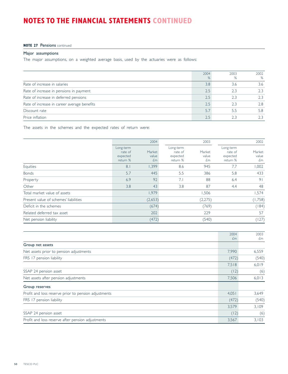# **NOTES TO THE FINANCIAL STATEMENTS CONTINUED**

#### **NOTE 27 Pensions continued**

#### Major assumptions

The major assumptions, on a weighted average basis, used by the actuaries were as follows:

|                                             | 2004<br>% | 2003<br>% | 2002<br>% |
|---------------------------------------------|-----------|-----------|-----------|
| Rate of increase in salaries                | 3.8       | 3.6       | 3.6       |
| Rate of increase in pensions in payment     |           |           | 2.3       |
| Rate of increase in deferred pensions       |           | 23        | 2.3       |
| Rate of increase in career average benefits |           | 23        | 2.8       |
| Discount rate                               |           | 5.5       | 5.8       |
| Price inflation                             |           |           | 2.3       |

The assets in the schemes and the expected rates of return were:

|                                       |                                              | 2004                               | 2003                                         |                       |                                              | 2002                  |
|---------------------------------------|----------------------------------------------|------------------------------------|----------------------------------------------|-----------------------|----------------------------------------------|-----------------------|
|                                       | Long-term<br>rate of<br>expected<br>return % | Market<br>value<br>$\mathcal{L}$ m | Long-term<br>rate of<br>expected<br>return % | Market<br>value<br>£m | Long-term<br>rate of<br>expected<br>return % | Market<br>value<br>£m |
| Equities                              | 8.1                                          | 1,399                              | 8.6                                          | 945                   | 7.7                                          | 1,002                 |
| <b>Bonds</b>                          | 5.7                                          | 445                                | 5.5                                          | 386                   | 5.8                                          | 433                   |
| Property                              | 6.9                                          | 92                                 | 7.1                                          | 88                    | 6.4                                          | 91                    |
| Other                                 | 3.8                                          | 43                                 | 3.8                                          | 87                    | 4.4                                          | 48                    |
| Total market value of assets          |                                              | 1,979                              |                                              | 1,506                 |                                              | 1,574                 |
| Present value of schemes' liabilities |                                              | (2,653)                            |                                              | (2,275)               |                                              | (1,758)               |
| Deficit in the schemes                |                                              | (674)                              |                                              | (769)                 |                                              | (184)                 |
| Related deferred tax asset            |                                              | 202                                |                                              | 229                   |                                              | 57                    |
| Net pension liability                 |                                              | (472)                              |                                              | (540)                 |                                              | (127)                 |

|                                                      | 2004<br>$\mathcal{L}$ m | 2003<br>$\mathcal{L}$ m |
|------------------------------------------------------|-------------------------|-------------------------|
| Group net assets                                     |                         |                         |
| Net assets prior to pension adjustments              | 7,990                   | 6,559                   |
| FRS 17 pension liability                             | (472)                   | (540)                   |
|                                                      | 7,518                   | 6,019                   |
| SSAP 24 pension asset                                | (12)                    | (6)                     |
| Net assets after pension adjustments                 | 7,506                   | 6,013                   |
| Group reserves                                       |                         |                         |
| Profit and loss reserve prior to pension adjustments | 4,051                   | 3,649                   |
| FRS 17 pension liability                             | (472)                   | (540)                   |
|                                                      | 3,579                   | 3,109                   |
| SSAP 24 pension asset                                | (12)                    | (6)                     |
| Profit and loss reserve after pension adjustments    | 3,567                   | 3.103                   |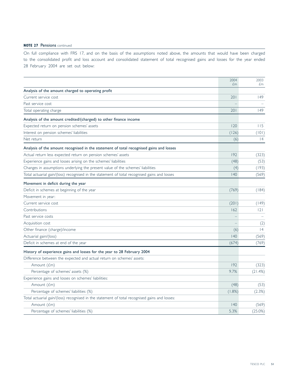#### **NOTE 27 Pensions continued**

On full compliance with FRS 17, and on the basis of the assumptions noted above, the amounts that would have been charged to the consolidated profit and loss account and consolidated statement of total recognised gains and losses for the year ended 28 February 2004 are set out below:

|                                                                                               | 2004   | 2003<br>£m |
|-----------------------------------------------------------------------------------------------|--------|------------|
| Analysis of the amount charged to operating profit                                            | £m     |            |
| Current service cost                                                                          | 201    | 49         |
| Past service cost                                                                             |        |            |
| Total operating charge                                                                        | 201    | 49         |
| Analysis of the amount credited/(charged) to other finance income                             |        |            |
| Expected return on pension schemes' assets                                                    | 120    | 115        |
| Interest on pension schemes' liabilities                                                      | (126)  | (101)      |
| Net return                                                                                    | (6)    | 4          |
| Analysis of the amount recognised in the statement of total recognised gains and losses       |        |            |
| Actual return less expected return on pension schemes' assets                                 | 192    | (323)      |
| Experience gains and losses arising on the schemes' liabilities                               | (48)   | (53)       |
| Changes in assumptions underlying the present value of the schemes' liabilities               | (4)    | (193)      |
| Total actuarial gain/(loss) recognised in the statement of total recognised gains and losses  | 140    | (569)      |
| Movement in deficit during the year                                                           |        |            |
| Deficit in schemes at beginning of the year                                                   | (769)  | (184)      |
| Movement in year:                                                                             |        |            |
| Current service cost                                                                          | (201)  | (149)      |
| Contributions                                                                                 | 162    | 2          |
| Past service costs                                                                            |        |            |
| Acquisition cost                                                                              |        | (2)        |
| Other finance (charge)/income                                                                 | (6)    | 4          |
| Actuarial gain/(loss)                                                                         | 140    | (569)      |
| Deficit in schemes at end of the year                                                         | (674)  | (769)      |
| History of experience gains and losses for the year to 28 February 2004                       |        |            |
| Difference between the expected and actual return on schemes' assets:                         |        |            |
| Amount (£m)                                                                                   | 192    | (323)      |
| Percentage of schemes' assets (%)                                                             | 9.7%   | (21.4%)    |
| Experience gains and losses on schemes' liabilities:                                          |        |            |
| Amount (£m)                                                                                   | (48)   | (53)       |
| Percentage of schemes' liabilities (%)                                                        | (1.8%) | (2.3%)     |
| Total actuarial gain/(loss) recognised in the statement of total recognised gains and losses: |        |            |
| Amount (£m)                                                                                   | 40     | (569)      |
| Percentage of schemes' liabilities (%)                                                        | 5.3%   | (25.0%)    |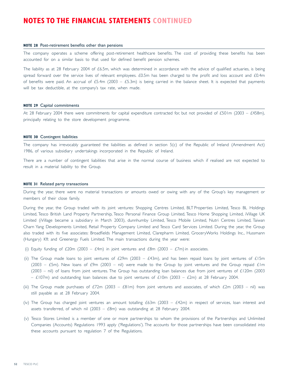### **NOTES TO THE FINANCIAL STATEMENTS CONTINUED**

#### **NOTE 28** Post-retirement benefits other than pensions

The company operates a scheme offering post-retirement healthcare benefits. The cost of providing these benefits has been accounted for on a similar basis to that used for defined benefit pension schemes.

The liability as at 28 February 2004 of £6.5m, which was determined in accordance with the advice of qualified actuaries, is being spread forward over the service lives of relevant employees. £0.5m has been charged to the profit and loss account and £0.4m of benefits were paid. An accrual of £5.4m (2003  $-$  £5.3m) is being carried in the balance sheet. It is expected that payments will be tax deductible, at the company's tax rate, when made.

#### **NOTE 29** Capital commitments

At 28 February 2004 there were commitments for capital expenditure contracted for, but not provided of £501m (2003 - £458m), principally relating to the store development programme.

#### **NOTE 30** Contingent liabilities

The company has irrevocably guaranteed the liabilities as defined in section 5(c) of the Republic of Ireland (Amendment Act) 1986, of various subsidiary undertakings incorporated in the Republic of Ireland.

There are a number of contingent liabilities that arise in the normal course of business which if realised are not expected to result in a material liability to the Group.

#### **NOTE 31** Related party transactions

During the year, there were no material transactions or amounts owed or owing with any of the Groupís key management or members of their close family.

During the year, the Group traded with its joint ventures: Shopping Centres Limited, BLT Properties Limited, Tesco BL Holdings Limited, Tesco British Land Property Partnership, Tesco Personal Finance Group Limited, Tesco Home Shopping Limited, iVillage UK Limited (iVillage became a subsidiary in March 2003), dunnhumby Limited, Tesco Mobile Limited, Nutri Centres Limited, Taiwan Charn Yang Developments Limited, Retail Property Company Limited and Tesco Card Services Limited. During the year, the Group also traded with its five associates: Broadfields Management Limited, Clarepharm Limited, GroceryWorks Holdings Inc., Hussmann (Hungary) Kft and Greenergy Fuels Limited. The main transactions during the year were:

- (i) Equity funding of £20m (2003 £4m) in joint ventures and £8m (2003 £7m) in associates.
- (ii) The Group made loans to joint ventures of £29m (2003 £43m), and has been repaid loans by joint ventures of £15m (2003 – £5m). New loans of £9m (2003 – nil) were made to the Group by joint ventures and the Group repaid  $£1m$ (2003 – nil) of loans from joint ventures. The Group has outstanding loan balances due from joint ventures of  $£120m$  (2003  $-$  £107m) and outstanding loan balances due to joint ventures of £10m (2003  $-$  £2m) at 28 February 2004.
- (iii) The Group made purchases of £72m (2003 £81m) from joint ventures and associates, of which £2m (2003 nil) was still payable as at 28 February 2004.
- (iv) The Group has charged joint ventures an amount totalling £63m (2003  $-$  £42m) in respect of services, loan interest and assets transferred, of which nil (2003 -  $£8m$ ) was outstanding at 28 February 2004.
- (v) Tesco Stores Limited is a member of one or more partnerships to whom the provisions of the Partnerships and Unlimited Companies (Accounts) Regulations 1993 apply ('Regulations'). The accounts for those partnerships have been consolidated into these accounts pursuant to regulation 7 of the Regulations.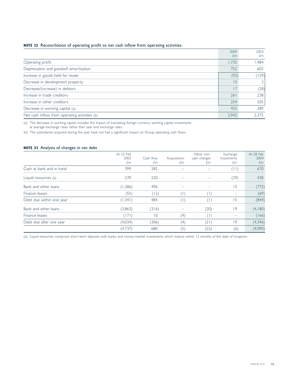#### **NOTE 32** Reconciliation of operating profit to net cash inflow from operating activities

|                                               | 2004<br>£m | 2003<br>£m |
|-----------------------------------------------|------------|------------|
| Operating profit                              | 1.735      | A84.       |
| Depreciation and goodwill amortisation        | 752        | 602        |
| Increase in goods held for resale             | (92)       | (129)      |
| Decrease in development property              | 15         |            |
| Decrease/(increase) in debtors                | 17         | (28)       |
| Increase in trade creditors                   | 261        | 238        |
| Increase in other creditors                   | 254        | 205        |
| Decrease in working capital (a)               | 455        | 289        |
| Net cash inflow from operating activities (b) | 2.942      | 2.375      |

(a) The decrease in working capital includes the impact of translating foreign currency working capital movements

at average exchange rates rather than year end exchange rates.

(b) The subsidiaries acquired during the year have not had a significant impact on Group operating cash flows.

#### **NOTE 33** Analysis of changes in net debt

|                          | At 22 Feb<br>2003<br>£m | Cash flow<br>£m | Acquisitions<br>£m | Other non-<br>cash changes<br>£m | Exchange<br>movements<br>£m | At 28 Feb<br>2004<br>£m |
|--------------------------|-------------------------|-----------------|--------------------|----------------------------------|-----------------------------|-------------------------|
| Cash at bank and in hand | 399                     | 282             |                    |                                  | (11)                        | 670                     |
| Liquid resources (a)     | 239                     | 220             |                    |                                  | (29)                        | 430                     |
| Bank and other loans     | (1, 286)                | 496             |                    |                                  | 15                          | (775)                   |
| Finance leases           | (55)                    | (12)            | (1)                | $(\bot)$                         |                             | (69)                    |
| Debt due within one year | (1, 341)                | 484             | $(\bot)$           | $(\dagger)$                      | 15                          | (844)                   |
| Bank and other loans     | (3,863)                 | (316)           |                    | (20)                             | 9                           | (4,180)                 |
| Finance leases           | (171)                   | $\overline{0}$  | (4)                | $(\bot)$                         |                             | (166)                   |
| Debt due after one year  | (4,034)                 | (306)           | (4)                | (21)                             | 9                           | (4,346)                 |
|                          | (4,737)                 | 680             | (5)                | (22)                             | (6)                         | (4,090)                 |

(a) Liquid resources comprises short-term deposits with banks and money-market investments which mature within 12 months of the date of inception.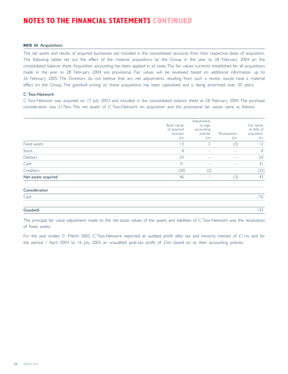# **NOTES TO THE FINANCIAL STATEMENTS CONTINUED**

#### **NOTE 34** Acquisitions

The net assets and results of acquired businesses are included in the consolidated accounts from their respective dates of acquisition. The following tables set out the effect of the material acquisitions by the Group in the year to 28 February 2004 on the consolidated balance sheet. Acquisition accounting has been applied in all cases. The fair values currently established for all acquisitions made in the year to 28 February 2004 are provisional. Fair values will be reviewed based on additional information up to 26 February 2005. The Directors do not believe that any net adjustments resulting from such a review would have a material effect on the Group. The goodwill arising on these acquisitions has been capitalised and is being amortised over 20 years.

#### C Two-Network

C Two-Network was acquired on 17 July 2003 and included in the consolidated balance sheet at 28 February 2004. The purchase consideration was £176m. The net assets of C Two-Network on acquisition and the provisional fair values were as follows:

| Consideration<br>Cash |                                              |                                                         |                    | 176                                            |
|-----------------------|----------------------------------------------|---------------------------------------------------------|--------------------|------------------------------------------------|
| Net assets acquired   | 46                                           |                                                         | (3)                | 43                                             |
| Creditors             | (30)                                         | (2)                                                     |                    | (32)                                           |
| Cash                  | 31                                           |                                                         |                    | 31                                             |
| Debtors               | 24                                           |                                                         |                    | 24                                             |
| Stock                 | 8                                            |                                                         |                    | 8                                              |
| Fixed assets          | 13                                           | $\overline{2}$                                          | (3)                | 2                                              |
|                       | Book values<br>of acquired<br>business<br>£m | Adjustments<br>to align<br>accounting<br>policies<br>£m | Revaluations<br>£m | Fair values<br>at date of<br>acquisition<br>£m |

#### Goodwill 133

The principal fair value adjustment made to the net book values of the assets and liabilities of C Two-Network was the revaluation of fixed assets.

For the year ended 31 March 2003, C Two-Network reported an audited profit after tax and minority interest of £11m, and for the period I April 2003 to 16 July 2003 an unaudited post-tax profit of £5m based on its then accounting policies.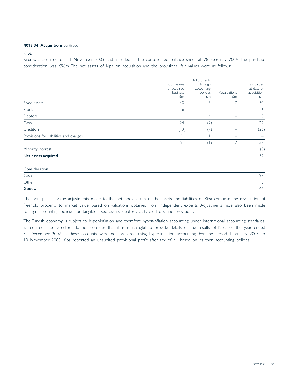#### Kipa

Kipa was acquired on 11 November 2003 and included in the consolidated balance sheet at 28 February 2004. The purchase consideration was £96m. The net assets of Kipa on acquisition and the provisional fair values were as follows:

|                                        | Book values<br>of acquired<br>business<br>£m | Adjustments<br>to align<br>accounting<br>policies<br>£m | Revaluations<br>£m | Fair values<br>at date of<br>acquisition<br>$\pounds$ m |
|----------------------------------------|----------------------------------------------|---------------------------------------------------------|--------------------|---------------------------------------------------------|
| Fixed assets                           | 40                                           | 3                                                       | 7                  | 50                                                      |
| Stock                                  | 6                                            | $\overline{\phantom{a}}$                                |                    | 6                                                       |
| Debtors                                |                                              | $\overline{4}$                                          |                    | 5                                                       |
| Cash                                   | 24                                           | (2)                                                     |                    | 22                                                      |
| Creditors                              | (19)                                         | (7)                                                     |                    | (26)                                                    |
| Provisions for liabilities and charges | (1)                                          |                                                         |                    |                                                         |
|                                        | 51                                           | (1)                                                     | 7                  | 57                                                      |
| Minority interest                      |                                              |                                                         |                    | (5)                                                     |
| Net assets acquired                    |                                              |                                                         |                    | 52                                                      |
| Consideration                          |                                              |                                                         |                    |                                                         |
| Cash                                   |                                              |                                                         |                    | 93                                                      |
| Other                                  |                                              |                                                         |                    | 3                                                       |
| Goodwill                               |                                              |                                                         |                    | 44                                                      |

The principal fair value adjustments made to the net book values of the assets and liabilities of Kipa comprise the revaluation of freehold property to market value, based on valuations obtained from independent experts. Adjustments have also been made to align accounting policies for tangible fixed assets, debtors, cash, creditors and provisions.

The Turkish economy is subject to hyper-inflation and therefore hyper-inflation accounting under international accounting standards, is required. The Directors do not consider that it is meaningful to provide details of the results of Kipa for the year ended 31 December 2002 as these accounts were not prepared using hyper-inflation accounting. For the period 1 January 2003 to 10 November 2003, Kipa reported an unaudited provisional profit after tax of nil, based on its then accounting policies.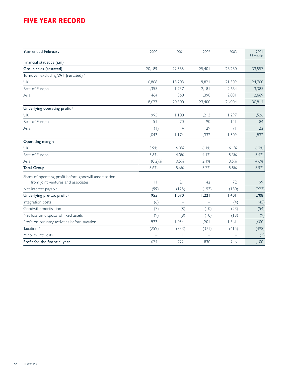# **FIVE YEAR RECORD**

| Year ended February                                    | 2000      | 2001                     | 2002                     | 2003   | 2004<br>53 weeks |
|--------------------------------------------------------|-----------|--------------------------|--------------------------|--------|------------------|
| Financial statistics $(fm)$                            |           |                          |                          |        |                  |
| Group sales (restated)                                 | 20,189    | 22,585                   | 25,401                   | 28,280 | 33,557           |
| Turnover excluding VAT (restated)                      |           |                          |                          |        |                  |
| <b>UK</b>                                              | 16,808    | 18,203                   | 19,821                   | 21,309 | 24,760           |
| Rest of Europe                                         | 1,355     | 1.737                    | 2.181                    | 2.664  | 3,385            |
| Asia                                                   | 464       | 860                      | 1,398                    | 2,031  | 2,669            |
|                                                        | 18,627    | 20,800                   | 23,400                   | 26,004 | 30,814           |
| Underlying operating profit <sup>2</sup>               |           |                          |                          |        |                  |
| <b>UK</b>                                              | 993       | 1.100                    | 1.213                    | 1.297  | 1.526            |
| Rest of Europe                                         | 51        | 70                       | 90                       | 4      | 184              |
| Asia                                                   | (1)       | $\overline{4}$           | 29                       | 71     | 122              |
|                                                        | 1,043     | 1,174                    | 1,332                    | 1,509  | 1,832            |
| Operating margin <sup>2</sup>                          |           |                          |                          |        |                  |
| UK                                                     | 5.9%      | 6.0%                     | 6.1%                     | 6.1%   | 6.2%             |
| Rest of Europe                                         | 3.8%      | 4.0%                     | 4.1%                     | 5.3%   | 5.4%             |
| Asia                                                   | $(0.2)$ % | 0.5%                     | 2.1%                     | 3.5%   | 4.6%             |
| <b>Total Group</b>                                     | 5.6%      | 5.6%                     | 5.7%                     | 5.8%   | 5.9%             |
| Share of operating profit before goodwill amortisation |           |                          |                          |        |                  |
| from joint ventures and associates                     | $\perp$   | 21                       | 42                       | 72     | 99               |
| Net interest payable                                   | (99)      | (125)                    | (153)                    | (180)  | (223)            |
| Underlying pre-tax profit <sup>3</sup>                 | 955       | 1,070                    | 1,221                    | 1,401  | 1,708            |
| Integration costs                                      | (6)       | $\overline{\phantom{a}}$ | $\overline{\phantom{0}}$ | (4)    | (45)             |
| Goodwill amortisation                                  | (7)       | (8)                      | (10)                     | (23)   | (54)             |
| Net loss on disposal of fixed assets                   | (9)       | (8)                      | (10)                     | (13)   | (9)              |
| Profit on ordinary activities before taxation          | 933       | 1,054                    | 1,201                    | 1,361  | 1,600            |
| Taxation <sup>4</sup>                                  | (259)     | (333)                    | (371)                    | (415)  | (498)            |
| Minority interests                                     |           | $\overline{1}$           |                          |        | (2)              |
| Profit for the financial year 4                        | 674       | 722                      | 830                      | 946    | 1,100            |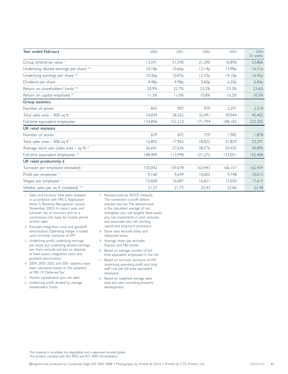| Year ended February                                    | 2000               | 2001               | 2002               | 2003               | 2004<br>53 weeks   |
|--------------------------------------------------------|--------------------|--------------------|--------------------|--------------------|--------------------|
| Group enterprise value <sup>5</sup>                    | 13,591             | 21,590             | 21,290             | 16,896             | 23,866             |
| Underlying diluted earnings per share 3/4              | 10.18p             | 10.66 <sub>p</sub> | 12.14p             | 13.98 <sub>p</sub> | 16.31p             |
| Underlying earnings per share 3/4                      | 10.36 <sub>D</sub> | 10.87 <sub>D</sub> | 12.33 <sub>p</sub> | 14.10 <sub>D</sub> | 16.45 <sub>p</sub> |
| Dividend per share                                     | 4.48 <sub>p</sub>  | 4.98 <sub>p</sub>  | 5.60 <sub>p</sub>  | 6.20 <sub>p</sub>  | 6.84 <sub>p</sub>  |
| Return on shareholders' funds 4/6                      | 20.9%              | 22.7%              | 23.2%              | 23.3%              | 23.6%              |
| Return on capital employed 4/7                         | 11.3%              | 11.0%              | 10.8%              | 10.2%              | 10.5%              |
| Group statistics                                       |                    |                    |                    |                    |                    |
| Number of stores                                       | 845                | 907                | 979                | 2,291              | 2,318              |
| Total sales area $-000$ sq ft                          | 24,039             | 28,362             | 32,491             | 39,944             | 45,402             |
| Full-time equivalent employees                         | 134,896            | 152,210            | 171,794            | 188,182            | 223,335            |
| UK retail statistics                                   |                    |                    |                    |                    |                    |
| Number of stores                                       | 659                | 692                | 729                | 1,982              | 1,878              |
| Total sales area $-000$ sq ft $8$                      | 16,895             | 17,965             | 18,822             | 21,829             | 23,291             |
| Average store size (sales area $-$ sq ft) <sup>9</sup> | 26,641             | 27,636             | 28,576             | 29,455             | 30,890             |
| Full-time equivalent employees 10                      | 108,409            | 113,998            | 121,272            | 133,051            | 152,408            |
| UK retail productivity $E$                             |                    |                    |                    |                    |                    |
| Turnover per employee (restated) "                     | 155,042            | 159,678            | 163,443            | 160, 157           | 162,459            |
| Profit per employee "                                  | 9,160              | 9,649              | 10,002             | 9,748              | 10,013             |
| Wages per employee "                                   | 15,600             | 16,087             | 16,821             | 17,020             | 17,615             |
| Weekly sales per sq ft (restated) 8/12                 | 21.27              | 21.75              | 22.43              | 22.86              | 22.48              |

1 Sales and turnover have been restated in accordance with FRS 5, Application Note G 'Revenue Recognition' (issued November 2003) to report sales and turnover net of vouchers and on a commission-only basis for mobile phone airtime sales.

- 2 Excludes integration costs and goodwill amortisation. Operating margin is based upon turnover exclusive of VAT.
- 3 Underlying profit, underlying earnings per share and underlying diluted earnings per share exclude net loss on disposal of fixed assets, integration costs and goodwill amortisation.
- 4 2004, 2003, 2002 and 2001 statistics have been calculated based on the adoption of FRS 19 'Deferred Tax'.
- 5 Market capitalisation plus net debt.
- 6 Underlying profit divided by average shareholdersí funds.

7 Revised post-tax ROCE measure. The numerator is profit before interest, less tax.The denominator is the calculated average of net intangibles plus net tangible fixed assets plus net investments in joint ventures and associates plus net working capital and long-term provisions.

- 8 Store sizes exclude lobby and restaurant areas.
- 9 Average store size excludes Express and T&S stores.
- 10 Based on average number of fulltime equivalent employees in the UK.
- 11 Based on turnover exclusive of VAT, underlying operating profit and total staff cost per full-time equivalent employee.
- 12 Based on weighted average sales area and sales excluding property development.

This material is recyclable, bio-degradable and is approved recycled grade.

This product complies with ISO 9002 and ISO 14001 Accreditation.